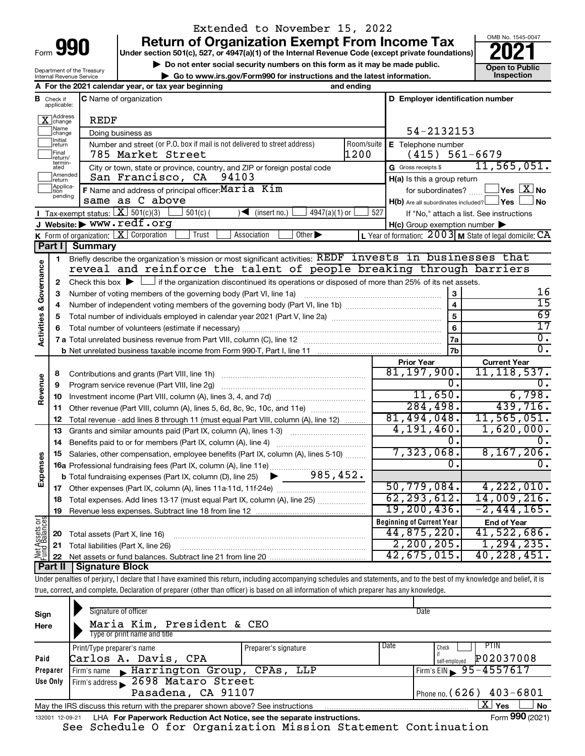Department of the Treasury

## Extended to November 15, 2022

**990 Return of Organization Exempt From Income Tax Punce 1845-004 2021** 

**b** Do not enter social security numbers on this form as it may be made public. **Open to Public** <br> **Code was used to Public Acceptuation** and the latest information



|                              |                               | Internal Revenue Service                                                   | Go to www.irs.gov/Form990 for instructions and the latest information.                                                                                                                                                                                                                                                                                                                                                            |                             |                                                  | Inspection                                                  |
|------------------------------|-------------------------------|----------------------------------------------------------------------------|-----------------------------------------------------------------------------------------------------------------------------------------------------------------------------------------------------------------------------------------------------------------------------------------------------------------------------------------------------------------------------------------------------------------------------------|-----------------------------|--------------------------------------------------|-------------------------------------------------------------|
|                              |                               |                                                                            | A For the 2021 calendar year, or tax year beginning                                                                                                                                                                                                                                                                                                                                                                               | and ending                  |                                                  |                                                             |
|                              | <b>B</b> Check if applicable: |                                                                            | <b>C</b> Name of organization                                                                                                                                                                                                                                                                                                                                                                                                     |                             | D Employer identification number                 |                                                             |
|                              | X Address                     | REDF                                                                       |                                                                                                                                                                                                                                                                                                                                                                                                                                   |                             |                                                  |                                                             |
|                              | Name<br>change                |                                                                            | Doing business as                                                                                                                                                                                                                                                                                                                                                                                                                 |                             | 54-2132153                                       |                                                             |
|                              | Initial<br>return             | Number and street (or P.O. box if mail is not delivered to street address) | Room/suite<br>E Telephone number                                                                                                                                                                                                                                                                                                                                                                                                  |                             |                                                  |                                                             |
|                              | Final<br>return/              |                                                                            | 785 Market Street                                                                                                                                                                                                                                                                                                                                                                                                                 | 1200                        | (415)                                            | $561 - 6679$                                                |
|                              | termin-<br>ated               |                                                                            | City or town, state or province, country, and ZIP or foreign postal code                                                                                                                                                                                                                                                                                                                                                          |                             | G Gross receipts \$                              | 11, 565, 051.                                               |
|                              | Amended<br>return             |                                                                            | San Francisco, CA<br>94103                                                                                                                                                                                                                                                                                                                                                                                                        | H(a) Is this a group return |                                                  |                                                             |
|                              | Applica-<br>pending           |                                                                            | F Name and address of principal officer: Maria Kim                                                                                                                                                                                                                                                                                                                                                                                |                             | for subordinates?                                | $\Box$ Yes $\boxed{\text{X}}$ No                            |
|                              |                               |                                                                            | same as C above                                                                                                                                                                                                                                                                                                                                                                                                                   |                             | $H(b)$ Are all subordinates included? $\Box$ Yes | No.                                                         |
|                              |                               | <b>I</b> Tax-exempt status: $X \ 501(c)(3)$                                | $\sqrt{\frac{1}{1}}$ (insert no.)<br>$4947(a)(1)$ or<br>$501(c)$ (                                                                                                                                                                                                                                                                                                                                                                | 527                         |                                                  | If "No," attach a list. See instructions                    |
|                              |                               |                                                                            | J Website: www.redf.org                                                                                                                                                                                                                                                                                                                                                                                                           |                             | H(c) Group exemption number                      |                                                             |
|                              | Part I                        | <b>Summary</b>                                                             | Other $\blacktriangleright$<br><b>K</b> Form of organization: $X$ Corporation<br>Trust<br>Association                                                                                                                                                                                                                                                                                                                             |                             |                                                  | L Year of formation: $2003$ M State of legal domicile: $CA$ |
|                              |                               |                                                                            | Briefly describe the organization's mission or most significant activities: REDF invests in businesses that                                                                                                                                                                                                                                                                                                                       |                             |                                                  |                                                             |
|                              | 1                             |                                                                            | reveal and reinforce the talent of people breaking through barriers                                                                                                                                                                                                                                                                                                                                                               |                             |                                                  |                                                             |
|                              |                               |                                                                            | Check this box $\blacktriangleright$ $\Box$ if the organization discontinued its operations or disposed of more than 25% of its net assets.                                                                                                                                                                                                                                                                                       |                             |                                                  |                                                             |
|                              | 2<br>з                        |                                                                            | Number of voting members of the governing body (Part VI, line 1a)                                                                                                                                                                                                                                                                                                                                                                 |                             | 3                                                | 16                                                          |
|                              | 4                             |                                                                            | $\overline{\mathbf{4}}$                                                                                                                                                                                                                                                                                                                                                                                                           | $\overline{15}$             |                                                  |                                                             |
|                              | 5                             |                                                                            |                                                                                                                                                                                                                                                                                                                                                                                                                                   | 5                           | 69                                               |                                                             |
| Activities & Governance      | 6                             |                                                                            |                                                                                                                                                                                                                                                                                                                                                                                                                                   |                             | $6\phantom{a}$                                   | $\overline{17}$                                             |
|                              |                               |                                                                            |                                                                                                                                                                                                                                                                                                                                                                                                                                   |                             | 7a                                               | О.                                                          |
|                              |                               |                                                                            |                                                                                                                                                                                                                                                                                                                                                                                                                                   |                             | 7b                                               | σ.                                                          |
|                              |                               |                                                                            |                                                                                                                                                                                                                                                                                                                                                                                                                                   |                             | <b>Prior Year</b>                                | <b>Current Year</b>                                         |
|                              | 8                             |                                                                            | Contributions and grants (Part VIII, line 1h)                                                                                                                                                                                                                                                                                                                                                                                     |                             | 81, 197, 900.                                    | 11, 118, 537.                                               |
| Revenue                      | 9                             |                                                                            | Program service revenue (Part VIII, line 2g)                                                                                                                                                                                                                                                                                                                                                                                      |                             | Ο.                                               | Ω.                                                          |
|                              | 10                            |                                                                            |                                                                                                                                                                                                                                                                                                                                                                                                                                   |                             | 11,650.                                          | 6,798.                                                      |
|                              | 11                            |                                                                            | Other revenue (Part VIII, column (A), lines 5, 6d, 8c, 9c, 10c, and 11e)                                                                                                                                                                                                                                                                                                                                                          |                             | 284,498.                                         | 439,716.                                                    |
|                              | 12                            |                                                                            | Total revenue - add lines 8 through 11 (must equal Part VIII, column (A), line 12)                                                                                                                                                                                                                                                                                                                                                |                             | 81,494,048.                                      | 11,565,051.                                                 |
|                              | 13                            |                                                                            | Grants and similar amounts paid (Part IX, column (A), lines 1-3)<br>$\mathcal{L} = \{1, 2, \ldots, 2, \ldots, 2, \ldots, 2, \ldots, 2, \ldots, 2, \ldots, 2, \ldots, 2, \ldots, 2, \ldots, 2, \ldots, 2, \ldots, 2, \ldots, 2, \ldots, 2, \ldots, 2, \ldots, 2, \ldots, 2, \ldots, 2, \ldots, 2, \ldots, 2, \ldots, 2, \ldots, 2, \ldots, 2, \ldots, 2, \ldots, 2, \ldots, 2, \ldots, 2, \ldots, 2, \ldots, 2, \ldots, 2, \ldots$ |                             | 4,191,460.                                       | 1,620,000.                                                  |
|                              | 14                            |                                                                            | Benefits paid to or for members (Part IX, column (A), line 4)                                                                                                                                                                                                                                                                                                                                                                     |                             | Ο.                                               | Ω.                                                          |
|                              | 15                            |                                                                            | Salaries, other compensation, employee benefits (Part IX, column (A), lines 5-10)                                                                                                                                                                                                                                                                                                                                                 |                             | 7,323,068.                                       | 8, 167, 206.                                                |
| Expenses                     |                               |                                                                            | 16a Professional fundraising fees (Part IX, column (A), line 11e)                                                                                                                                                                                                                                                                                                                                                                 |                             | Ω.                                               | 0.                                                          |
|                              |                               |                                                                            | 985,452.<br><b>b</b> Total fundraising expenses (Part IX, column (D), line 25)<br>▶                                                                                                                                                                                                                                                                                                                                               |                             |                                                  |                                                             |
|                              | 17                            |                                                                            |                                                                                                                                                                                                                                                                                                                                                                                                                                   |                             | 50,779,084.                                      | 4,222,010.                                                  |
|                              | 18                            |                                                                            | Total expenses. Add lines 13-17 (must equal Part IX, column (A), line 25)                                                                                                                                                                                                                                                                                                                                                         |                             | 62, 293, 612.                                    | 14,009,216.                                                 |
|                              | 19                            |                                                                            |                                                                                                                                                                                                                                                                                                                                                                                                                                   |                             | 19, 200, 436.                                    | $-2, 444, 165.$                                             |
| $rac{\text{or}}{\text{ces}}$ |                               |                                                                            |                                                                                                                                                                                                                                                                                                                                                                                                                                   |                             | <b>Beginning of Current Year</b>                 | <b>End of Year</b>                                          |
| Assets<br>Balanc             | 20                            | Total assets (Part X, line 16)                                             |                                                                                                                                                                                                                                                                                                                                                                                                                                   |                             | 44,875,220.<br>2, 200, 205.                      | 41,522,686.<br>1, 294, 235.                                 |
|                              | 21                            |                                                                            | Total liabilities (Part X, line 26)                                                                                                                                                                                                                                                                                                                                                                                               |                             | 42,675,015.                                      | 40, 228, 451.                                               |
|                              | 22<br>Part II                 | Signature Block                                                            |                                                                                                                                                                                                                                                                                                                                                                                                                                   |                             |                                                  |                                                             |
|                              |                               |                                                                            |                                                                                                                                                                                                                                                                                                                                                                                                                                   |                             |                                                  |                                                             |

Under penalties of perjury, I declare that I have examined this return, including accompanying schedules and statements, and to the best of my knowledge and belief, it is true, correct, and complete. Declaration of preparer (other than officer) is based on all information of which preparer has any knowledge.

| Sign<br>Here    | Signature of officer<br>Maria Kim, President & CEO<br>Type or print name and title |                      |      | Date                                               |
|-----------------|------------------------------------------------------------------------------------|----------------------|------|----------------------------------------------------|
| Paid            | Print/Type preparer's name<br>Carlos A. Davis, CPA                                 | Preparer's signature | Date | <b>PTIN</b><br>Check<br>P02037008<br>self-employed |
| Preparer        | Firm's name Marrington Group, CPAs, LLP                                            |                      |      | Firm's EIN $\rightarrow$ 95-4557617                |
| Use Only        | Firm's address 2698 Mataro Street                                                  |                      |      |                                                    |
|                 | Pasadena, CA 91107                                                                 |                      |      | Phone no. $(626)$ 403-6801                         |
|                 | May the IRS discuss this return with the preparer shown above? See instructions    |                      |      | $X \mid$<br><b>No</b><br>Yes                       |
| 132001 12-09-21 | LHA For Paperwork Reduction Act Notice, see the separate instructions.             |                      |      | Form 990 (2021)                                    |

See Schedule O for Organization Mission Statement Continuation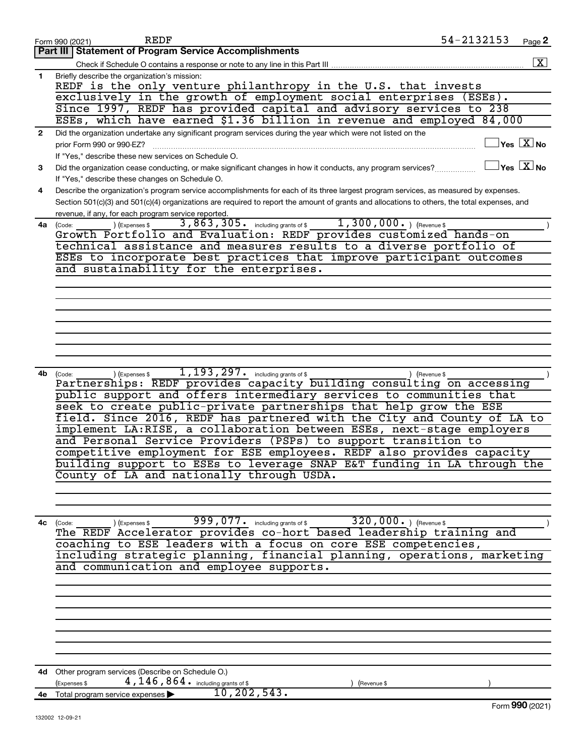|              | 54-2132153<br><b>REDF</b><br>Page 2<br>Form 990 (2021)                                                                                                  |
|--------------|---------------------------------------------------------------------------------------------------------------------------------------------------------|
|              | <b>Part III   Statement of Program Service Accomplishments</b>                                                                                          |
|              | $\boxed{\textbf{X}}$<br>Check if Schedule O contains a response or note to any line in this Part III                                                    |
| 1            | Briefly describe the organization's mission:                                                                                                            |
|              | REDF is the only venture philanthropy in the U.S. that invests                                                                                          |
|              | exclusively in the growth of employment social enterprises (ESEs).                                                                                      |
|              | Since 1997, REDF has provided capital and advisory services to 238                                                                                      |
|              | ESEs, which have earned \$1.36 billion in revenue and employed 84,000                                                                                   |
| $\mathbf{2}$ | Did the organization undertake any significant program services during the year which were not listed on the                                            |
|              | $\mathsf{lvs}\ \boxed{\mathrm{X}}$ No<br>prior Form 990 or 990-EZ?                                                                                      |
|              | If "Yes," describe these new services on Schedule O.                                                                                                    |
| 3            | $\Box$ Yes $[\overline{\mathrm{X}}]$ No<br>Did the organization cease conducting, or make significant changes in how it conducts, any program services? |
|              | If "Yes," describe these changes on Schedule O.                                                                                                         |
| 4            | Describe the organization's program service accomplishments for each of its three largest program services, as measured by expenses.                    |
|              | Section 501(c)(3) and 501(c)(4) organizations are required to report the amount of grants and allocations to others, the total expenses, and            |
|              | revenue, if any, for each program service reported.                                                                                                     |
| 4a           | 3,863,305. including grants of \$1,300,000. ) (Revenue \$<br>) (Expenses \$<br>(Code:                                                                   |
|              | Growth Portfolio and Evaluation: REDF provides customized hands-on                                                                                      |
|              | technical assistance and measures results to a diverse portfolio of                                                                                     |
|              | ESEs to incorporate best practices that improve participant outcomes                                                                                    |
|              | and sustainability for the enterprises.                                                                                                                 |
|              |                                                                                                                                                         |
|              |                                                                                                                                                         |
|              |                                                                                                                                                         |
|              |                                                                                                                                                         |
|              |                                                                                                                                                         |
|              |                                                                                                                                                         |
|              |                                                                                                                                                         |
|              |                                                                                                                                                         |
| 4b           | $1,193,297$ $\cdot$ including grants of \$<br>) (Revenue \$<br>(Expenses \$<br>(Code:                                                                   |
|              | Partnerships: REDF provides capacity building consulting on accessing                                                                                   |
|              | public support and offers intermediary services to communities that                                                                                     |
|              | seek to create public-private partnerships that help grow the ESE                                                                                       |
|              | field. Since 2016, REDF has partnered with the City and County of LA to                                                                                 |
|              | implement LA:RISE, a collaboration between ESEs, next-stage employers                                                                                   |
|              | and Personal Service Providers (PSPs) to support transition to                                                                                          |
|              | competitive employment for ESE employees. REDF also provides capacity                                                                                   |
|              | building support to ESEs to leverage SNAP E&T funding in LA through the                                                                                 |
|              | County of LA and nationally through USDA.                                                                                                               |
|              |                                                                                                                                                         |
|              |                                                                                                                                                         |
|              |                                                                                                                                                         |
| 4с           | 320,000.) (Revenue \$<br>$\overline{999}$ , 077. including grants of \$<br>(Expenses \$<br>(Code:                                                       |
|              | The REDF Accelerator provides co-hort based leadership training and                                                                                     |
|              | coaching to ESE leaders with a focus on core ESE competencies,                                                                                          |
|              | including strategic planning, financial planning, operations, marketing                                                                                 |
|              | and communication and employee supports.                                                                                                                |
|              |                                                                                                                                                         |
|              |                                                                                                                                                         |
|              |                                                                                                                                                         |
|              |                                                                                                                                                         |
|              |                                                                                                                                                         |
|              |                                                                                                                                                         |
|              |                                                                                                                                                         |
|              |                                                                                                                                                         |
|              | 4d Other program services (Describe on Schedule O.)                                                                                                     |
|              | 4, 146, 864. including grants of \$<br>(Expenses \$<br>(Revenue \$<br>10, 202, 543.                                                                     |
|              | 4e Total program service expenses ><br>Form 990 (2021)                                                                                                  |
|              |                                                                                                                                                         |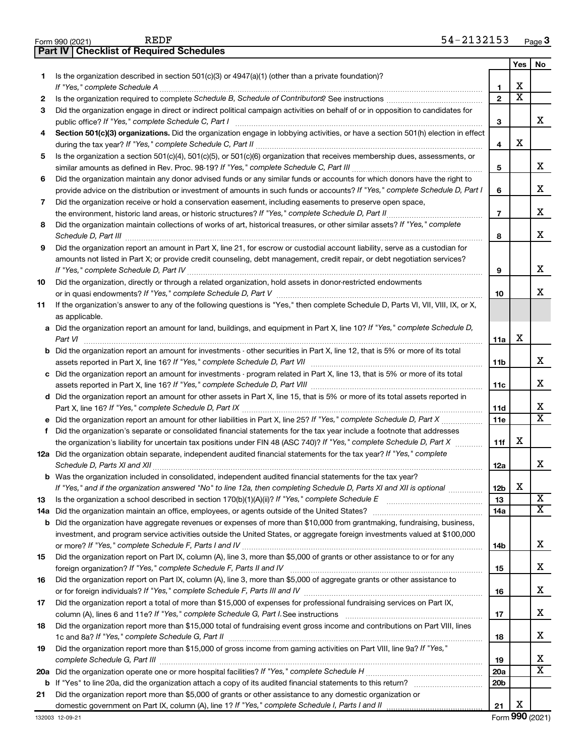|     | <b>Part IV   Checklist of Required Schedules</b>                                                                                                                                                                                    |                 |                         |                         |
|-----|-------------------------------------------------------------------------------------------------------------------------------------------------------------------------------------------------------------------------------------|-----------------|-------------------------|-------------------------|
|     |                                                                                                                                                                                                                                     |                 | Yes                     | No                      |
| 1.  | Is the organization described in section 501(c)(3) or 4947(a)(1) (other than a private foundation)?                                                                                                                                 |                 |                         |                         |
|     |                                                                                                                                                                                                                                     | 1               | х                       |                         |
| 2   |                                                                                                                                                                                                                                     | $\mathbf{2}$    | $\overline{\textbf{x}}$ |                         |
| 3   | Did the organization engage in direct or indirect political campaign activities on behalf of or in opposition to candidates for                                                                                                     |                 |                         |                         |
|     |                                                                                                                                                                                                                                     | 3               |                         | x                       |
| 4   | Section 501(c)(3) organizations. Did the organization engage in lobbying activities, or have a section 501(h) election in effect                                                                                                    |                 |                         |                         |
|     |                                                                                                                                                                                                                                     | 4               | X                       |                         |
| 5   | Is the organization a section 501(c)(4), 501(c)(5), or 501(c)(6) organization that receives membership dues, assessments, or                                                                                                        |                 |                         |                         |
|     |                                                                                                                                                                                                                                     | 5               |                         | x                       |
| 6   | Did the organization maintain any donor advised funds or any similar funds or accounts for which donors have the right to                                                                                                           |                 |                         |                         |
|     | provide advice on the distribution or investment of amounts in such funds or accounts? If "Yes," complete Schedule D, Part I                                                                                                        | 6               |                         | x                       |
| 7   | Did the organization receive or hold a conservation easement, including easements to preserve open space,                                                                                                                           |                 |                         |                         |
|     |                                                                                                                                                                                                                                     | $\overline{7}$  |                         | x                       |
| 8   | Did the organization maintain collections of works of art, historical treasures, or other similar assets? If "Yes," complete                                                                                                        |                 |                         |                         |
|     | Schedule D, Part III <b>Marting Constructs</b> and the construction of the construction of the construction of the construction of the construction of the construction of the construction of the construction of the construction | 8               |                         | x                       |
| 9   | Did the organization report an amount in Part X, line 21, for escrow or custodial account liability, serve as a custodian for                                                                                                       |                 |                         |                         |
|     | amounts not listed in Part X; or provide credit counseling, debt management, credit repair, or debt negotiation services?                                                                                                           |                 |                         |                         |
|     |                                                                                                                                                                                                                                     | 9               |                         | x                       |
| 10  | Did the organization, directly or through a related organization, hold assets in donor-restricted endowments                                                                                                                        |                 |                         |                         |
|     |                                                                                                                                                                                                                                     | 10              |                         | x                       |
| 11  | If the organization's answer to any of the following questions is "Yes," then complete Schedule D, Parts VI, VII, VIII, IX, or X,                                                                                                   |                 |                         |                         |
|     | as applicable.                                                                                                                                                                                                                      |                 |                         |                         |
|     | a Did the organization report an amount for land, buildings, and equipment in Part X, line 10? If "Yes," complete Schedule D,                                                                                                       |                 |                         |                         |
|     | Part VI                                                                                                                                                                                                                             | 11a             | X                       |                         |
|     | b Did the organization report an amount for investments - other securities in Part X, line 12, that is 5% or more of its total                                                                                                      |                 |                         |                         |
|     | assets reported in Part X, line 16? If "Yes," complete Schedule D, Part VII [11] [11] [12] [12] [12] [12] [13] [                                                                                                                    | 11b             |                         | x                       |
|     | c Did the organization report an amount for investments - program related in Part X, line 13, that is 5% or more of its total                                                                                                       |                 |                         |                         |
|     |                                                                                                                                                                                                                                     | 11c             |                         | x                       |
|     | d Did the organization report an amount for other assets in Part X, line 15, that is 5% or more of its total assets reported in                                                                                                     |                 |                         |                         |
|     |                                                                                                                                                                                                                                     | 11d             |                         | x                       |
|     |                                                                                                                                                                                                                                     | 11e             |                         | $\overline{\mathtt{x}}$ |
|     | f Did the organization's separate or consolidated financial statements for the tax year include a footnote that addresses                                                                                                           |                 |                         |                         |
|     | the organization's liability for uncertain tax positions under FIN 48 (ASC 740)? If "Yes," complete Schedule D, Part X                                                                                                              | 11f             | х                       |                         |
|     | 12a Did the organization obtain separate, independent audited financial statements for the tax year? If "Yes," complete                                                                                                             |                 |                         |                         |
|     |                                                                                                                                                                                                                                     | 12a             |                         | x                       |
|     | <b>b</b> Was the organization included in consolidated, independent audited financial statements for the tax year?                                                                                                                  |                 |                         |                         |
|     | If "Yes," and if the organization answered "No" to line 12a, then completing Schedule D, Parts XI and XII is optional <i>manimum</i>                                                                                                | 12b             | X                       |                         |
| 13  |                                                                                                                                                                                                                                     | 13              |                         | X                       |
| 14a |                                                                                                                                                                                                                                     | 14a             |                         | $\overline{\mathtt{x}}$ |
|     | <b>b</b> Did the organization have aggregate revenues or expenses of more than \$10,000 from grantmaking, fundraising, business,                                                                                                    |                 |                         |                         |
|     | investment, and program service activities outside the United States, or aggregate foreign investments valued at \$100,000                                                                                                          |                 |                         |                         |
|     |                                                                                                                                                                                                                                     | 14b             |                         | x                       |
| 15  | Did the organization report on Part IX, column (A), line 3, more than \$5,000 of grants or other assistance to or for any                                                                                                           |                 |                         |                         |
|     |                                                                                                                                                                                                                                     | 15              |                         | х                       |
| 16  | Did the organization report on Part IX, column (A), line 3, more than \$5,000 of aggregate grants or other assistance to                                                                                                            |                 |                         |                         |
|     |                                                                                                                                                                                                                                     | 16              |                         | х                       |
| 17  | Did the organization report a total of more than \$15,000 of expenses for professional fundraising services on Part IX,                                                                                                             |                 |                         |                         |
|     |                                                                                                                                                                                                                                     | 17              |                         | х                       |
| 18  | Did the organization report more than \$15,000 total of fundraising event gross income and contributions on Part VIII, lines                                                                                                        |                 |                         |                         |
|     |                                                                                                                                                                                                                                     | 18              |                         | х                       |
| 19  | Did the organization report more than \$15,000 of gross income from gaming activities on Part VIII, line 9a? If "Yes,"                                                                                                              |                 |                         |                         |
|     |                                                                                                                                                                                                                                     | 19              |                         | x                       |
|     |                                                                                                                                                                                                                                     | 20a             |                         | $\overline{\texttt{x}}$ |
| b   |                                                                                                                                                                                                                                     | 20 <sub>b</sub> |                         |                         |
| 21  | Did the organization report more than \$5,000 of grants or other assistance to any domestic organization or                                                                                                                         |                 |                         |                         |
|     |                                                                                                                                                                                                                                     | 21              | х                       |                         |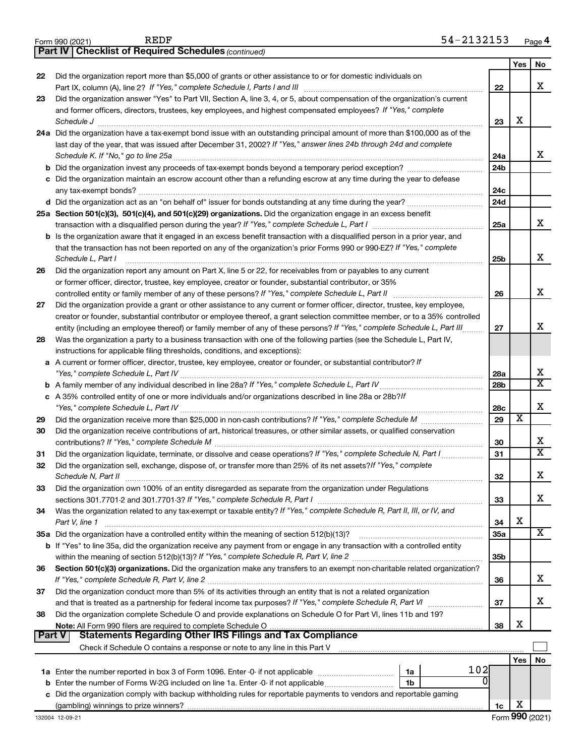|               | 54-2132153<br>REDF<br>Form 990 (2021)                                                                                                                                                  |                 |                         | Page 4                  |
|---------------|----------------------------------------------------------------------------------------------------------------------------------------------------------------------------------------|-----------------|-------------------------|-------------------------|
|               | <b>Checklist of Required Schedules (continued)</b><br>Part IV                                                                                                                          |                 |                         |                         |
|               |                                                                                                                                                                                        |                 | <b>Yes</b>              | No                      |
| 22            | Did the organization report more than \$5,000 of grants or other assistance to or for domestic individuals on                                                                          |                 |                         |                         |
|               |                                                                                                                                                                                        | 22              |                         | х                       |
| 23            | Did the organization answer "Yes" to Part VII, Section A, line 3, 4, or 5, about compensation of the organization's current                                                            |                 |                         |                         |
|               | and former officers, directors, trustees, key employees, and highest compensated employees? If "Yes," complete                                                                         |                 |                         |                         |
|               |                                                                                                                                                                                        | 23              | x                       |                         |
|               | Schedule J <b>Execute Schedule J Execute Schedule J</b><br>24a Did the organization have a tax-exempt bond issue with an outstanding principal amount of more than \$100,000 as of the |                 |                         |                         |
|               |                                                                                                                                                                                        |                 |                         |                         |
|               | last day of the year, that was issued after December 31, 2002? If "Yes," answer lines 24b through 24d and complete                                                                     |                 |                         | X.                      |
|               | Schedule K. If "No," go to line 25a                                                                                                                                                    | 24a             |                         |                         |
|               |                                                                                                                                                                                        | 24 <sub>b</sub> |                         |                         |
|               | c Did the organization maintain an escrow account other than a refunding escrow at any time during the year to defease                                                                 |                 |                         |                         |
|               |                                                                                                                                                                                        | 24c             |                         |                         |
|               |                                                                                                                                                                                        | 24d             |                         |                         |
|               | 25a Section 501(c)(3), 501(c)(4), and 501(c)(29) organizations. Did the organization engage in an excess benefit                                                                       |                 |                         |                         |
|               |                                                                                                                                                                                        | 25a             |                         | x                       |
|               | b Is the organization aware that it engaged in an excess benefit transaction with a disqualified person in a prior year, and                                                           |                 |                         |                         |
|               | that the transaction has not been reported on any of the organization's prior Forms 990 or 990-EZ? If "Yes," complete                                                                  |                 |                         |                         |
|               | Schedule L, Part I                                                                                                                                                                     | 25 <sub>b</sub> |                         | x                       |
| 26            | Did the organization report any amount on Part X, line 5 or 22, for receivables from or payables to any current                                                                        |                 |                         |                         |
|               | or former officer, director, trustee, key employee, creator or founder, substantial contributor, or 35%                                                                                |                 |                         |                         |
|               | controlled entity or family member of any of these persons? If "Yes," complete Schedule L, Part II                                                                                     | 26              |                         | х                       |
| 27            | Did the organization provide a grant or other assistance to any current or former officer, director, trustee, key employee,                                                            |                 |                         |                         |
|               | creator or founder, substantial contributor or employee thereof, a grant selection committee member, or to a 35% controlled                                                            |                 |                         |                         |
|               | entity (including an employee thereof) or family member of any of these persons? If "Yes," complete Schedule L, Part III.                                                              | 27              |                         | x                       |
|               |                                                                                                                                                                                        |                 |                         |                         |
| 28            | Was the organization a party to a business transaction with one of the following parties (see the Schedule L, Part IV,                                                                 |                 |                         |                         |
|               | instructions for applicable filing thresholds, conditions, and exceptions):                                                                                                            |                 |                         |                         |
|               | a A current or former officer, director, trustee, key employee, creator or founder, or substantial contributor? If                                                                     |                 |                         |                         |
|               |                                                                                                                                                                                        | 28a             |                         | x                       |
|               |                                                                                                                                                                                        | 28b             |                         | $\overline{\texttt{x}}$ |
|               | c A 35% controlled entity of one or more individuals and/or organizations described in line 28a or 28b?!f                                                                              |                 |                         |                         |
|               |                                                                                                                                                                                        | 28c             |                         | х                       |
| 29            |                                                                                                                                                                                        | 29              | $\overline{\textbf{x}}$ |                         |
| 30            | Did the organization receive contributions of art, historical treasures, or other similar assets, or qualified conservation                                                            |                 |                         |                         |
|               |                                                                                                                                                                                        | 30              |                         | х                       |
| 31            | Did the organization liquidate, terminate, or dissolve and cease operations? If "Yes," complete Schedule N, Part I                                                                     | 31              |                         | $\overline{\mathbf{x}}$ |
| 32            | Did the organization sell, exchange, dispose of, or transfer more than 25% of its net assets?If "Yes," complete                                                                        |                 |                         |                         |
|               | Schedule N, Part II                                                                                                                                                                    | 32              |                         | х                       |
| 33            | Did the organization own 100% of an entity disregarded as separate from the organization under Regulations                                                                             |                 |                         |                         |
|               |                                                                                                                                                                                        | 33              |                         | x                       |
| 34            | Was the organization related to any tax-exempt or taxable entity? If "Yes," complete Schedule R, Part II, III, or IV, and                                                              |                 |                         |                         |
|               | Part V, line 1                                                                                                                                                                         | 34              | х                       |                         |
|               | 35a Did the organization have a controlled entity within the meaning of section 512(b)(13)?                                                                                            |                 |                         | x                       |
|               |                                                                                                                                                                                        | 35a             |                         |                         |
|               | b If "Yes" to line 35a, did the organization receive any payment from or engage in any transaction with a controlled entity                                                            |                 |                         |                         |
|               |                                                                                                                                                                                        | 35 <sub>b</sub> |                         |                         |
| 36            | Section 501(c)(3) organizations. Did the organization make any transfers to an exempt non-charitable related organization?                                                             |                 |                         |                         |
|               | If "Yes," complete Schedule R, Part V, line 2                                                                                                                                          | 36              |                         | x.                      |
| 37            | Did the organization conduct more than 5% of its activities through an entity that is not a related organization                                                                       |                 |                         |                         |
|               |                                                                                                                                                                                        | 37              |                         | х                       |
| 38            | Did the organization complete Schedule O and provide explanations on Schedule O for Part VI, lines 11b and 19?                                                                         |                 |                         |                         |
|               |                                                                                                                                                                                        | 38              | х                       |                         |
| <b>Part V</b> | <b>Statements Regarding Other IRS Filings and Tax Compliance</b>                                                                                                                       |                 |                         |                         |
|               | Check if Schedule O contains a response or note to any line in this Part V [11] [12] Check if Schedule O contains a response or note to any line in this Part V                        |                 |                         |                         |
|               |                                                                                                                                                                                        |                 | Yes                     | No                      |
|               | 102<br>1a                                                                                                                                                                              |                 |                         |                         |
|               | 0<br><b>b</b> Enter the number of Forms W-2G included on line 1a. Enter -0- if not applicable<br>1 <sub>b</sub>                                                                        |                 |                         |                         |
|               | c Did the organization comply with backup withholding rules for reportable payments to vendors and reportable gaming                                                                   |                 |                         |                         |
|               |                                                                                                                                                                                        | 1c              | х                       |                         |
|               |                                                                                                                                                                                        |                 |                         | Form 990 (2021)         |
|               | 132004 12-09-21                                                                                                                                                                        |                 |                         |                         |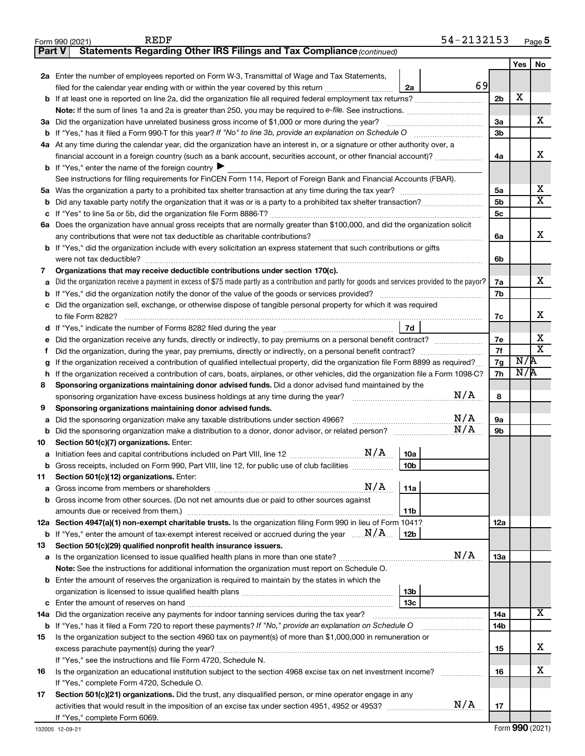|               | 54-2132153<br><b>REDF</b><br>Form 990 (2021)                                                                                                    |                |     | Page 5                       |
|---------------|-------------------------------------------------------------------------------------------------------------------------------------------------|----------------|-----|------------------------------|
| <b>Part V</b> | Statements Regarding Other IRS Filings and Tax Compliance (continued)                                                                           |                |     |                              |
|               |                                                                                                                                                 |                | Yes | No                           |
|               | 2a Enter the number of employees reported on Form W-3, Transmittal of Wage and Tax Statements,                                                  |                |     |                              |
|               | 69<br>filed for the calendar year ending with or within the year covered by this return<br>2a                                                   |                |     |                              |
| b             | If at least one is reported on line 2a, did the organization file all required federal employment tax returns?                                  | 2 <sub>b</sub> | X   |                              |
|               |                                                                                                                                                 |                |     |                              |
|               | 3a Did the organization have unrelated business gross income of \$1,000 or more during the year?                                                | За             |     | x                            |
|               | If "Yes," has it filed a Form 990-T for this year? If "No" to line 3b, provide an explanation on Schedule O                                     | 3 <sub>b</sub> |     |                              |
| b             |                                                                                                                                                 |                |     |                              |
|               | 4a At any time during the calendar year, did the organization have an interest in, or a signature or other authority over, a                    |                |     | x                            |
|               | financial account in a foreign country (such as a bank account, securities account, or other financial account)?                                | 4a             |     |                              |
|               | <b>b</b> If "Yes," enter the name of the foreign country $\blacktriangleright$                                                                  |                |     |                              |
|               | See instructions for filing requirements for FinCEN Form 114, Report of Foreign Bank and Financial Accounts (FBAR).                             |                |     |                              |
| 5a            |                                                                                                                                                 | 5a             |     | х<br>$\overline{\mathbf{x}}$ |
| b             |                                                                                                                                                 | 5 <sub>b</sub> |     |                              |
| с             |                                                                                                                                                 | 5 <sub>c</sub> |     |                              |
|               | 6a Does the organization have annual gross receipts that are normally greater than \$100,000, and did the organization solicit                  |                |     |                              |
|               |                                                                                                                                                 | 6a             |     | x                            |
|               | <b>b</b> If "Yes," did the organization include with every solicitation an express statement that such contributions or gifts                   |                |     |                              |
|               | were not tax deductible?                                                                                                                        | 6b             |     |                              |
| 7             | Organizations that may receive deductible contributions under section 170(c).                                                                   |                |     |                              |
| a             | Did the organization receive a payment in excess of \$75 made partly as a contribution and partly for goods and services provided to the payor? | 7а             |     | x                            |
| b             |                                                                                                                                                 | 7b             |     |                              |
| с             | Did the organization sell, exchange, or otherwise dispose of tangible personal property for which it was required                               |                |     |                              |
|               |                                                                                                                                                 | 7c             |     | x                            |
| d             | 7d                                                                                                                                              |                |     |                              |
| е             | Did the organization receive any funds, directly or indirectly, to pay premiums on a personal benefit contract?                                 | 7e             |     | Х                            |
| Ť             | Did the organization, during the year, pay premiums, directly or indirectly, on a personal benefit contract?                                    | 7f             |     | $\overline{\mathbf{X}}$      |
| g             | If the organization received a contribution of qualified intellectual property, did the organization file Form 8899 as required?                | 7g             | N/R |                              |
| h             | If the organization received a contribution of cars, boats, airplanes, or other vehicles, did the organization file a Form 1098-C?              | 7h             | N/R |                              |
| 8             | Sponsoring organizations maintaining donor advised funds. Did a donor advised fund maintained by the                                            |                |     |                              |
|               | N/A<br>sponsoring organization have excess business holdings at any time during the year?                                                       | 8              |     |                              |
| 9             | Sponsoring organizations maintaining donor advised funds.                                                                                       |                |     |                              |
| а             | N/A<br>Did the sponsoring organization make any taxable distributions under section 4966?                                                       | 9a             |     |                              |
| b             | N/A<br>Did the sponsoring organization make a distribution to a donor, donor advisor, or related person?                                        | 9b             |     |                              |
| 10            | Section 501(c)(7) organizations. Enter:                                                                                                         |                |     |                              |
|               | 10a                                                                                                                                             |                |     |                              |
|               | Gross receipts, included on Form 990, Part VIII, line 12, for public use of club facilities<br>10 <sub>b</sub>                                  |                |     |                              |
| 11            | Section 501(c)(12) organizations. Enter:                                                                                                        |                |     |                              |
|               | N/A<br>11a                                                                                                                                      |                |     |                              |
| а             | Gross income from other sources. (Do not net amounts due or paid to other sources against                                                       |                |     |                              |
| b             |                                                                                                                                                 |                |     |                              |
|               | 11b                                                                                                                                             |                |     |                              |
|               | 12a Section 4947(a)(1) non-exempt charitable trusts. Is the organization filing Form 990 in lieu of Form 1041?                                  | 12a            |     |                              |
|               | <b>b</b> If "Yes," enter the amount of tax-exempt interest received or accrued during the year $\ldots$ $\mathbf{N}/\mathbf{A}$<br>  12b        |                |     |                              |
| 13            | Section 501(c)(29) qualified nonprofit health insurance issuers.<br>N/A                                                                         |                |     |                              |
| а             | Is the organization licensed to issue qualified health plans in more than one state?                                                            | 13a            |     |                              |
|               | Note: See the instructions for additional information the organization must report on Schedule O.                                               |                |     |                              |
| b             | Enter the amount of reserves the organization is required to maintain by the states in which the                                                |                |     |                              |
|               | 13 <sub>b</sub>                                                                                                                                 |                |     |                              |
| с             | 13 <sub>c</sub>                                                                                                                                 |                |     |                              |
| 14a           | Did the organization receive any payments for indoor tanning services during the tax year?                                                      | 14a            |     | X                            |
|               | <b>b</b> If "Yes," has it filed a Form 720 to report these payments? If "No," provide an explanation on Schedule O                              | 14b            |     |                              |
| 15            | Is the organization subject to the section 4960 tax on payment(s) of more than \$1,000,000 in remuneration or                                   |                |     |                              |
|               | excess parachute payment(s) during the year?                                                                                                    | 15             |     | х                            |
|               | If "Yes," see the instructions and file Form 4720, Schedule N.                                                                                  |                |     |                              |
| 16            | Is the organization an educational institution subject to the section 4968 excise tax on net investment income?                                 | 16             |     | х                            |
|               | If "Yes," complete Form 4720, Schedule O.                                                                                                       |                |     |                              |
| 17            | Section 501(c)(21) organizations. Did the trust, any disqualified person, or mine operator engage in any                                        |                |     |                              |
|               | N/A                                                                                                                                             | 17             |     |                              |
|               | If "Yes," complete Form 6069.                                                                                                                   |                |     |                              |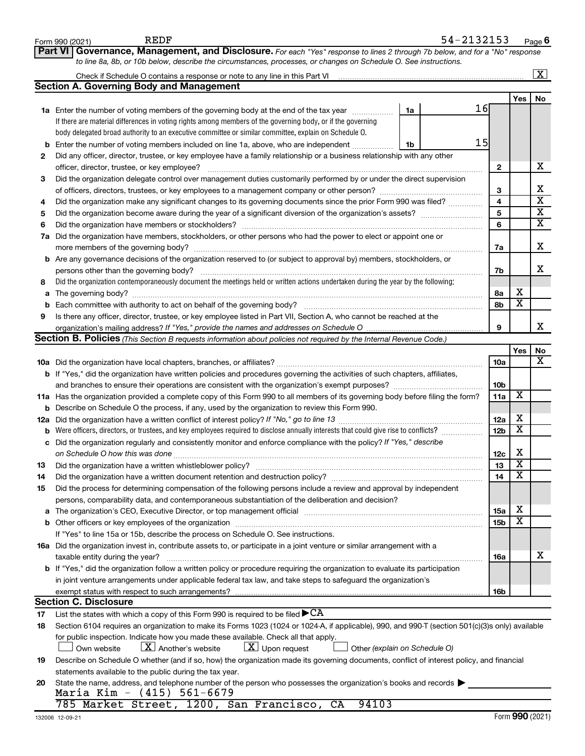|    | <b>REDF</b><br>Form 990 (2021)                                                                                                                   |    | 54-2132153 |                 |                         | Page 6                  |
|----|--------------------------------------------------------------------------------------------------------------------------------------------------|----|------------|-----------------|-------------------------|-------------------------|
|    | Part VI Governance, Management, and Disclosure. For each "Yes" response to lines 2 through 7b below, and for a "No" response                     |    |            |                 |                         |                         |
|    | to line 8a, 8b, or 10b below, describe the circumstances, processes, or changes on Schedule O. See instructions.                                 |    |            |                 |                         |                         |
|    |                                                                                                                                                  |    |            |                 |                         | $\overline{\mathbf{X}}$ |
|    | <b>Section A. Governing Body and Management</b>                                                                                                  |    |            |                 |                         |                         |
|    |                                                                                                                                                  |    |            |                 | Yes                     | No                      |
|    | 1a Enter the number of voting members of the governing body at the end of the tax year                                                           | 1a |            | 16              |                         |                         |
|    | If there are material differences in voting rights among members of the governing body, or if the governing                                      |    |            |                 |                         |                         |
|    | body delegated broad authority to an executive committee or similar committee, explain on Schedule O.                                            |    |            |                 |                         |                         |
| b  | Enter the number of voting members included on line 1a, above, who are independent <i></i>                                                       | 1b |            | 15              |                         |                         |
| 2  | Did any officer, director, trustee, or key employee have a family relationship or a business relationship with any other                         |    |            |                 |                         |                         |
|    | officer, director, trustee, or key employee?                                                                                                     |    |            | 2               |                         | х                       |
| 3  | Did the organization delegate control over management duties customarily performed by or under the direct supervision                            |    |            |                 |                         |                         |
|    |                                                                                                                                                  |    |            | 3               |                         | х                       |
| 4  | Did the organization make any significant changes to its governing documents since the prior Form 990 was filed?                                 |    |            | 4               |                         | $\overline{\text{x}}$   |
| 5  |                                                                                                                                                  |    |            | 5               |                         | $\overline{\textbf{x}}$ |
| 6  |                                                                                                                                                  |    |            | 6               |                         | $\overline{\textbf{x}}$ |
|    | 7a Did the organization have members, stockholders, or other persons who had the power to elect or appoint one or                                |    |            |                 |                         |                         |
|    |                                                                                                                                                  |    |            | 7a              |                         | х                       |
|    | <b>b</b> Are any governance decisions of the organization reserved to (or subject to approval by) members, stockholders, or                      |    |            |                 |                         |                         |
|    | persons other than the governing body?                                                                                                           |    |            | 7b              |                         | x                       |
| 8  | Did the organization contemporaneously document the meetings held or written actions undertaken during the year by the following:                |    |            |                 |                         |                         |
| a  |                                                                                                                                                  |    |            | 8а              | х                       |                         |
| b  | Each committee with authority to act on behalf of the governing body?                                                                            |    |            | 8b              | $\overline{\mathbf{x}}$ |                         |
| 9  | Is there any officer, director, trustee, or key employee listed in Part VII, Section A, who cannot be reached at the                             |    |            |                 |                         |                         |
|    |                                                                                                                                                  |    |            | 9               |                         | x                       |
|    | Section B. Policies (This Section B requests information about policies not required by the Internal Revenue Code.)                              |    |            |                 |                         |                         |
|    |                                                                                                                                                  |    |            |                 | Yes                     | No<br>х                 |
|    |                                                                                                                                                  |    |            | 10a             |                         |                         |
|    | <b>b</b> If "Yes," did the organization have written policies and procedures governing the activities of such chapters, affiliates,              |    |            |                 |                         |                         |
|    | and branches to ensure their operations are consistent with the organization's exempt purposes?                                                  |    |            | 10b<br>11a      | X                       |                         |
|    | 11a Has the organization provided a complete copy of this Form 990 to all members of its governing body before filing the form?                  |    |            |                 |                         |                         |
|    | <b>b</b> Describe on Schedule O the process, if any, used by the organization to review this Form 990.                                           |    |            | 12a             | х                       |                         |
|    | <b>b</b> Were officers, directors, or trustees, and key employees required to disclose annually interests that could give rise to conflicts?     |    |            | 12 <sub>b</sub> | $\overline{\mathbf{X}}$ |                         |
|    | c Did the organization regularly and consistently monitor and enforce compliance with the policy? If "Yes," describe                             |    |            |                 |                         |                         |
|    |                                                                                                                                                  |    |            | 12c             | х                       |                         |
| 13 | Did the organization have a written whistleblower policy?                                                                                        |    |            | 13              | A                       |                         |
| 14 |                                                                                                                                                  |    |            | 14              | X                       |                         |
| 15 | Did the process for determining compensation of the following persons include a review and approval by independent                               |    |            |                 |                         |                         |
|    | persons, comparability data, and contemporaneous substantiation of the deliberation and decision?                                                |    |            |                 |                         |                         |
| a  |                                                                                                                                                  |    |            | <b>15a</b>      | х                       |                         |
|    |                                                                                                                                                  |    |            | <b>15b</b>      | X                       |                         |
|    | If "Yes" to line 15a or 15b, describe the process on Schedule O. See instructions.                                                               |    |            |                 |                         |                         |
|    | 16a Did the organization invest in, contribute assets to, or participate in a joint venture or similar arrangement with a                        |    |            |                 |                         |                         |
|    | taxable entity during the year?                                                                                                                  |    |            | 16a             |                         | х                       |
|    | b If "Yes," did the organization follow a written policy or procedure requiring the organization to evaluate its participation                   |    |            |                 |                         |                         |
|    | in joint venture arrangements under applicable federal tax law, and take steps to safeguard the organization's                                   |    |            |                 |                         |                         |
|    | exempt status with respect to such arrangements?                                                                                                 |    |            | 16b             |                         |                         |
|    | <b>Section C. Disclosure</b>                                                                                                                     |    |            |                 |                         |                         |
| 17 | List the states with which a copy of this Form 990 is required to be filed $\blacktriangleright$ CA                                              |    |            |                 |                         |                         |
| 18 | Section 6104 requires an organization to make its Forms 1023 (1024 or 1024-A, if applicable), 990, and 990-T (section 501(c)(3)s only) available |    |            |                 |                         |                         |
|    | for public inspection. Indicate how you made these available. Check all that apply.                                                              |    |            |                 |                         |                         |
|    | $\lfloor x \rfloor$ Another's website<br>$X$ Upon request<br>Own website<br>Other (explain on Schedule O)                                        |    |            |                 |                         |                         |
| 19 | Describe on Schedule O whether (and if so, how) the organization made its governing documents, conflict of interest policy, and financial        |    |            |                 |                         |                         |
|    | statements available to the public during the tax year.                                                                                          |    |            |                 |                         |                         |
| 20 | State the name, address, and telephone number of the person who possesses the organization's books and records                                   |    |            |                 |                         |                         |
|    | Maria Kim - (415) 561-6679                                                                                                                       |    |            |                 |                         |                         |
|    | 785 Market Street, 1200, San Francisco, CA<br>94103                                                                                              |    |            |                 |                         |                         |

ľ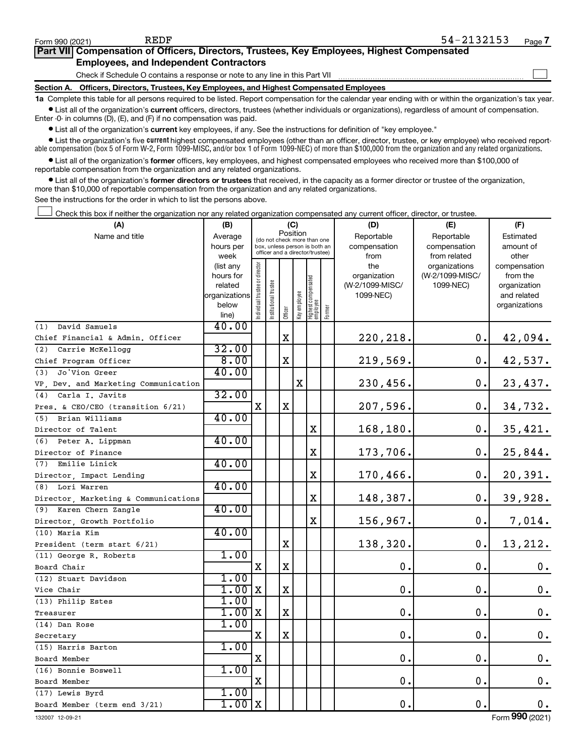$\Box$ 

| Part VII Compensation of Officers, Directors, Trustees, Key Employees, Highest Compensated |  |
|--------------------------------------------------------------------------------------------|--|
| <b>Employees, and Independent Contractors</b>                                              |  |

Check if Schedule O contains a response or note to any line in this Part VII

**Section A. Officers, Directors, Trustees, Key Employees, and Highest Compensated Employees**

**1a**  Complete this table for all persons required to be listed. Report compensation for the calendar year ending with or within the organization's tax year.  $\bullet$  List all of the organization's current officers, directors, trustees (whether individuals or organizations), regardless of amount of compensation.

Enter -0- in columns (D), (E), and (F) if no compensation was paid.

**•** List all of the organization's **current** key employees, if any. See the instructions for definition of "key employee."

• List the organization's five *current* highest compensated employees (other than an officer, director, trustee, or key employee) who received reportable compensation (box 5 of Form W-2, Form 1099-MISC, and/or box 1 of Form 1099-NEC) of more than \$100,000 from the organization and any related organizations.

 $\bullet$  List all of the organization's former officers, key employees, and highest compensated employees who received more than \$100,000 of reportable compensation from the organization and any related organizations.

**•** List all of the organization's former directors or trustees that received, in the capacity as a former director or trustee of the organization, more than \$10,000 of reportable compensation from the organization and any related organizations.

See the instructions for the order in which to list the persons above.

Check this box if neither the organization nor any related organization compensated any current officer, director, or trustee.  $\Box$ 

| (A)                                  | (B)                    |                                         |                                                                  |             | (C)          |                                   |        | (D)             | (E)                              | (F)                      |  |
|--------------------------------------|------------------------|-----------------------------------------|------------------------------------------------------------------|-------------|--------------|-----------------------------------|--------|-----------------|----------------------------------|--------------------------|--|
| Name and title                       | Average                | Position<br>(do not check more than one |                                                                  |             |              |                                   |        | Reportable      | Reportable                       | Estimated                |  |
|                                      | hours per              |                                         | box, unless person is both an<br>officer and a director/trustee) |             |              |                                   |        | compensation    | compensation                     | amount of                |  |
|                                      | week                   |                                         |                                                                  |             |              |                                   |        | from<br>the     | from related                     | other                    |  |
|                                      | (list any<br>hours for |                                         |                                                                  |             |              |                                   |        | organization    | organizations<br>(W-2/1099-MISC/ | compensation<br>from the |  |
|                                      | related                |                                         | trustee                                                          |             |              |                                   |        | (W-2/1099-MISC/ | 1099-NEC)                        | organization             |  |
|                                      | organizations          |                                         |                                                                  |             |              |                                   |        | 1099-NEC)       |                                  | and related              |  |
|                                      | below                  | Individual trustee or director          | Institutional t                                                  |             | Key employee |                                   |        |                 |                                  | organizations            |  |
|                                      | line)                  |                                         |                                                                  | Officer     |              | Highest compensated<br>  employee | Former |                 |                                  |                          |  |
| David Samuels<br>(1)                 | 40.00                  |                                         |                                                                  |             |              |                                   |        |                 |                                  |                          |  |
| Chief Financial & Admin. Officer     |                        |                                         |                                                                  | $\mathbf X$ |              |                                   |        | 220, 218.       | 0.                               | 42,094.                  |  |
| Carrie McKellogg<br>(2)              | 32.00                  |                                         |                                                                  |             |              |                                   |        |                 |                                  |                          |  |
| Chief Program Officer                | 8.00                   |                                         |                                                                  | $\mathbf X$ |              |                                   |        | 219,569.        | 0.                               | 42,537.                  |  |
| Jo'Vion Greer<br>(3)                 | 40.00                  |                                         |                                                                  |             |              |                                   |        |                 |                                  |                          |  |
| VP, Dev. and Marketing Communication |                        |                                         |                                                                  |             | X            |                                   |        | 230,456.        | 0.                               | 23,437.                  |  |
| Carla I. Javits<br>(4)               | 32.00                  |                                         |                                                                  |             |              |                                   |        |                 |                                  |                          |  |
| Pres. & CEO/CEO (transition 6/21)    |                        | x                                       |                                                                  | $\mathbf X$ |              |                                   |        | 207,596.        | 0.                               | 34,732.                  |  |
| (5) Brian Williams                   | 40.00                  |                                         |                                                                  |             |              |                                   |        |                 |                                  |                          |  |
| Director of Talent                   |                        |                                         |                                                                  |             |              | X                                 |        | 168,180.        | 0.                               | 35,421.                  |  |
| (6) Peter A. Lippman                 | 40.00                  |                                         |                                                                  |             |              |                                   |        |                 |                                  |                          |  |
| Director of Finance                  |                        |                                         |                                                                  |             |              | $\mathbf X$                       |        | 173,706.        | $\mathbf 0$ .                    | 25,844.                  |  |
| (7)<br>Emilie Linick                 | 40.00                  |                                         |                                                                  |             |              |                                   |        |                 |                                  |                          |  |
| Director, Impact Lending             |                        |                                         |                                                                  |             |              | $\mathbf X$                       |        | 170,466.        | 0.                               | 20,391.                  |  |
| (8) Lori Warren                      | 40.00                  |                                         |                                                                  |             |              |                                   |        |                 |                                  |                          |  |
| Director, Marketing & Communications |                        |                                         |                                                                  |             |              | $\mathbf X$                       |        | 148,387.        | $\mathbf 0$ .                    | 39,928.                  |  |
| (9) Karen Chern Zangle               | 40.00                  |                                         |                                                                  |             |              |                                   |        |                 |                                  |                          |  |
| Director, Growth Portfolio           |                        |                                         |                                                                  |             |              | $\mathbf X$                       |        | 156,967.        | 0.                               | 7,014.                   |  |
| (10) Maria Kim                       | 40.00                  |                                         |                                                                  |             |              |                                   |        |                 |                                  |                          |  |
| President (term start 6/21)          |                        |                                         |                                                                  | $\mathbf X$ |              |                                   |        | 138,320.        | 0.                               | 13,212.                  |  |
| (11) George R. Roberts               | 1.00                   |                                         |                                                                  |             |              |                                   |        |                 |                                  |                          |  |
| Board Chair                          |                        | X                                       |                                                                  | $\mathbf X$ |              |                                   |        | $\mathbf 0$ .   | 0.                               | $0$ .                    |  |
| (12) Stuart Davidson                 | 1.00                   |                                         |                                                                  |             |              |                                   |        |                 |                                  |                          |  |
| Vice Chair                           | $1.00$ X               |                                         |                                                                  | $\mathbf X$ |              |                                   |        | $\mathbf 0$ .   | $\mathbf 0$ .                    | $\mathbf 0$ .            |  |
| (13) Philip Estes                    | 1.00                   |                                         |                                                                  |             |              |                                   |        |                 |                                  |                          |  |
| Treasurer                            | $1.00$ X               |                                         |                                                                  | $\mathbf X$ |              |                                   |        | $\mathbf 0$ .   | 0.                               | 0.                       |  |
| (14) Dan Rose                        | 1.00                   |                                         |                                                                  |             |              |                                   |        |                 |                                  |                          |  |
| Secretary                            |                        | $\mathbf X$                             |                                                                  | $\mathbf X$ |              |                                   |        | $\mathbf 0$ .   | $\mathbf 0$ .                    | 0.                       |  |
| (15) Harris Barton                   | 1.00                   |                                         |                                                                  |             |              |                                   |        |                 |                                  |                          |  |
| Board Member                         |                        | $\mathbf X$                             |                                                                  |             |              |                                   |        | 0.              | $\mathbf 0$ .                    | 0.                       |  |
| (16) Bonnie Boswell                  | 1.00                   |                                         |                                                                  |             |              |                                   |        |                 |                                  |                          |  |
| Board Member                         |                        | X                                       |                                                                  |             |              |                                   |        | 0.              | 0.                               | $\mathbf 0$ .            |  |
| (17) Lewis Byrd                      | 1.00                   |                                         |                                                                  |             |              |                                   |        |                 |                                  |                          |  |
| Board Member (term end 3/21)         | $1.00$ X               |                                         |                                                                  |             |              |                                   |        | 0.              | 0.                               | 0.                       |  |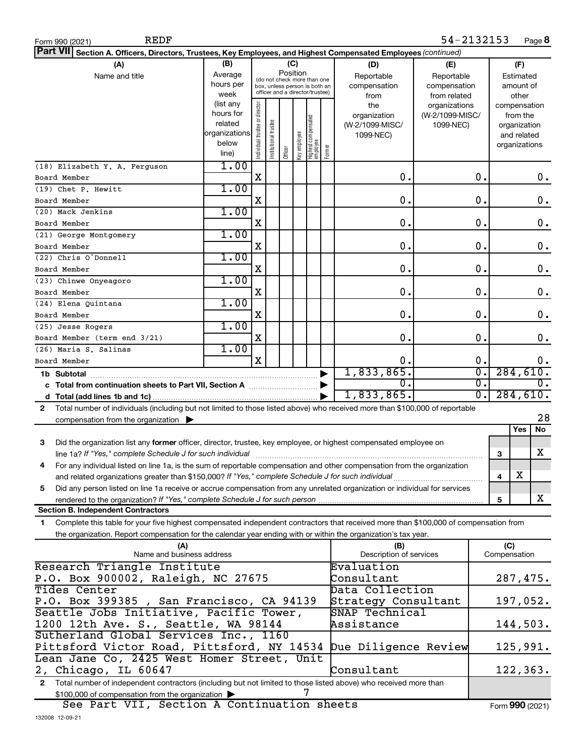| 54-2132153<br><b>REDF</b><br>Page 8<br>Form 990 (2021)                                                                                     |                |                                |                       |         |              |                                                              |                     |                         |                 |                  |              |               |                  |
|--------------------------------------------------------------------------------------------------------------------------------------------|----------------|--------------------------------|-----------------------|---------|--------------|--------------------------------------------------------------|---------------------|-------------------------|-----------------|------------------|--------------|---------------|------------------|
| <b>Part VII</b><br>Section A. Officers, Directors, Trustees, Key Employees, and Highest Compensated Employees (continued)                  |                |                                |                       |         |              |                                                              |                     |                         |                 |                  |              |               |                  |
| (B)<br>(A)<br>(C)<br>(F)<br>(D)<br>(E)                                                                                                     |                |                                |                       |         |              |                                                              |                     |                         |                 |                  |              |               |                  |
| Name and title                                                                                                                             | Average        |                                |                       |         | Position     |                                                              |                     | Reportable              | Reportable      |                  |              | Estimated     |                  |
| hours per                                                                                                                                  |                |                                |                       |         |              | (do not check more than one<br>box, unless person is both an |                     | compensation            | compensation    |                  |              | amount of     |                  |
| week                                                                                                                                       |                |                                |                       |         |              | officer and a director/trustee)                              |                     | from                    | from related    |                  |              | other         |                  |
|                                                                                                                                            | (list any      |                                |                       |         |              |                                                              |                     | the                     | organizations   |                  |              | compensation  |                  |
|                                                                                                                                            | hours for      |                                |                       |         |              |                                                              |                     | organization            | (W-2/1099-MISC/ |                  |              | from the      |                  |
|                                                                                                                                            | related        |                                |                       |         |              |                                                              |                     | (W 2/1099-MISC/         | 1099-NEC)       |                  |              | organization  |                  |
|                                                                                                                                            | organizations  |                                |                       |         |              |                                                              |                     | 1099-NEC)               |                 |                  |              | and related   |                  |
|                                                                                                                                            | below<br>line) | Individual trustee or director | Institutional trustee | Officer | Key employee | Highest compensated<br>  employee                            | Former              |                         |                 |                  |              | organizations |                  |
|                                                                                                                                            | 1.00           |                                |                       |         |              |                                                              |                     |                         |                 |                  |              |               |                  |
| (18) Elizabeth Y. A. Ferguson                                                                                                              |                | X                              |                       |         |              |                                                              |                     | О.                      |                 | 0.               |              |               | $0$ .            |
| Board Member                                                                                                                               | 1.00           |                                |                       |         |              |                                                              |                     |                         |                 |                  |              |               |                  |
| (19) Chet P. Hewitt                                                                                                                        |                |                                |                       |         |              |                                                              |                     |                         |                 |                  |              |               |                  |
| Board Member                                                                                                                               |                | X                              |                       |         |              |                                                              |                     | О.                      |                 | 0.               |              |               | 0.               |
| (20) Mack Jenkins                                                                                                                          | 1.00           |                                |                       |         |              |                                                              |                     |                         |                 |                  |              |               |                  |
| Board Member                                                                                                                               |                | X                              |                       |         |              |                                                              |                     | О.                      |                 | 0.               |              |               | 0.               |
| (21) George Montgomery                                                                                                                     | 1.00           |                                |                       |         |              |                                                              |                     |                         |                 |                  |              |               |                  |
| Board Member                                                                                                                               |                | X                              |                       |         |              |                                                              |                     | О.                      |                 | 0.               |              |               | 0.               |
| (22) Chris O'Donnell                                                                                                                       | 1.00           |                                |                       |         |              |                                                              |                     |                         |                 |                  |              |               |                  |
| Board Member                                                                                                                               |                | X                              |                       |         |              |                                                              |                     | О.                      |                 | 0.               |              |               | 0.               |
| (23) Chinwe Onyeagoro                                                                                                                      | 1.00           |                                |                       |         |              |                                                              |                     |                         |                 |                  |              |               |                  |
| Board Member                                                                                                                               |                | X                              |                       |         |              |                                                              |                     | О.                      |                 | 0.               |              |               | 0.               |
| (24) Elena Quintana                                                                                                                        | 1.00           |                                |                       |         |              |                                                              |                     |                         |                 |                  |              |               |                  |
| Board Member                                                                                                                               |                | X                              |                       |         |              |                                                              |                     | О.                      |                 | 0.               |              |               | 0.               |
| (25) Jesse Rogers                                                                                                                          | 1.00           |                                |                       |         |              |                                                              |                     |                         |                 |                  |              |               |                  |
| Board Member (term end 3/21)                                                                                                               |                | X                              |                       |         |              |                                                              |                     | О.                      |                 | $\mathbf 0$ .    |              |               | 0.               |
| (26) Maria S. Salinas                                                                                                                      | 1.00           |                                |                       |         |              |                                                              |                     |                         |                 |                  |              |               |                  |
| Board Member                                                                                                                               |                | X                              |                       |         |              |                                                              |                     | Ο.                      |                 | 0.               |              |               | 0.               |
| 1b Subtotal                                                                                                                                |                |                                |                       |         |              |                                                              |                     | 1,833,865.              |                 | $\overline{0}$ . |              |               | 284,610.         |
| c Total from continuation sheets to Part VII, Section A manufactured by                                                                    |                |                                |                       |         |              |                                                              |                     | 0.                      |                 | $\overline{0}$ . |              |               | $\overline{0}$ . |
|                                                                                                                                            |                |                                |                       |         |              |                                                              |                     | 1,833,865.              |                 | $\overline{0}$ . |              |               | 284,610.         |
| Total number of individuals (including but not limited to those listed above) who received more than \$100,000 of reportable<br>2          |                |                                |                       |         |              |                                                              |                     |                         |                 |                  |              |               |                  |
| compensation from the organization $\blacktriangleright$                                                                                   |                |                                |                       |         |              |                                                              |                     |                         |                 |                  |              |               | 28               |
|                                                                                                                                            |                |                                |                       |         |              |                                                              |                     |                         |                 |                  |              | Yes           | No               |
| 3<br>Did the organization list any former officer, director, trustee, key employee, or highest compensated employee on                     |                |                                |                       |         |              |                                                              |                     |                         |                 |                  |              |               |                  |
| line 1a? If "Yes," complete Schedule J for such individual manufacture content to the set of the set of the such re                        |                |                                |                       |         |              |                                                              |                     |                         |                 |                  | 3            |               | X                |
| For any individual listed on line 1a, is the sum of reportable compensation and other compensation from the organization                   |                |                                |                       |         |              |                                                              |                     |                         |                 |                  |              |               |                  |
| and related organizations greater than \$150,000? If "Yes," complete Schedule J for such individual                                        |                |                                |                       |         |              |                                                              |                     |                         |                 |                  | 4            | х             |                  |
| Did any person listed on line 1a receive or accrue compensation from any unrelated organization or individual for services<br>5            |                |                                |                       |         |              |                                                              |                     |                         |                 |                  |              |               |                  |
| rendered to the organization? If "Yes," complete Schedule J for such person.                                                               |                |                                |                       |         |              |                                                              |                     |                         |                 |                  | 5            |               | X                |
| <b>Section B. Independent Contractors</b>                                                                                                  |                |                                |                       |         |              |                                                              |                     |                         |                 |                  |              |               |                  |
| Complete this table for your five highest compensated independent contractors that received more than \$100,000 of compensation from<br>1. |                |                                |                       |         |              |                                                              |                     |                         |                 |                  |              |               |                  |
| the organization. Report compensation for the calendar year ending with or within the organization's tax year.                             |                |                                |                       |         |              |                                                              |                     |                         |                 |                  |              |               |                  |
| (A)                                                                                                                                        |                |                                |                       |         |              |                                                              |                     | (B)                     |                 |                  | (C)          |               |                  |
| Name and business address                                                                                                                  |                |                                |                       |         |              |                                                              |                     | Description of services |                 |                  | Compensation |               |                  |
| Research Triangle Institute                                                                                                                |                |                                |                       |         |              |                                                              |                     | Evaluation              |                 |                  |              |               |                  |
| P.O. Box 900002, Raleigh, NC 27675                                                                                                         |                |                                |                       |         |              |                                                              |                     | Consultant              |                 |                  |              |               | 287,475.         |
| Tides Center                                                                                                                               |                |                                |                       |         |              |                                                              |                     | Data Collection         |                 |                  |              |               |                  |
| P.O. Box 399385, San Francisco, CA 94139                                                                                                   |                |                                |                       |         |              |                                                              | Strategy Consultant |                         |                 |                  |              | 197,052.      |                  |
| Seattle Jobs Initiative, Pacific Tower,                                                                                                    |                |                                |                       |         |              |                                                              |                     | SNAP Technical          |                 |                  |              |               |                  |
| 1200 12th Ave. S., Seattle, WA 98144                                                                                                       |                |                                |                       |         |              |                                                              |                     | Assistance              |                 |                  |              |               | 144,503.         |
| Sutherland Global Services Inc., 1160                                                                                                      |                |                                |                       |         |              |                                                              |                     |                         |                 |                  |              |               |                  |
| Pittsford Victor Road, Pittsford, NY 14534                                                                                                 |                |                                |                       |         |              |                                                              |                     | Due Diligence Review    |                 |                  |              |               | 125,991.         |
| Lean Jane Co, 2425 West Homer Street, Unit                                                                                                 |                |                                |                       |         |              |                                                              |                     |                         |                 |                  |              |               |                  |
| 2, Chicago, IL 60647                                                                                                                       |                |                                |                       |         |              |                                                              |                     | Consultant              |                 |                  |              |               | 122, 363.        |
| Total number of independent contractors (including but not limited to those listed above) who received more than<br>$\mathbf{2}$           |                |                                |                       |         |              |                                                              |                     |                         |                 |                  |              |               |                  |
| \$100,000 of compensation from the organization                                                                                            |                |                                |                       |         |              |                                                              |                     |                         |                 |                  |              |               |                  |
| See Bart WII Section & Continuation sheets                                                                                                 |                |                                |                       |         |              |                                                              |                     |                         |                 |                  |              |               |                  |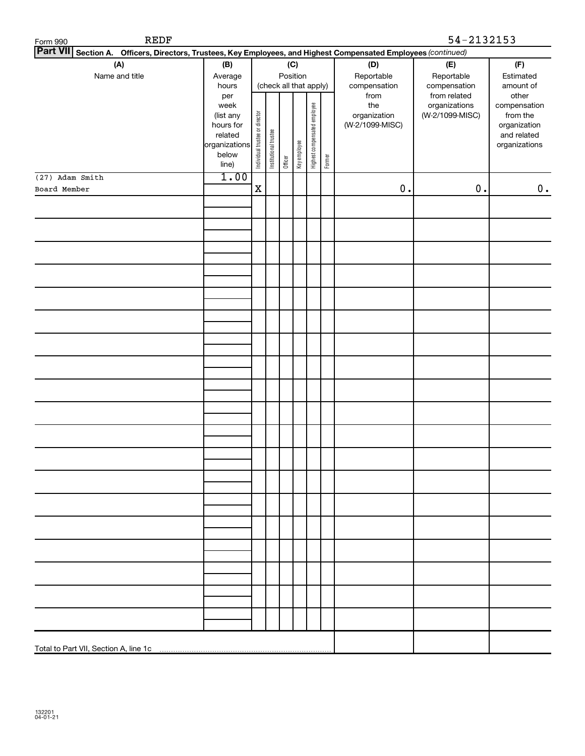| REDF<br>Form 990                                                                                                |                                                                                               |             |                       |          |                        |                              |        |                                 | 54-2132153      |                             |
|-----------------------------------------------------------------------------------------------------------------|-----------------------------------------------------------------------------------------------|-------------|-----------------------|----------|------------------------|------------------------------|--------|---------------------------------|-----------------|-----------------------------|
| Part VII Section A. Officers, Directors, Trustees, Key Employees, and Highest Compensated Employees (continued) |                                                                                               |             |                       |          |                        |                              |        |                                 |                 |                             |
| (A)                                                                                                             | (B)                                                                                           |             |                       |          | (C)                    |                              |        | (D)                             | (E)             | (F)                         |
| Name and title                                                                                                  | Average                                                                                       |             |                       | Position |                        |                              |        | Reportable                      | Reportable      | Estimated                   |
|                                                                                                                 | hours                                                                                         |             |                       |          | (check all that apply) |                              |        | compensation                    | compensation    | amount of                   |
|                                                                                                                 | per                                                                                           |             |                       |          |                        |                              |        | from                            | from related    | other                       |
|                                                                                                                 | week                                                                                          |             |                       |          |                        |                              |        | the                             | organizations   | compensation                |
|                                                                                                                 |                                                                                               |             |                       |          |                        |                              |        | organization<br>(W-2/1099-MISC) | (W-2/1099-MISC) | from the                    |
|                                                                                                                 |                                                                                               |             |                       |          |                        |                              |        |                                 |                 | organization<br>and related |
|                                                                                                                 |                                                                                               |             | Institutional trustee |          |                        | Highest compensated employee |        |                                 |                 | organizations               |
|                                                                                                                 |                                                                                               |             |                       |          |                        |                              |        |                                 |                 |                             |
|                                                                                                                 | (list any<br>hours for<br>list any<br>hours for<br>related<br>organizations<br>below<br>line) |             |                       | Officer  | Key employee           |                              | Former |                                 |                 |                             |
| (27) Adam Smith                                                                                                 | 1.00                                                                                          |             |                       |          |                        |                              |        |                                 |                 |                             |
| Board Member                                                                                                    |                                                                                               | $\mathbf X$ |                       |          |                        |                              |        | $0$ .                           | $0$ .           | $\mathbf 0$ .               |
|                                                                                                                 |                                                                                               |             |                       |          |                        |                              |        |                                 |                 |                             |
|                                                                                                                 |                                                                                               |             |                       |          |                        |                              |        |                                 |                 |                             |
|                                                                                                                 |                                                                                               |             |                       |          |                        |                              |        |                                 |                 |                             |
|                                                                                                                 |                                                                                               |             |                       |          |                        |                              |        |                                 |                 |                             |
|                                                                                                                 |                                                                                               |             |                       |          |                        |                              |        |                                 |                 |                             |
|                                                                                                                 |                                                                                               |             |                       |          |                        |                              |        |                                 |                 |                             |
|                                                                                                                 |                                                                                               |             |                       |          |                        |                              |        |                                 |                 |                             |
|                                                                                                                 |                                                                                               |             |                       |          |                        |                              |        |                                 |                 |                             |
|                                                                                                                 |                                                                                               |             |                       |          |                        |                              |        |                                 |                 |                             |
|                                                                                                                 |                                                                                               |             |                       |          |                        |                              |        |                                 |                 |                             |
|                                                                                                                 |                                                                                               |             |                       |          |                        |                              |        |                                 |                 |                             |
|                                                                                                                 |                                                                                               |             |                       |          |                        |                              |        |                                 |                 |                             |
|                                                                                                                 |                                                                                               |             |                       |          |                        |                              |        |                                 |                 |                             |
|                                                                                                                 |                                                                                               |             |                       |          |                        |                              |        |                                 |                 |                             |
|                                                                                                                 |                                                                                               |             |                       |          |                        |                              |        |                                 |                 |                             |
|                                                                                                                 |                                                                                               |             |                       |          |                        |                              |        |                                 |                 |                             |
|                                                                                                                 |                                                                                               |             |                       |          |                        |                              |        |                                 |                 |                             |
|                                                                                                                 |                                                                                               |             |                       |          |                        |                              |        |                                 |                 |                             |
|                                                                                                                 |                                                                                               |             |                       |          |                        |                              |        |                                 |                 |                             |
|                                                                                                                 |                                                                                               |             |                       |          |                        |                              |        |                                 |                 |                             |
|                                                                                                                 |                                                                                               |             |                       |          |                        |                              |        |                                 |                 |                             |
|                                                                                                                 |                                                                                               |             |                       |          |                        |                              |        |                                 |                 |                             |
|                                                                                                                 |                                                                                               |             |                       |          |                        |                              |        |                                 |                 |                             |
|                                                                                                                 |                                                                                               |             |                       |          |                        |                              |        |                                 |                 |                             |
|                                                                                                                 |                                                                                               |             |                       |          |                        |                              |        |                                 |                 |                             |
|                                                                                                                 |                                                                                               |             |                       |          |                        |                              |        |                                 |                 |                             |
|                                                                                                                 |                                                                                               |             |                       |          |                        |                              |        |                                 |                 |                             |
|                                                                                                                 |                                                                                               |             |                       |          |                        |                              |        |                                 |                 |                             |
|                                                                                                                 |                                                                                               |             |                       |          |                        |                              |        |                                 |                 |                             |
|                                                                                                                 |                                                                                               |             |                       |          |                        |                              |        |                                 |                 |                             |
|                                                                                                                 |                                                                                               |             |                       |          |                        |                              |        |                                 |                 |                             |
|                                                                                                                 |                                                                                               |             |                       |          |                        |                              |        |                                 |                 |                             |
|                                                                                                                 |                                                                                               |             |                       |          |                        |                              |        |                                 |                 |                             |
|                                                                                                                 |                                                                                               |             |                       |          |                        |                              |        |                                 |                 |                             |
|                                                                                                                 |                                                                                               |             |                       |          |                        |                              |        |                                 |                 |                             |
|                                                                                                                 |                                                                                               |             |                       |          |                        |                              |        |                                 |                 |                             |
|                                                                                                                 |                                                                                               |             |                       |          |                        |                              |        |                                 |                 |                             |
|                                                                                                                 |                                                                                               |             |                       |          |                        |                              |        |                                 |                 |                             |
|                                                                                                                 |                                                                                               |             |                       |          |                        |                              |        |                                 |                 |                             |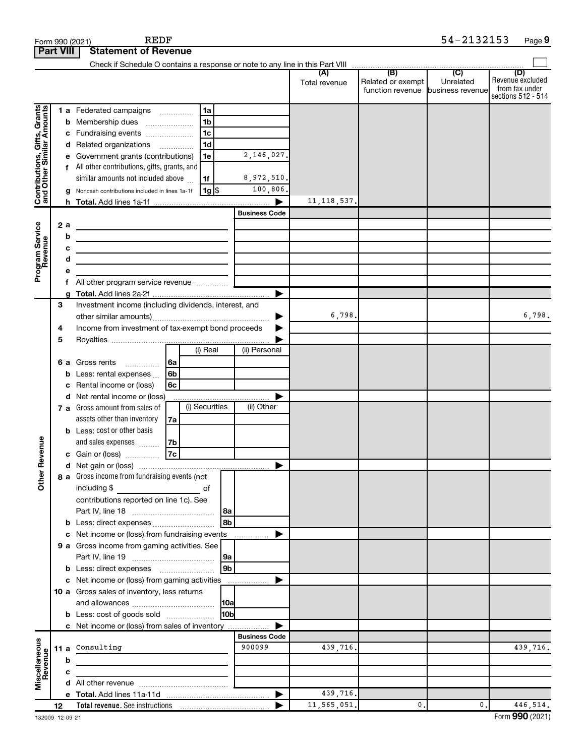| Form 990 (2021)                                           |                  |   | <b>REDF</b>                                                                                                           |                |                |            |                      |               |                                       | 54-2132153                    | Page 9                                                          |
|-----------------------------------------------------------|------------------|---|-----------------------------------------------------------------------------------------------------------------------|----------------|----------------|------------|----------------------|---------------|---------------------------------------|-------------------------------|-----------------------------------------------------------------|
|                                                           | <b>Part VIII</b> |   | <b>Statement of Revenue</b>                                                                                           |                |                |            |                      |               |                                       |                               |                                                                 |
|                                                           |                  |   |                                                                                                                       |                |                |            |                      |               |                                       |                               |                                                                 |
|                                                           |                  |   |                                                                                                                       |                |                |            |                      | Total revenue | Related or exempt<br>function revenue | Unrelated<br>business revenue | (D)<br>Revenue excluded<br>from tax under<br>sections 512 - 514 |
|                                                           |                  |   | 1 a Federated campaigns                                                                                               |                | 1a             |            |                      |               |                                       |                               |                                                                 |
|                                                           |                  |   | <b>b</b> Membership dues                                                                                              |                | 1 <sub>b</sub> |            |                      |               |                                       |                               |                                                                 |
|                                                           |                  |   | c Fundraising events                                                                                                  |                | 1c             |            |                      |               |                                       |                               |                                                                 |
|                                                           |                  |   | d Related organizations                                                                                               |                | 1 <sub>d</sub> |            |                      |               |                                       |                               |                                                                 |
|                                                           |                  |   | e Government grants (contributions)                                                                                   |                | 1e             |            | 2,146,027.           |               |                                       |                               |                                                                 |
|                                                           |                  |   | f All other contributions, gifts, grants, and                                                                         |                |                |            |                      |               |                                       |                               |                                                                 |
| Contributions, Gifts, Grants<br>and Other Similar Amounts |                  |   | similar amounts not included above                                                                                    |                | 1f             |            | 8,972,510.           |               |                                       |                               |                                                                 |
|                                                           |                  |   | Noncash contributions included in lines 1a-1f                                                                         |                | 1g   \$        |            | 100,806.             |               |                                       |                               |                                                                 |
|                                                           |                  | h |                                                                                                                       |                |                |            | ▶                    | 11, 118, 537. |                                       |                               |                                                                 |
|                                                           |                  |   |                                                                                                                       |                |                |            | <b>Business Code</b> |               |                                       |                               |                                                                 |
|                                                           | 2 a              |   | <u> 1989 - Johann Barn, fransk politik (d. 1989)</u>                                                                  |                |                |            |                      |               |                                       |                               |                                                                 |
| Program Service<br>Revenue                                |                  | b | the contract of the contract of the contract of the contract of                                                       |                |                |            |                      |               |                                       |                               |                                                                 |
|                                                           |                  | с | the contract of the contract of the contract of the contract of the contract of                                       |                |                |            |                      |               |                                       |                               |                                                                 |
|                                                           |                  | d | <u> 1989 - Johann Barn, mars ann an t-Amhain an t-Amhain an t-Amhain an t-Amhain an t-Amhain an t-Amhain an t-Amh</u> |                |                |            |                      |               |                                       |                               |                                                                 |
|                                                           |                  | е |                                                                                                                       |                |                |            |                      |               |                                       |                               |                                                                 |
|                                                           |                  |   | f All other program service revenue                                                                                   |                |                |            |                      |               |                                       |                               |                                                                 |
|                                                           | a                |   |                                                                                                                       |                |                |            | ▶                    |               |                                       |                               |                                                                 |
|                                                           | З                |   | Investment income (including dividends, interest, and                                                                 |                |                |            |                      |               |                                       |                               |                                                                 |
|                                                           |                  |   |                                                                                                                       |                |                |            | ▶                    | 6,798.        |                                       |                               | 6,798.                                                          |
|                                                           | 4                |   | Income from investment of tax-exempt bond proceeds                                                                    |                |                |            |                      |               |                                       |                               |                                                                 |
|                                                           | 5                |   |                                                                                                                       |                | (i) Real       |            | (ii) Personal        |               |                                       |                               |                                                                 |
|                                                           |                  |   |                                                                                                                       |                |                |            |                      |               |                                       |                               |                                                                 |
|                                                           |                  |   | <b>6 a</b> Gross rents<br>.                                                                                           | 6a             |                |            |                      |               |                                       |                               |                                                                 |
|                                                           |                  | b | Less: rental expenses                                                                                                 | 6 <sub>b</sub> |                |            |                      |               |                                       |                               |                                                                 |
|                                                           |                  | с | Rental income or (loss)<br>d Net rental income or (loss)                                                              | 6с             |                |            | ▶                    |               |                                       |                               |                                                                 |
|                                                           |                  |   | 7 a Gross amount from sales of                                                                                        |                | (i) Securities |            | (ii) Other           |               |                                       |                               |                                                                 |
|                                                           |                  |   | assets other than inventory                                                                                           | 7а             |                |            |                      |               |                                       |                               |                                                                 |
|                                                           |                  |   | <b>b</b> Less: cost or other basis                                                                                    |                |                |            |                      |               |                                       |                               |                                                                 |
|                                                           |                  |   | and sales expenses                                                                                                    | 7b             |                |            |                      |               |                                       |                               |                                                                 |
| evenue                                                    |                  |   | c Gain or (loss)                                                                                                      | 7c             |                |            |                      |               |                                       |                               |                                                                 |
|                                                           |                  |   |                                                                                                                       |                |                |            |                      |               |                                       |                               |                                                                 |
| Other F                                                   |                  |   | 8 a Gross income from fundraising events (not                                                                         |                |                |            |                      |               |                                       |                               |                                                                 |
|                                                           |                  |   | including \$<br><u>of</u> of                                                                                          |                |                |            |                      |               |                                       |                               |                                                                 |
|                                                           |                  |   | contributions reported on line 1c). See                                                                               |                |                |            |                      |               |                                       |                               |                                                                 |
|                                                           |                  |   |                                                                                                                       |                |                | 8a         |                      |               |                                       |                               |                                                                 |
|                                                           |                  |   | <b>b</b> Less: direct expenses                                                                                        |                |                | l 8b       |                      |               |                                       |                               |                                                                 |
|                                                           |                  |   | c Net income or (loss) from fundraising events                                                                        |                |                |            | ▶                    |               |                                       |                               |                                                                 |
|                                                           |                  |   | 9 a Gross income from gaming activities. See                                                                          |                |                |            |                      |               |                                       |                               |                                                                 |
|                                                           |                  |   |                                                                                                                       |                |                | 9a         |                      |               |                                       |                               |                                                                 |
|                                                           |                  |   |                                                                                                                       |                |                | l 9b       |                      |               |                                       |                               |                                                                 |
|                                                           |                  |   | c Net income or (loss) from gaming activities                                                                         |                |                |            | ▶                    |               |                                       |                               |                                                                 |
|                                                           |                  |   | 10 a Gross sales of inventory, less returns                                                                           |                |                |            |                      |               |                                       |                               |                                                                 |
|                                                           |                  |   |                                                                                                                       |                |                | 10a        |                      |               |                                       |                               |                                                                 |
|                                                           |                  |   | <b>b</b> Less: cost of goods sold                                                                                     |                |                | <b>HOb</b> |                      |               |                                       |                               |                                                                 |
|                                                           |                  |   | c Net income or (loss) from sales of inventory                                                                        |                |                |            | ▶                    |               |                                       |                               |                                                                 |
|                                                           |                  |   |                                                                                                                       |                |                |            | <b>Business Code</b> |               |                                       |                               |                                                                 |
| Miscellaneous<br>Revenue                                  |                  |   | 11 a Consulting                                                                                                       |                |                |            | 900099               | 439,716.      |                                       |                               | 439,716.                                                        |
|                                                           |                  | b | the control of the control of the control of                                                                          |                |                |            |                      |               |                                       |                               |                                                                 |
|                                                           |                  | с |                                                                                                                       |                |                |            |                      |               |                                       |                               |                                                                 |
|                                                           |                  |   |                                                                                                                       |                |                |            |                      |               |                                       |                               |                                                                 |
|                                                           |                  |   |                                                                                                                       |                |                |            |                      | 439,716.      |                                       |                               |                                                                 |
|                                                           | 12               |   |                                                                                                                       |                |                |            |                      | 11, 565, 051. | 0.                                    | 0.                            | 446,514.                                                        |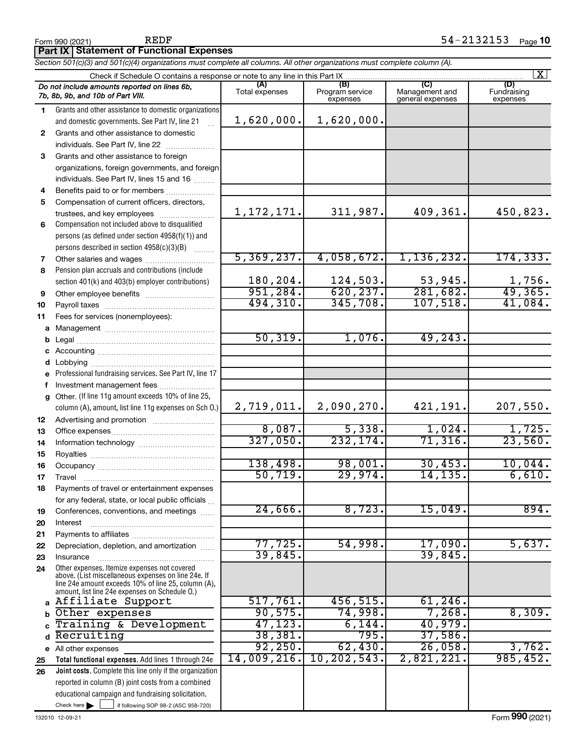|    | Section 501(c)(3) and 501(c)(4) organizations must complete all columns. All other organizations must complete column (A).                                                                                   |                       |                                    |                                           |                                |
|----|--------------------------------------------------------------------------------------------------------------------------------------------------------------------------------------------------------------|-----------------------|------------------------------------|-------------------------------------------|--------------------------------|
|    | Check if Schedule O contains a response or note to any line in this Part IX                                                                                                                                  |                       |                                    |                                           | $\overline{\mathbf{X}}$        |
|    | Do not include amounts reported on lines 6b,<br>7b, 8b, 9b, and 10b of Part VIII.                                                                                                                            | (A)<br>Total expenses | (B)<br>Program service<br>expenses | (C)<br>Management and<br>general expenses | (D)<br>Fundraising<br>expenses |
| 1. | Grants and other assistance to domestic organizations                                                                                                                                                        |                       |                                    |                                           |                                |
|    | and domestic governments. See Part IV, line 21                                                                                                                                                               | 1,620,000.            | 1,620,000.                         |                                           |                                |
| 2  | Grants and other assistance to domestic                                                                                                                                                                      |                       |                                    |                                           |                                |
|    | individuals. See Part IV, line 22                                                                                                                                                                            |                       |                                    |                                           |                                |
| 3  | Grants and other assistance to foreign                                                                                                                                                                       |                       |                                    |                                           |                                |
|    | organizations, foreign governments, and foreign                                                                                                                                                              |                       |                                    |                                           |                                |
|    | individuals. See Part IV, lines 15 and 16                                                                                                                                                                    |                       |                                    |                                           |                                |
| 4  | Benefits paid to or for members                                                                                                                                                                              |                       |                                    |                                           |                                |
| 5  | Compensation of current officers, directors,                                                                                                                                                                 |                       |                                    |                                           |                                |
|    | trustees, and key employees                                                                                                                                                                                  | 1, 172, 171.          | 311,987.                           | 409,361.                                  | 450,823.                       |
| 6  | Compensation not included above to disqualified                                                                                                                                                              |                       |                                    |                                           |                                |
|    | persons (as defined under section 4958(f)(1)) and                                                                                                                                                            |                       |                                    |                                           |                                |
|    | persons described in section 4958(c)(3)(B)<br>1.1.1.1.1.1.1                                                                                                                                                  |                       |                                    |                                           |                                |
| 7  | Other salaries and wages                                                                                                                                                                                     | 5,369,237.            | 4,058,672.                         | 1, 136, 232.                              | 174, 333.                      |
| 8  | Pension plan accruals and contributions (include                                                                                                                                                             |                       |                                    |                                           |                                |
|    | section 401(k) and 403(b) employer contributions)                                                                                                                                                            | 180,204.              | 124,503.                           | 53,945.                                   | 1,756.                         |
| 9  |                                                                                                                                                                                                              | 951,284.              | 620, 237.                          | 281,682.                                  | 49,365.                        |
| 10 |                                                                                                                                                                                                              | 494,310.              | 345,708.                           | 107,518.                                  | 41,084.                        |
| 11 | Fees for services (nonemployees):                                                                                                                                                                            |                       |                                    |                                           |                                |
| а  |                                                                                                                                                                                                              |                       |                                    |                                           |                                |
| b  |                                                                                                                                                                                                              | 50, 319.              | 1,076.                             | 49, 243.                                  |                                |
| с  |                                                                                                                                                                                                              |                       |                                    |                                           |                                |
| d  |                                                                                                                                                                                                              |                       |                                    |                                           |                                |
| e  | Professional fundraising services. See Part IV, line 17                                                                                                                                                      |                       |                                    |                                           |                                |
| f  | Investment management fees                                                                                                                                                                                   |                       |                                    |                                           |                                |
| g  | Other. (If line 11g amount exceeds 10% of line 25,                                                                                                                                                           |                       |                                    |                                           |                                |
|    | column (A), amount, list line 11g expenses on Sch O.)                                                                                                                                                        | 2,719,011.            | 2,090,270.                         | 421,191.                                  | 207,550.                       |
| 12 |                                                                                                                                                                                                              |                       |                                    |                                           |                                |
| 13 |                                                                                                                                                                                                              | 8,087.                | 5,338.                             | 1,024.                                    | 1,725.                         |
| 14 |                                                                                                                                                                                                              | 327,050.              | 232, 174.                          | 71,316.                                   | 23,560.                        |
| 15 |                                                                                                                                                                                                              |                       |                                    |                                           |                                |
| 16 |                                                                                                                                                                                                              | 138,498.              | 98,001.                            | 30, 453.                                  | 10,044.                        |
| 17 |                                                                                                                                                                                                              | 50, 719.              | 29,974.                            | 14,135.                                   | 6,610.                         |
| 18 | Payments of travel or entertainment expenses                                                                                                                                                                 |                       |                                    |                                           |                                |
|    | for any federal, state, or local public officials                                                                                                                                                            |                       |                                    |                                           |                                |
| 19 | Conferences, conventions, and meetings                                                                                                                                                                       | $24,666$ .            | 8,723.                             | 15,049.                                   | 894.                           |
| 20 | Interest                                                                                                                                                                                                     |                       |                                    |                                           |                                |
| 21 |                                                                                                                                                                                                              |                       |                                    |                                           |                                |
| 22 | Depreciation, depletion, and amortization                                                                                                                                                                    | 77,725.               | 54,998.                            | 17,090.                                   | 5,637.                         |
| 23 | Insurance                                                                                                                                                                                                    | 39,845                |                                    | 39,845.                                   |                                |
| 24 | Other expenses. Itemize expenses not covered<br>above. (List miscellaneous expenses on line 24e. If<br>line 24e amount exceeds 10% of line 25, column (A),<br>amount, list line 24e expenses on Schedule O.) |                       |                                    |                                           |                                |
|    | a Affiliate Support                                                                                                                                                                                          | 517,761.              | 456,515.                           | $61,246$ .                                |                                |
| b  | Other expenses                                                                                                                                                                                               | 90,575.               | 74,998.                            | 7,268.                                    | 8,309.                         |
| C  | Training & Development                                                                                                                                                                                       | 47, 123.              | 6,144.                             | 40,979.                                   |                                |
| d  | Recruiting                                                                                                                                                                                                   | 38,381.               | 795.                               | 37,586.                                   |                                |
| е  | All other expenses                                                                                                                                                                                           | 92, 250.              | 62,430.                            | 26,058.                                   | 3,762.                         |
| 25 | Total functional expenses. Add lines 1 through 24e                                                                                                                                                           | 14,009,216.           | 10, 202, 543.                      | 2,821,221.                                | 985, 452.                      |
| 26 | <b>Joint costs.</b> Complete this line only if the organization                                                                                                                                              |                       |                                    |                                           |                                |
|    | reported in column (B) joint costs from a combined                                                                                                                                                           |                       |                                    |                                           |                                |
|    | educational campaign and fundraising solicitation.                                                                                                                                                           |                       |                                    |                                           |                                |
|    | Check here $\blacktriangleright$<br>if following SOP 98-2 (ASC 958-720)                                                                                                                                      |                       |                                    |                                           |                                |

**Part IX Statement of Functional Expenses**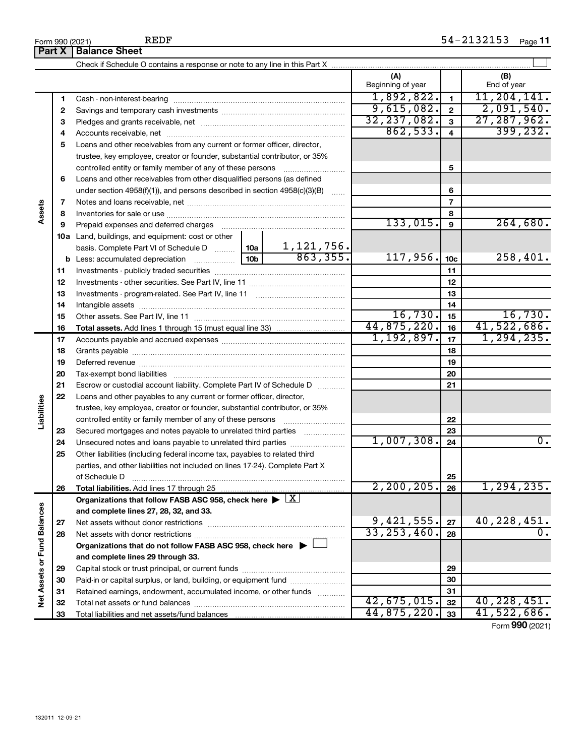|                             | Form 990 (2021) | REDF                                                                                                   |                 |                               |                              |                         | 54-2132153 Page 11 |
|-----------------------------|-----------------|--------------------------------------------------------------------------------------------------------|-----------------|-------------------------------|------------------------------|-------------------------|--------------------|
|                             | <b>Part X</b>   | <b>Balance Sheet</b>                                                                                   |                 |                               |                              |                         |                    |
|                             |                 |                                                                                                        |                 |                               |                              |                         |                    |
|                             |                 |                                                                                                        |                 |                               | (A)<br>Beginning of year     |                         | (B)<br>End of year |
|                             | 1               |                                                                                                        |                 |                               | 1,892,822.                   | $\mathbf{1}$            | 11, 204, 141.      |
|                             | 2               |                                                                                                        | 9,615,082.      | $\mathbf{2}$                  | 2,091,540.                   |                         |                    |
|                             | 3               |                                                                                                        |                 |                               | 32, 237, 082.                | $\mathbf{3}$            | 27, 287, 962.      |
|                             | 4               |                                                                                                        |                 |                               | 862,533.                     | $\overline{\mathbf{4}}$ | 399, 232.          |
|                             | 5               | Loans and other receivables from any current or former officer, director,                              |                 |                               |                              |                         |                    |
|                             |                 | trustee, key employee, creator or founder, substantial contributor, or 35%                             |                 |                               |                              |                         |                    |
|                             |                 | controlled entity or family member of any of these persons                                             |                 |                               |                              | 5                       |                    |
|                             | 6               | Loans and other receivables from other disqualified persons (as defined                                |                 |                               |                              |                         |                    |
|                             |                 | under section $4958(f)(1)$ , and persons described in section $4958(c)(3)(B)$                          |                 |                               |                              | 6                       |                    |
|                             | 7               |                                                                                                        |                 |                               |                              | $\overline{7}$          |                    |
| Assets                      | 8               |                                                                                                        |                 |                               |                              | 8                       |                    |
|                             | 9               |                                                                                                        |                 |                               | 133,015.                     | 9                       | 264,680.           |
|                             |                 | <b>10a</b> Land, buildings, and equipment: cost or other                                               |                 |                               |                              |                         |                    |
|                             |                 | basis. Complete Part VI of Schedule D  10a                                                             |                 | $\frac{1,121,756.}{863,355.}$ |                              |                         |                    |
|                             |                 | b Less: accumulated depreciation [11,11,11,11,11,11]                                                   | 10 <sub>b</sub> |                               | 117,956.                     | 10c                     | 258,401.           |
|                             | 11              |                                                                                                        |                 |                               |                              | 11                      |                    |
|                             | 12              |                                                                                                        |                 |                               |                              | 12                      |                    |
|                             | 13              |                                                                                                        |                 |                               |                              | 13                      |                    |
|                             | 14              |                                                                                                        |                 | 14                            |                              |                         |                    |
|                             | 15              |                                                                                                        | 16,730.         | 15                            | 16,730.                      |                         |                    |
|                             | 16              |                                                                                                        | 44,875,220.     | 16                            | 41,522,686.                  |                         |                    |
|                             | 17              |                                                                                                        |                 | 1,192,897.                    | 17                           | 1, 294, 235.            |                    |
|                             | 18              |                                                                                                        |                 |                               |                              | 18                      |                    |
|                             | 19              |                                                                                                        |                 |                               |                              | 19                      |                    |
|                             | 20              |                                                                                                        |                 |                               |                              | 20                      |                    |
|                             | 21              | Escrow or custodial account liability. Complete Part IV of Schedule D                                  |                 | .                             |                              | 21                      |                    |
|                             | 22              | Loans and other payables to any current or former officer, director,                                   |                 |                               |                              |                         |                    |
| Liabilities                 |                 | trustee, key employee, creator or founder, substantial contributor, or 35%                             |                 |                               |                              |                         |                    |
|                             |                 | controlled entity or family member of any of these persons                                             |                 |                               |                              | 22                      |                    |
|                             | 23              | Secured mortgages and notes payable to unrelated third parties                                         |                 | .                             |                              | 23                      |                    |
|                             | 24              | Unsecured notes and loans payable to unrelated third parties                                           |                 |                               | 1,007,308.                   | 24                      | 0.                 |
|                             | 25              | Other liabilities (including federal income tax, payables to related third                             |                 |                               |                              |                         |                    |
|                             |                 | parties, and other liabilities not included on lines 17-24). Complete Part X                           |                 |                               |                              |                         |                    |
|                             |                 | of Schedule D                                                                                          |                 |                               |                              | 25                      |                    |
|                             | 26              |                                                                                                        |                 |                               | 2, 200, 205.                 | 26                      | 1,294,235.         |
|                             |                 | Organizations that follow FASB ASC 958, check here $\blacktriangleright \lfloor \underline{X} \rfloor$ |                 |                               |                              |                         |                    |
|                             |                 | and complete lines 27, 28, 32, and 33.                                                                 |                 |                               |                              |                         |                    |
|                             | 27              |                                                                                                        |                 |                               | $9,421,555$ .<br>33,253,460. | 27                      | 40, 228, 451.      |
|                             | 28              |                                                                                                        |                 |                               |                              | 28                      |                    |
|                             |                 | Organizations that do not follow FASB ASC 958, check here $\blacktriangleright$                        |                 |                               |                              |                         |                    |
|                             |                 | and complete lines 29 through 33.                                                                      |                 |                               |                              |                         |                    |
|                             | 29              |                                                                                                        |                 |                               |                              | 29                      |                    |
|                             | 30              | Paid-in or capital surplus, or land, building, or equipment fund                                       |                 |                               |                              | 30                      |                    |
| Net Assets or Fund Balances | 31              | Retained earnings, endowment, accumulated income, or other funds                                       |                 |                               |                              | 31                      |                    |
|                             | 32              |                                                                                                        |                 |                               | 42,675,015.                  | 32                      | 40, 228, 451.      |
|                             | 33              |                                                                                                        |                 |                               | 44,875,220.                  | 33                      | 41,522,686.        |
|                             |                 |                                                                                                        |                 |                               |                              |                         | Form 990 (2021)    |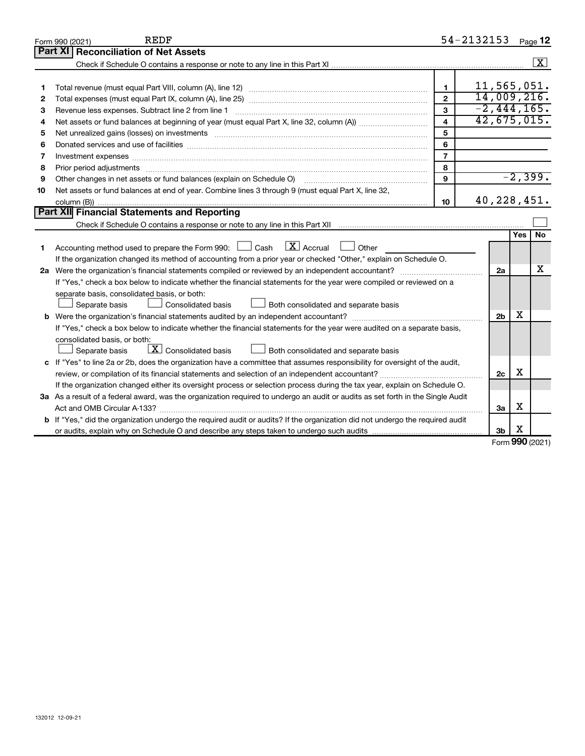|    | REDF<br>Form 990 (2021)                                                                                                                                                                                                        |                          | 54-2132153     |     | Page 12                 |
|----|--------------------------------------------------------------------------------------------------------------------------------------------------------------------------------------------------------------------------------|--------------------------|----------------|-----|-------------------------|
|    | Part XI<br><b>Reconciliation of Net Assets</b>                                                                                                                                                                                 |                          |                |     |                         |
|    |                                                                                                                                                                                                                                |                          |                |     | $\overline{\mathbf{x}}$ |
|    |                                                                                                                                                                                                                                |                          |                |     |                         |
| 1  |                                                                                                                                                                                                                                | $\blacksquare$           | 11,565,051.    |     |                         |
| 2  |                                                                                                                                                                                                                                | $\mathfrak{p}$           | 14,009,216.    |     |                         |
| З  | Revenue less expenses. Subtract line 2 from line 1                                                                                                                                                                             | $\overline{\mathbf{3}}$  | $-2,444,165.$  |     |                         |
| 4  |                                                                                                                                                                                                                                | 4                        | 42,675,015.    |     |                         |
| 5  |                                                                                                                                                                                                                                | 5                        |                |     |                         |
| 6  |                                                                                                                                                                                                                                | 6                        |                |     |                         |
| 7  | Investment expenses [[11] https://www.facebook.com/www.facebook.com/www.facebook.com/www.facebook.com/www.facebook.com/www.facebook.com/www.facebook.com/www.facebook.com/www.facebook.com/www.facebook.com/www.facebook.com/w | $\overline{\phantom{a}}$ |                |     |                         |
| 8  | Prior period adjustments [111] matter contract and an international contract and adjustments [11] matter contract and adjustments [11] matter contract and adjustments [11] matter contract and adjustments and adjustments an | 8                        |                |     |                         |
| 9  | Other changes in net assets or fund balances (explain on Schedule O)                                                                                                                                                           | 9                        |                |     | $-2,399.$               |
| 10 | Net assets or fund balances at end of year. Combine lines 3 through 9 (must equal Part X, line 32,                                                                                                                             |                          |                |     |                         |
|    |                                                                                                                                                                                                                                | 10                       | 40, 228, 451.  |     |                         |
|    | Part XII Financial Statements and Reporting                                                                                                                                                                                    |                          |                |     |                         |
|    |                                                                                                                                                                                                                                |                          |                |     |                         |
|    |                                                                                                                                                                                                                                |                          |                | Yes | <b>No</b>               |
| 1  | $\boxed{\text{X}}$ Accrual<br>Accounting method used to prepare the Form 990: [130] Cash<br>  Other                                                                                                                            |                          |                |     |                         |
|    | If the organization changed its method of accounting from a prior year or checked "Other," explain on Schedule O.                                                                                                              |                          |                |     |                         |
|    | 2a Were the organization's financial statements compiled or reviewed by an independent accountant?                                                                                                                             |                          | 2a             |     | x                       |
|    | If "Yes," check a box below to indicate whether the financial statements for the year were compiled or reviewed on a                                                                                                           |                          |                |     |                         |
|    | separate basis, consolidated basis, or both:                                                                                                                                                                                   |                          |                |     |                         |
|    | Consolidated basis<br>Both consolidated and separate basis<br>Separate basis                                                                                                                                                   |                          |                |     |                         |
|    |                                                                                                                                                                                                                                |                          | 2 <sub>b</sub> | х   |                         |
|    | If "Yes," check a box below to indicate whether the financial statements for the year were audited on a separate basis,                                                                                                        |                          |                |     |                         |
|    | consolidated basis, or both:                                                                                                                                                                                                   |                          |                |     |                         |
|    | $\boxed{\textbf{X}}$ Consolidated basis<br>Separate basis<br>Both consolidated and separate basis                                                                                                                              |                          |                |     |                         |
| c  | If "Yes" to line 2a or 2b, does the organization have a committee that assumes responsibility for oversight of the audit,                                                                                                      |                          |                |     |                         |
|    | review, or compilation of its financial statements and selection of an independent accountant?                                                                                                                                 |                          | 2c             | х   |                         |
|    | If the organization changed either its oversight process or selection process during the tax year, explain on Schedule O.                                                                                                      |                          |                |     |                         |
|    | 3a As a result of a federal award, was the organization required to undergo an audit or audits as set forth in the Single Audit                                                                                                |                          |                |     |                         |
|    |                                                                                                                                                                                                                                |                          | За             | х   |                         |
|    | b If "Yes," did the organization undergo the required audit or audits? If the organization did not undergo the required audit                                                                                                  |                          |                |     |                         |
|    |                                                                                                                                                                                                                                |                          | 3b             | х   |                         |

Form (2021) **990**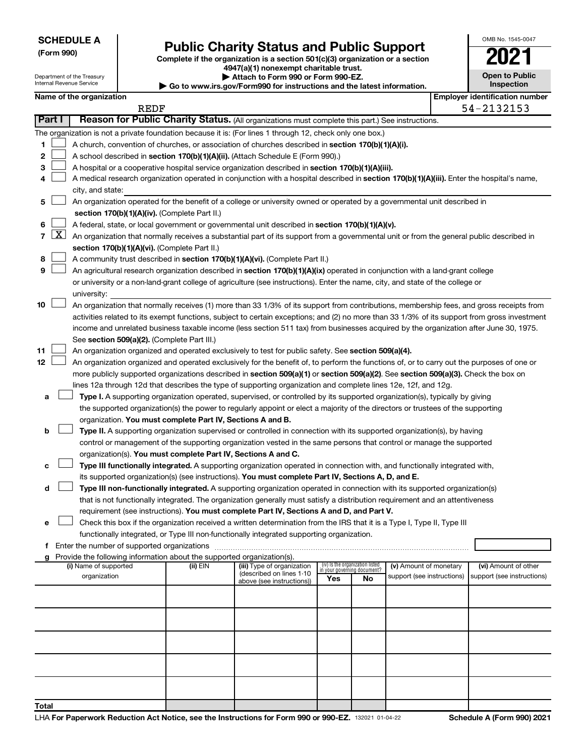Department of the Treasury Internal Revenue Service

# Form 990)<br> **Complete if the organization is a section 501(c)(3) organization or a section**<br> **Public Charity Status and Public Support**

**4947(a)(1) nonexempt charitable trust. | Attach to Form 990 or Form 990-EZ.** 

**| Go to www.irs.gov/Form990 for instructions and the latest information.**

|    | <b>Open to Public</b><br>Inspection |
|----|-------------------------------------|
| ۵r | antification numl                   |

OMB No. 1545-0047

|        |                                                                                                          | Name of the organization                                                                                                                                                                   |          |                            |     |                                                                |                            | <b>Employer identification number</b> |
|--------|----------------------------------------------------------------------------------------------------------|--------------------------------------------------------------------------------------------------------------------------------------------------------------------------------------------|----------|----------------------------|-----|----------------------------------------------------------------|----------------------------|---------------------------------------|
|        | REDF<br>Reason for Public Charity Status. (All organizations must complete this part.) See instructions. |                                                                                                                                                                                            |          |                            |     |                                                                |                            | 54-2132153                            |
| Part I |                                                                                                          |                                                                                                                                                                                            |          |                            |     |                                                                |                            |                                       |
|        |                                                                                                          | The organization is not a private foundation because it is: (For lines 1 through 12, check only one box.)                                                                                  |          |                            |     |                                                                |                            |                                       |
| 1      |                                                                                                          | A church, convention of churches, or association of churches described in <b>section 170(b)(1)(A)(i).</b>                                                                                  |          |                            |     |                                                                |                            |                                       |
| 2      |                                                                                                          | A school described in section 170(b)(1)(A)(ii). (Attach Schedule E (Form 990).)                                                                                                            |          |                            |     |                                                                |                            |                                       |
| 3      |                                                                                                          | A hospital or a cooperative hospital service organization described in section 170(b)(1)(A)(iii).                                                                                          |          |                            |     |                                                                |                            |                                       |
| 4      |                                                                                                          | A medical research organization operated in conjunction with a hospital described in section 170(b)(1)(A)(iii). Enter the hospital's name,                                                 |          |                            |     |                                                                |                            |                                       |
|        |                                                                                                          | city, and state:                                                                                                                                                                           |          |                            |     |                                                                |                            |                                       |
| 5      |                                                                                                          | An organization operated for the benefit of a college or university owned or operated by a governmental unit described in                                                                  |          |                            |     |                                                                |                            |                                       |
|        |                                                                                                          | section 170(b)(1)(A)(iv). (Complete Part II.)                                                                                                                                              |          |                            |     |                                                                |                            |                                       |
| 6      | $\lfloor x \rfloor$                                                                                      | A federal, state, or local government or governmental unit described in section 170(b)(1)(A)(v).                                                                                           |          |                            |     |                                                                |                            |                                       |
| 7      |                                                                                                          | An organization that normally receives a substantial part of its support from a governmental unit or from the general public described in<br>section 170(b)(1)(A)(vi). (Complete Part II.) |          |                            |     |                                                                |                            |                                       |
| 8      |                                                                                                          | A community trust described in section 170(b)(1)(A)(vi). (Complete Part II.)                                                                                                               |          |                            |     |                                                                |                            |                                       |
| 9      |                                                                                                          | An agricultural research organization described in section 170(b)(1)(A)(ix) operated in conjunction with a land-grant college                                                              |          |                            |     |                                                                |                            |                                       |
|        |                                                                                                          | or university or a non-land-grant college of agriculture (see instructions). Enter the name, city, and state of the college or                                                             |          |                            |     |                                                                |                            |                                       |
|        |                                                                                                          | university:                                                                                                                                                                                |          |                            |     |                                                                |                            |                                       |
| 10     |                                                                                                          | An organization that normally receives (1) more than 33 1/3% of its support from contributions, membership fees, and gross receipts from                                                   |          |                            |     |                                                                |                            |                                       |
|        |                                                                                                          | activities related to its exempt functions, subject to certain exceptions; and (2) no more than 33 1/3% of its support from gross investment                                               |          |                            |     |                                                                |                            |                                       |
|        |                                                                                                          | income and unrelated business taxable income (less section 511 tax) from businesses acquired by the organization after June 30, 1975.                                                      |          |                            |     |                                                                |                            |                                       |
|        |                                                                                                          | See section 509(a)(2). (Complete Part III.)                                                                                                                                                |          |                            |     |                                                                |                            |                                       |
| 11     |                                                                                                          | An organization organized and operated exclusively to test for public safety. See section 509(a)(4).                                                                                       |          |                            |     |                                                                |                            |                                       |
| 12     |                                                                                                          | An organization organized and operated exclusively for the benefit of, to perform the functions of, or to carry out the purposes of one or                                                 |          |                            |     |                                                                |                            |                                       |
|        |                                                                                                          | more publicly supported organizations described in section 509(a)(1) or section 509(a)(2). See section 509(a)(3). Check the box on                                                         |          |                            |     |                                                                |                            |                                       |
|        |                                                                                                          | lines 12a through 12d that describes the type of supporting organization and complete lines 12e, 12f, and 12g.                                                                             |          |                            |     |                                                                |                            |                                       |
| а      |                                                                                                          | Type I. A supporting organization operated, supervised, or controlled by its supported organization(s), typically by giving                                                                |          |                            |     |                                                                |                            |                                       |
|        |                                                                                                          | the supported organization(s) the power to regularly appoint or elect a majority of the directors or trustees of the supporting                                                            |          |                            |     |                                                                |                            |                                       |
|        |                                                                                                          | organization. You must complete Part IV, Sections A and B.                                                                                                                                 |          |                            |     |                                                                |                            |                                       |
| b      |                                                                                                          | Type II. A supporting organization supervised or controlled in connection with its supported organization(s), by having                                                                    |          |                            |     |                                                                |                            |                                       |
|        |                                                                                                          | control or management of the supporting organization vested in the same persons that control or manage the supported                                                                       |          |                            |     |                                                                |                            |                                       |
|        |                                                                                                          | organization(s). You must complete Part IV, Sections A and C.                                                                                                                              |          |                            |     |                                                                |                            |                                       |
| с      |                                                                                                          | Type III functionally integrated. A supporting organization operated in connection with, and functionally integrated with,                                                                 |          |                            |     |                                                                |                            |                                       |
|        |                                                                                                          | its supported organization(s) (see instructions). You must complete Part IV, Sections A, D, and E.                                                                                         |          |                            |     |                                                                |                            |                                       |
| d      |                                                                                                          | Type III non-functionally integrated. A supporting organization operated in connection with its supported organization(s)                                                                  |          |                            |     |                                                                |                            |                                       |
|        |                                                                                                          | that is not functionally integrated. The organization generally must satisfy a distribution requirement and an attentiveness                                                               |          |                            |     |                                                                |                            |                                       |
|        |                                                                                                          | requirement (see instructions). You must complete Part IV, Sections A and D, and Part V.                                                                                                   |          |                            |     |                                                                |                            |                                       |
| е      |                                                                                                          | Check this box if the organization received a written determination from the IRS that it is a Type I, Type II, Type III                                                                    |          |                            |     |                                                                |                            |                                       |
|        |                                                                                                          | functionally integrated, or Type III non-functionally integrated supporting organization.                                                                                                  |          |                            |     |                                                                |                            |                                       |
| f      |                                                                                                          |                                                                                                                                                                                            |          |                            |     |                                                                |                            |                                       |
| g      |                                                                                                          | Provide the following information about the supported organization(s).<br>(i) Name of supported                                                                                            | (ii) EIN | (iii) Type of organization |     |                                                                | (v) Amount of monetary     | (vi) Amount of other                  |
|        |                                                                                                          | organization                                                                                                                                                                               |          | (described on lines 1-10   |     | (iv) Is the organization listed<br>in your governing document? | support (see instructions) | support (see instructions)            |
|        |                                                                                                          |                                                                                                                                                                                            |          | above (see instructions))  | Yes | No                                                             |                            |                                       |
|        |                                                                                                          |                                                                                                                                                                                            |          |                            |     |                                                                |                            |                                       |
|        |                                                                                                          |                                                                                                                                                                                            |          |                            |     |                                                                |                            |                                       |
|        |                                                                                                          |                                                                                                                                                                                            |          |                            |     |                                                                |                            |                                       |
|        |                                                                                                          |                                                                                                                                                                                            |          |                            |     |                                                                |                            |                                       |
|        |                                                                                                          |                                                                                                                                                                                            |          |                            |     |                                                                |                            |                                       |
|        |                                                                                                          |                                                                                                                                                                                            |          |                            |     |                                                                |                            |                                       |
|        |                                                                                                          |                                                                                                                                                                                            |          |                            |     |                                                                |                            |                                       |
| Total  |                                                                                                          |                                                                                                                                                                                            |          |                            |     |                                                                |                            |                                       |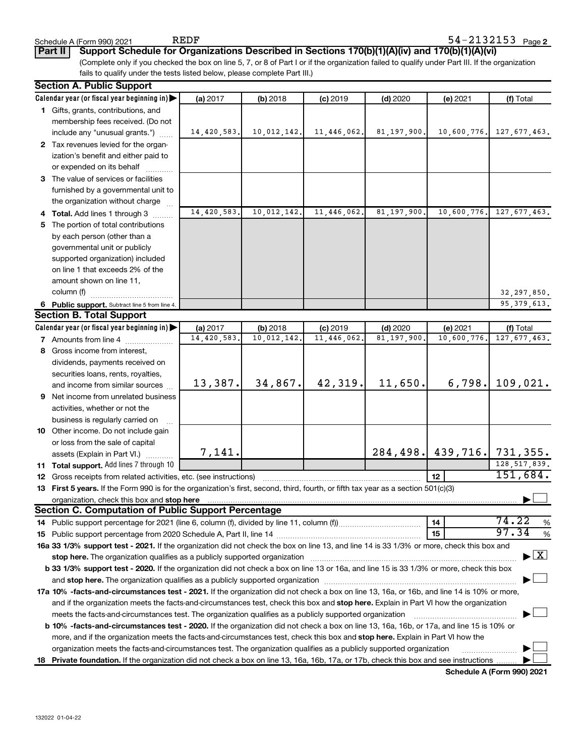**Part II Support Schedule for Organizations Described in Sections 170(b)(1)(A)(iv) and 170(b)(1)(A)(vi)**

(Complete only if you checked the box on line 5, 7, or 8 of Part I or if the organization failed to qualify under Part III. If the organization fails to qualify under the tests listed below, please complete Part III.)

|    | <b>Section A. Public Support</b>                                                                                                               |             |             |             |               |                               |                                    |
|----|------------------------------------------------------------------------------------------------------------------------------------------------|-------------|-------------|-------------|---------------|-------------------------------|------------------------------------|
|    | Calendar year (or fiscal year beginning in)                                                                                                    | (a) 2017    | $(b)$ 2018  | $(c)$ 2019  | $(d)$ 2020    | (e) 2021                      | (f) Total                          |
|    | 1 Gifts, grants, contributions, and                                                                                                            |             |             |             |               |                               |                                    |
|    | membership fees received. (Do not                                                                                                              |             |             |             |               |                               |                                    |
|    | include any "unusual grants.")                                                                                                                 | 14,420,583. | 10,012,142. | 11,446,062. | 81, 197, 900. | 10,600,776.                   | 127,677,463.                       |
|    | 2 Tax revenues levied for the organ-                                                                                                           |             |             |             |               |                               |                                    |
|    | ization's benefit and either paid to                                                                                                           |             |             |             |               |                               |                                    |
|    | or expended on its behalf                                                                                                                      |             |             |             |               |                               |                                    |
|    | 3 The value of services or facilities                                                                                                          |             |             |             |               |                               |                                    |
|    | furnished by a governmental unit to                                                                                                            |             |             |             |               |                               |                                    |
|    | the organization without charge                                                                                                                |             |             |             |               |                               |                                    |
|    | 4 Total. Add lines 1 through 3                                                                                                                 | 14,420,583. | 10,012,142. | 11,446,062. | 81, 197, 900. | 10,600,776.                   | 127, 677, 463.                     |
| 5. | The portion of total contributions                                                                                                             |             |             |             |               |                               |                                    |
|    | by each person (other than a                                                                                                                   |             |             |             |               |                               |                                    |
|    | governmental unit or publicly                                                                                                                  |             |             |             |               |                               |                                    |
|    | supported organization) included                                                                                                               |             |             |             |               |                               |                                    |
|    | on line 1 that exceeds 2% of the                                                                                                               |             |             |             |               |                               |                                    |
|    | amount shown on line 11,                                                                                                                       |             |             |             |               |                               |                                    |
|    | column (f)                                                                                                                                     |             |             |             |               |                               | 32, 297, 850.                      |
|    | 6 Public support. Subtract line 5 from line 4.                                                                                                 |             |             |             |               |                               | 95, 379, 613.                      |
|    | <b>Section B. Total Support</b>                                                                                                                |             |             |             |               |                               |                                    |
|    | Calendar year (or fiscal year beginning in)                                                                                                    | (a) 2017    | (b) 2018    | $(c)$ 2019  | $(d)$ 2020    | (e) 2021                      | (f) Total                          |
|    | <b>7</b> Amounts from line 4                                                                                                                   | 14,420,583. | 10,012,142. | 11,446,062  | 81, 197, 900  | 10,600,776                    | 127, 677, 463.                     |
| 8  | Gross income from interest,                                                                                                                    |             |             |             |               |                               |                                    |
|    |                                                                                                                                                |             |             |             |               |                               |                                    |
|    | dividends, payments received on                                                                                                                |             |             |             |               |                               |                                    |
|    | securities loans, rents, royalties,                                                                                                            | 13,387.     | 34,867.     | 42,319.     | 11,650.       | 6,798.                        | 109,021.                           |
|    | and income from similar sources                                                                                                                |             |             |             |               |                               |                                    |
|    | <b>9</b> Net income from unrelated business                                                                                                    |             |             |             |               |                               |                                    |
|    | activities, whether or not the                                                                                                                 |             |             |             |               |                               |                                    |
|    | business is regularly carried on                                                                                                               |             |             |             |               |                               |                                    |
|    | 10 Other income. Do not include gain                                                                                                           |             |             |             |               |                               |                                    |
|    | or loss from the sale of capital                                                                                                               | 7,141.      |             |             |               | 284, 498. 439, 716. 731, 355. |                                    |
|    | assets (Explain in Part VI.)                                                                                                                   |             |             |             |               |                               | 128, 517, 839.                     |
|    | 11 Total support. Add lines 7 through 10                                                                                                       |             |             |             |               | 12                            | 151,684.                           |
| 12 | Gross receipts from related activities, etc. (see instructions)                                                                                |             |             |             |               |                               |                                    |
|    | 13 First 5 years. If the Form 990 is for the organization's first, second, third, fourth, or fifth tax year as a section 501(c)(3)             |             |             |             |               |                               |                                    |
|    | <b>Section C. Computation of Public Support Percentage</b>                                                                                     |             |             |             |               |                               |                                    |
|    |                                                                                                                                                |             |             |             |               | 14                            | 74.22<br>%                         |
|    |                                                                                                                                                |             |             |             |               | 15                            | 97.34                              |
|    |                                                                                                                                                |             |             |             |               |                               | %                                  |
|    | 16a 33 1/3% support test - 2021. If the organization did not check the box on line 13, and line 14 is 33 1/3% or more, check this box and      |             |             |             |               |                               | $\blacktriangleright$ $\mathbf{X}$ |
|    |                                                                                                                                                |             |             |             |               |                               |                                    |
|    | b 33 1/3% support test - 2020. If the organization did not check a box on line 13 or 16a, and line 15 is 33 1/3% or more, check this box       |             |             |             |               |                               |                                    |
|    |                                                                                                                                                |             |             |             |               |                               |                                    |
|    | 17a 10% -facts-and-circumstances test - 2021. If the organization did not check a box on line 13, 16a, or 16b, and line 14 is 10% or more,     |             |             |             |               |                               |                                    |
|    | and if the organization meets the facts-and-circumstances test, check this box and stop here. Explain in Part VI how the organization          |             |             |             |               |                               |                                    |
|    | meets the facts-and-circumstances test. The organization qualifies as a publicly supported organization                                        |             |             |             |               |                               |                                    |
|    | <b>b 10% -facts-and-circumstances test - 2020.</b> If the organization did not check a box on line 13, 16a, 16b, or 17a, and line 15 is 10% or |             |             |             |               |                               |                                    |
|    | more, and if the organization meets the facts-and-circumstances test, check this box and stop here. Explain in Part VI how the                 |             |             |             |               |                               |                                    |
|    | organization meets the facts-and-circumstances test. The organization qualifies as a publicly supported organization                           |             |             |             |               |                               |                                    |
|    | 18 Private foundation. If the organization did not check a box on line 13, 16a, 16b, 17a, or 17b, check this box and see instructions          |             |             |             |               |                               |                                    |

**Schedule A (Form 990) 2021**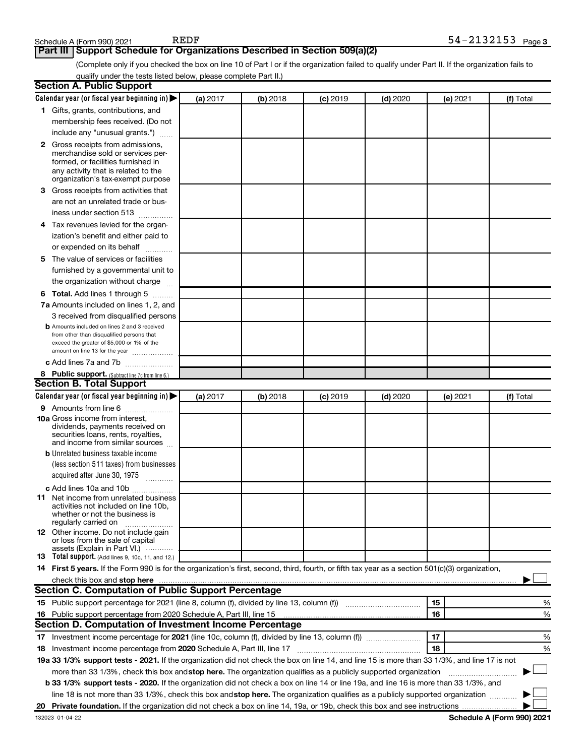### **Part III Support Schedule for Organizations Described in Section 509(a)(2)**

(Complete only if you checked the box on line 10 of Part I or if the organization failed to qualify under Part II. If the organization fails to qualify under the tests listed below, please complete Part II.)

| <b>Section A. Public Support</b>                                                                                                                                                                                                         |          |            |            |            |          |           |
|------------------------------------------------------------------------------------------------------------------------------------------------------------------------------------------------------------------------------------------|----------|------------|------------|------------|----------|-----------|
| Calendar year (or fiscal year beginning in)                                                                                                                                                                                              | (a) 2017 | (b) 2018   | $(c)$ 2019 | $(d)$ 2020 | (e) 2021 | (f) Total |
| 1 Gifts, grants, contributions, and                                                                                                                                                                                                      |          |            |            |            |          |           |
| membership fees received. (Do not                                                                                                                                                                                                        |          |            |            |            |          |           |
| include any "unusual grants.")                                                                                                                                                                                                           |          |            |            |            |          |           |
| <b>2</b> Gross receipts from admissions,                                                                                                                                                                                                 |          |            |            |            |          |           |
| merchandise sold or services per-                                                                                                                                                                                                        |          |            |            |            |          |           |
| formed, or facilities furnished in                                                                                                                                                                                                       |          |            |            |            |          |           |
| any activity that is related to the<br>organization's tax-exempt purpose                                                                                                                                                                 |          |            |            |            |          |           |
| 3 Gross receipts from activities that                                                                                                                                                                                                    |          |            |            |            |          |           |
| are not an unrelated trade or bus-                                                                                                                                                                                                       |          |            |            |            |          |           |
| iness under section 513                                                                                                                                                                                                                  |          |            |            |            |          |           |
| 4 Tax revenues levied for the organ-                                                                                                                                                                                                     |          |            |            |            |          |           |
| ization's benefit and either paid to                                                                                                                                                                                                     |          |            |            |            |          |           |
| or expended on its behalf                                                                                                                                                                                                                |          |            |            |            |          |           |
| 5 The value of services or facilities                                                                                                                                                                                                    |          |            |            |            |          |           |
| furnished by a governmental unit to                                                                                                                                                                                                      |          |            |            |            |          |           |
| the organization without charge                                                                                                                                                                                                          |          |            |            |            |          |           |
| 6 Total. Add lines 1 through 5                                                                                                                                                                                                           |          |            |            |            |          |           |
| 7a Amounts included on lines 1, 2, and                                                                                                                                                                                                   |          |            |            |            |          |           |
| 3 received from disqualified persons                                                                                                                                                                                                     |          |            |            |            |          |           |
| <b>b</b> Amounts included on lines 2 and 3 received                                                                                                                                                                                      |          |            |            |            |          |           |
| from other than disqualified persons that                                                                                                                                                                                                |          |            |            |            |          |           |
| exceed the greater of \$5,000 or 1% of the                                                                                                                                                                                               |          |            |            |            |          |           |
| amount on line 13 for the year                                                                                                                                                                                                           |          |            |            |            |          |           |
| c Add lines 7a and 7b                                                                                                                                                                                                                    |          |            |            |            |          |           |
| 8 Public support. (Subtract line 7c from line 6.)<br><b>Section B. Total Support</b>                                                                                                                                                     |          |            |            |            |          |           |
|                                                                                                                                                                                                                                          |          |            |            |            |          |           |
| Calendar year (or fiscal year beginning in)                                                                                                                                                                                              | (a) 2017 | $(b)$ 2018 | $(c)$ 2019 | $(d)$ 2020 | (e) 2021 | (f) Total |
| 9 Amounts from line 6<br><b>10a</b> Gross income from interest,                                                                                                                                                                          |          |            |            |            |          |           |
| dividends, payments received on                                                                                                                                                                                                          |          |            |            |            |          |           |
| securities loans, rents, royalties,                                                                                                                                                                                                      |          |            |            |            |          |           |
| and income from similar sources                                                                                                                                                                                                          |          |            |            |            |          |           |
| <b>b</b> Unrelated business taxable income                                                                                                                                                                                               |          |            |            |            |          |           |
| (less section 511 taxes) from businesses                                                                                                                                                                                                 |          |            |            |            |          |           |
| acquired after June 30, 1975                                                                                                                                                                                                             |          |            |            |            |          |           |
| c Add lines 10a and 10b                                                                                                                                                                                                                  |          |            |            |            |          |           |
| <b>11</b> Net income from unrelated business<br>activities not included on line 10b.                                                                                                                                                     |          |            |            |            |          |           |
| whether or not the business is                                                                                                                                                                                                           |          |            |            |            |          |           |
| regularly carried on                                                                                                                                                                                                                     |          |            |            |            |          |           |
| 12 Other income. Do not include gain<br>or loss from the sale of capital                                                                                                                                                                 |          |            |            |            |          |           |
| assets (Explain in Part VI.)                                                                                                                                                                                                             |          |            |            |            |          |           |
| <b>13</b> Total support. (Add lines 9, 10c, 11, and 12.)                                                                                                                                                                                 |          |            |            |            |          |           |
| 14 First 5 years. If the Form 990 is for the organization's first, second, third, fourth, or fifth tax year as a section 501(c)(3) organization,                                                                                         |          |            |            |            |          |           |
| check this box and stop here <b>construction and construction</b> and check this box and stop here <b>construction</b> and construction and construction and construction and construction and construction and construction and constru |          |            |            |            |          |           |
| Section C. Computation of Public Support Percentage                                                                                                                                                                                      |          |            |            |            |          |           |
|                                                                                                                                                                                                                                          |          |            |            |            | 15       | ℅         |
| 16 Public support percentage from 2020 Schedule A, Part III, line 15                                                                                                                                                                     |          |            |            |            | 16       | %         |
| Section D. Computation of Investment Income Percentage                                                                                                                                                                                   |          |            |            |            |          |           |
|                                                                                                                                                                                                                                          |          |            |            |            | 17       | %         |
| 18 Investment income percentage from 2020 Schedule A, Part III, line 17                                                                                                                                                                  |          |            |            |            | 18       | %         |
| 19a 33 1/3% support tests - 2021. If the organization did not check the box on line 14, and line 15 is more than 33 1/3%, and line 17 is not                                                                                             |          |            |            |            |          |           |
| more than 33 1/3%, check this box and stop here. The organization qualifies as a publicly supported organization                                                                                                                         |          |            |            |            |          |           |
| b 33 1/3% support tests - 2020. If the organization did not check a box on line 14 or line 19a, and line 16 is more than 33 1/3%, and                                                                                                    |          |            |            |            |          |           |
| line 18 is not more than 33 1/3%, check this box and stop here. The organization qualifies as a publicly supported organization                                                                                                          |          |            |            |            |          |           |
|                                                                                                                                                                                                                                          |          |            |            |            |          |           |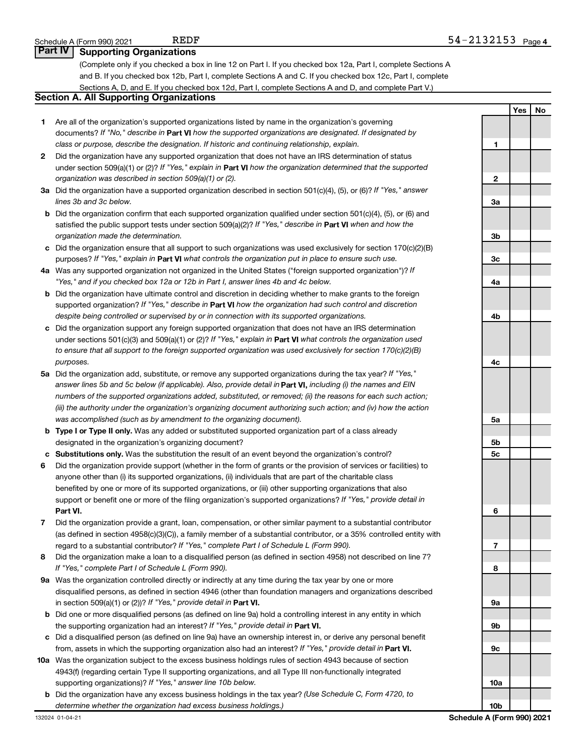### **Part IV** | Supporting Organizations

(Complete only if you checked a box in line 12 on Part I. If you checked box 12a, Part I, complete Sections A and B. If you checked box 12b, Part I, complete Sections A and C. If you checked box 12c, Part I, complete Sections A, D, and E. If you checked box 12d, Part I, complete Sections A and D, and complete Part V.)

### **Section A. All Supporting Organizations**

- **1** Are all of the organization's supported organizations listed by name in the organization's governing documents? If "No," describe in Part VI how the supported organizations are designated. If designated by *class or purpose, describe the designation. If historic and continuing relationship, explain.*
- **2** Did the organization have any supported organization that does not have an IRS determination of status under section 509(a)(1) or (2)? If "Yes," explain in Part **VI** how the organization determined that the supported *organization was described in section 509(a)(1) or (2).*
- **3a** Did the organization have a supported organization described in section 501(c)(4), (5), or (6)? If "Yes," answer *lines 3b and 3c below.*
- **b** Did the organization confirm that each supported organization qualified under section 501(c)(4), (5), or (6) and satisfied the public support tests under section 509(a)(2)? If "Yes," describe in Part VI when and how the *organization made the determination.*
- **c** Did the organization ensure that all support to such organizations was used exclusively for section 170(c)(2)(B) purposes? If "Yes," explain in Part VI what controls the organization put in place to ensure such use.
- **4 a** *If* Was any supported organization not organized in the United States ("foreign supported organization")? *"Yes," and if you checked box 12a or 12b in Part I, answer lines 4b and 4c below.*
- **b** Did the organization have ultimate control and discretion in deciding whether to make grants to the foreign supported organization? If "Yes," describe in Part VI how the organization had such control and discretion *despite being controlled or supervised by or in connection with its supported organizations.*
- **c** Did the organization support any foreign supported organization that does not have an IRS determination under sections 501(c)(3) and 509(a)(1) or (2)? If "Yes," explain in Part VI what controls the organization used *to ensure that all support to the foreign supported organization was used exclusively for section 170(c)(2)(B) purposes.*
- **5a** Did the organization add, substitute, or remove any supported organizations during the tax year? If "Yes," answer lines 5b and 5c below (if applicable). Also, provide detail in **Part VI,** including (i) the names and EIN *numbers of the supported organizations added, substituted, or removed; (ii) the reasons for each such action; (iii) the authority under the organization's organizing document authorizing such action; and (iv) how the action was accomplished (such as by amendment to the organizing document).*
- **b** Type I or Type II only. Was any added or substituted supported organization part of a class already designated in the organization's organizing document?
- **c Substitutions only.**  Was the substitution the result of an event beyond the organization's control?
- **6** Did the organization provide support (whether in the form of grants or the provision of services or facilities) to **Part VI.** support or benefit one or more of the filing organization's supported organizations? If "Yes," provide detail in anyone other than (i) its supported organizations, (ii) individuals that are part of the charitable class benefited by one or more of its supported organizations, or (iii) other supporting organizations that also
- **7** Did the organization provide a grant, loan, compensation, or other similar payment to a substantial contributor regard to a substantial contributor? If "Yes," complete Part I of Schedule L (Form 990). (as defined in section 4958(c)(3)(C)), a family member of a substantial contributor, or a 35% controlled entity with
- **8** Did the organization make a loan to a disqualified person (as defined in section 4958) not described on line 7? *If "Yes," complete Part I of Schedule L (Form 990).*
- **9 a** Was the organization controlled directly or indirectly at any time during the tax year by one or more in section 509(a)(1) or (2))? If "Yes," provide detail in **Part VI.** disqualified persons, as defined in section 4946 (other than foundation managers and organizations described
- **b** Did one or more disqualified persons (as defined on line 9a) hold a controlling interest in any entity in which the supporting organization had an interest? If "Yes," provide detail in Part VI.
- **c** Did a disqualified person (as defined on line 9a) have an ownership interest in, or derive any personal benefit from, assets in which the supporting organization also had an interest? If "Yes," provide detail in Part VI.
- **10 a** Was the organization subject to the excess business holdings rules of section 4943 because of section supporting organizations)? If "Yes," answer line 10b below. 4943(f) (regarding certain Type II supporting organizations, and all Type III non-functionally integrated
	- **b** Did the organization have any excess business holdings in the tax year? (Use Schedule C, Form 4720, to *determine whether the organization had excess business holdings.)*

| Yes | <b>No</b> |
|-----|-----------|
|     |           |
|     |           |
|     |           |
|     |           |
|     |           |
|     |           |
|     |           |
|     |           |
|     |           |
|     |           |
|     |           |
|     |           |
|     |           |
|     |           |
|     |           |
|     |           |
|     |           |
|     |           |
|     |           |
|     |           |
|     |           |
|     |           |
|     |           |
|     |           |
|     |           |
|     |           |
|     |           |
|     |           |
|     |           |
|     |           |
|     |           |
|     |           |
|     |           |
|     |           |
|     |           |

**10b**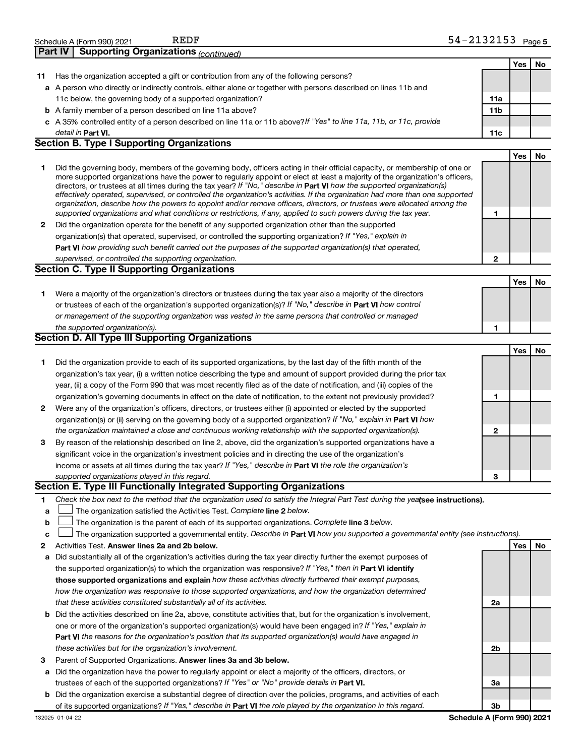| Yes<br>No<br>Has the organization accepted a gift or contribution from any of the following persons?<br>11<br>a A person who directly or indirectly controls, either alone or together with persons described on lines 11b and<br>11c below, the governing body of a supported organization?<br>11a<br>11 <sub>b</sub><br><b>b</b> A family member of a person described on line 11a above?<br>c A 35% controlled entity of a person described on line 11a or 11b above?If "Yes" to line 11a, 11b, or 11c, provide<br>detail in Part VI.<br>11c<br><b>Section B. Type I Supporting Organizations</b><br>Yes<br>No<br>1<br>Did the governing body, members of the governing body, officers acting in their official capacity, or membership of one or<br>more supported organizations have the power to regularly appoint or elect at least a majority of the organization's officers,<br>directors, or trustees at all times during the tax year? If "No," describe in Part VI how the supported organization(s)<br>effectively operated, supervised, or controlled the organization's activities. If the organization had more than one supported<br>organization, describe how the powers to appoint and/or remove officers, directors, or trustees were allocated among the<br>supported organizations and what conditions or restrictions, if any, applied to such powers during the tax year.<br>1<br>Did the organization operate for the benefit of any supported organization other than the supported<br>2<br>organization(s) that operated, supervised, or controlled the supporting organization? If "Yes," explain in<br>Part VI how providing such benefit carried out the purposes of the supported organization(s) that operated,<br>supervised, or controlled the supporting organization.<br>$\mathbf{2}$<br><b>Section C. Type II Supporting Organizations</b><br>Yes<br>No<br>Were a majority of the organization's directors or trustees during the tax year also a majority of the directors<br>1<br>or trustees of each of the organization's supported organization(s)? If "No," describe in Part VI how control<br>or management of the supporting organization was vested in the same persons that controlled or managed<br>the supported organization(s).<br>1<br><b>Section D. All Type III Supporting Organizations</b><br>Yes<br>No<br>Did the organization provide to each of its supported organizations, by the last day of the fifth month of the<br>1<br>organization's tax year, (i) a written notice describing the type and amount of support provided during the prior tax<br>year, (ii) a copy of the Form 990 that was most recently filed as of the date of notification, and (iii) copies of the<br>organization's governing documents in effect on the date of notification, to the extent not previously provided?<br>1<br>Were any of the organization's officers, directors, or trustees either (i) appointed or elected by the supported<br>2<br>organization(s) or (ii) serving on the governing body of a supported organization? If "No," explain in Part VI how<br>the organization maintained a close and continuous working relationship with the supported organization(s).<br>$\mathbf{2}$<br>By reason of the relationship described on line 2, above, did the organization's supported organizations have a<br>З<br>significant voice in the organization's investment policies and in directing the use of the organization's<br>income or assets at all times during the tax year? If "Yes," describe in Part VI the role the organization's<br>supported organizations played in this regard.<br>3<br>Section E. Type III Functionally Integrated Supporting Organizations<br>Check the box next to the method that the organization used to satisfy the Integral Part Test during the yealsee instructions).<br>1<br>The organization satisfied the Activities Test. Complete line 2 below.<br>a<br>The organization is the parent of each of its supported organizations. Complete line 3 below.<br>b<br>The organization supported a governmental entity. Describe in Part VI how you supported a governmental entity (see instructions).<br>c<br>Activities Test. Answer lines 2a and 2b below.<br>2<br>Yes<br>No<br>Did substantially all of the organization's activities during the tax year directly further the exempt purposes of<br>а<br>the supported organization(s) to which the organization was responsive? If "Yes," then in Part VI identify<br>those supported organizations and explain how these activities directly furthered their exempt purposes,<br>how the organization was responsive to those supported organizations, and how the organization determined<br>that these activities constituted substantially all of its activities.<br>2a<br><b>b</b> Did the activities described on line 2a, above, constitute activities that, but for the organization's involvement,<br>one or more of the organization's supported organization(s) would have been engaged in? If "Yes," explain in<br>Part VI the reasons for the organization's position that its supported organization(s) would have engaged in<br>these activities but for the organization's involvement.<br>2b<br>Parent of Supported Organizations. Answer lines 3a and 3b below.<br>з<br>Did the organization have the power to regularly appoint or elect a majority of the officers, directors, or<br>а<br>trustees of each of the supported organizations? If "Yes" or "No" provide details in Part VI.<br>За<br>b Did the organization exercise a substantial degree of direction over the policies, programs, and activities of each<br>of its supported organizations? If "Yes," describe in Part VI the role played by the organization in this regard.<br>Зb | <b>Supporting Organizations (continued)</b><br>Part IV |  |  |
|-------------------------------------------------------------------------------------------------------------------------------------------------------------------------------------------------------------------------------------------------------------------------------------------------------------------------------------------------------------------------------------------------------------------------------------------------------------------------------------------------------------------------------------------------------------------------------------------------------------------------------------------------------------------------------------------------------------------------------------------------------------------------------------------------------------------------------------------------------------------------------------------------------------------------------------------------------------------------------------------------------------------------------------------------------------------------------------------------------------------------------------------------------------------------------------------------------------------------------------------------------------------------------------------------------------------------------------------------------------------------------------------------------------------------------------------------------------------------------------------------------------------------------------------------------------------------------------------------------------------------------------------------------------------------------------------------------------------------------------------------------------------------------------------------------------------------------------------------------------------------------------------------------------------------------------------------------------------------------------------------------------------------------------------------------------------------------------------------------------------------------------------------------------------------------------------------------------------------------------------------------------------------------------------------------------------------------------------------------------------------------------------------------------------------------------------------------------------------------------------------------------------------------------------------------------------------------------------------------------------------------------------------------------------------------------------------------------------------------------------------------------------------------------------------------------------------------------------------------------------------------------------------------------------------------------------------------------------------------------------------------------------------------------------------------------------------------------------------------------------------------------------------------------------------------------------------------------------------------------------------------------------------------------------------------------------------------------------------------------------------------------------------------------------------------------------------------------------------------------------------------------------------------------------------------------------------------------------------------------------------------------------------------------------------------------------------------------------------------------------------------------------------------------------------------------------------------------------------------------------------------------------------------------------------------------------------------------------------------------------------------------------------------------------------------------------------------------------------------------------------------------------------------------------------------------------------------------------------------------------------------------------------------------------------------------------------------------------------------------------------------------------------------------------------------------------------------------------------------------------------------------------------------------------------------------------------------------------------------------------------------------------------------------------------------------------------------------------------------------------------------------------------------------------------------------------------------------------------------------------------------------------------------------------------------------------------------------------------------------------------------------------------------------------------------------------------------------------------------------------------------------------------------------------------------------------------------------------------------------------------------------------------------------------------------------------------------------------------------------------------------------------------------------------------------------------------------------------------------------------------------------------------------------------------------------------------------------------------------------------------------------------------------------------------------------------------------------------------------------------------------------------------------------------------------------------------------|--------------------------------------------------------|--|--|
|                                                                                                                                                                                                                                                                                                                                                                                                                                                                                                                                                                                                                                                                                                                                                                                                                                                                                                                                                                                                                                                                                                                                                                                                                                                                                                                                                                                                                                                                                                                                                                                                                                                                                                                                                                                                                                                                                                                                                                                                                                                                                                                                                                                                                                                                                                                                                                                                                                                                                                                                                                                                                                                                                                                                                                                                                                                                                                                                                                                                                                                                                                                                                                                                                                                                                                                                                                                                                                                                                                                                                                                                                                                                                                                                                                                                                                                                                                                                                                                                                                                                                                                                                                                                                                                                                                                                                                                                                                                                                                                                                                                                                                                                                                                                                                                                                                                                                                                                                                                                                                                                                                                                                                                                                                                                                                                                                                                                                                                                                                                                                                                                                                                                                                                                                                                                                               |                                                        |  |  |
|                                                                                                                                                                                                                                                                                                                                                                                                                                                                                                                                                                                                                                                                                                                                                                                                                                                                                                                                                                                                                                                                                                                                                                                                                                                                                                                                                                                                                                                                                                                                                                                                                                                                                                                                                                                                                                                                                                                                                                                                                                                                                                                                                                                                                                                                                                                                                                                                                                                                                                                                                                                                                                                                                                                                                                                                                                                                                                                                                                                                                                                                                                                                                                                                                                                                                                                                                                                                                                                                                                                                                                                                                                                                                                                                                                                                                                                                                                                                                                                                                                                                                                                                                                                                                                                                                                                                                                                                                                                                                                                                                                                                                                                                                                                                                                                                                                                                                                                                                                                                                                                                                                                                                                                                                                                                                                                                                                                                                                                                                                                                                                                                                                                                                                                                                                                                                               |                                                        |  |  |
|                                                                                                                                                                                                                                                                                                                                                                                                                                                                                                                                                                                                                                                                                                                                                                                                                                                                                                                                                                                                                                                                                                                                                                                                                                                                                                                                                                                                                                                                                                                                                                                                                                                                                                                                                                                                                                                                                                                                                                                                                                                                                                                                                                                                                                                                                                                                                                                                                                                                                                                                                                                                                                                                                                                                                                                                                                                                                                                                                                                                                                                                                                                                                                                                                                                                                                                                                                                                                                                                                                                                                                                                                                                                                                                                                                                                                                                                                                                                                                                                                                                                                                                                                                                                                                                                                                                                                                                                                                                                                                                                                                                                                                                                                                                                                                                                                                                                                                                                                                                                                                                                                                                                                                                                                                                                                                                                                                                                                                                                                                                                                                                                                                                                                                                                                                                                                               |                                                        |  |  |
|                                                                                                                                                                                                                                                                                                                                                                                                                                                                                                                                                                                                                                                                                                                                                                                                                                                                                                                                                                                                                                                                                                                                                                                                                                                                                                                                                                                                                                                                                                                                                                                                                                                                                                                                                                                                                                                                                                                                                                                                                                                                                                                                                                                                                                                                                                                                                                                                                                                                                                                                                                                                                                                                                                                                                                                                                                                                                                                                                                                                                                                                                                                                                                                                                                                                                                                                                                                                                                                                                                                                                                                                                                                                                                                                                                                                                                                                                                                                                                                                                                                                                                                                                                                                                                                                                                                                                                                                                                                                                                                                                                                                                                                                                                                                                                                                                                                                                                                                                                                                                                                                                                                                                                                                                                                                                                                                                                                                                                                                                                                                                                                                                                                                                                                                                                                                                               |                                                        |  |  |
|                                                                                                                                                                                                                                                                                                                                                                                                                                                                                                                                                                                                                                                                                                                                                                                                                                                                                                                                                                                                                                                                                                                                                                                                                                                                                                                                                                                                                                                                                                                                                                                                                                                                                                                                                                                                                                                                                                                                                                                                                                                                                                                                                                                                                                                                                                                                                                                                                                                                                                                                                                                                                                                                                                                                                                                                                                                                                                                                                                                                                                                                                                                                                                                                                                                                                                                                                                                                                                                                                                                                                                                                                                                                                                                                                                                                                                                                                                                                                                                                                                                                                                                                                                                                                                                                                                                                                                                                                                                                                                                                                                                                                                                                                                                                                                                                                                                                                                                                                                                                                                                                                                                                                                                                                                                                                                                                                                                                                                                                                                                                                                                                                                                                                                                                                                                                                               |                                                        |  |  |
|                                                                                                                                                                                                                                                                                                                                                                                                                                                                                                                                                                                                                                                                                                                                                                                                                                                                                                                                                                                                                                                                                                                                                                                                                                                                                                                                                                                                                                                                                                                                                                                                                                                                                                                                                                                                                                                                                                                                                                                                                                                                                                                                                                                                                                                                                                                                                                                                                                                                                                                                                                                                                                                                                                                                                                                                                                                                                                                                                                                                                                                                                                                                                                                                                                                                                                                                                                                                                                                                                                                                                                                                                                                                                                                                                                                                                                                                                                                                                                                                                                                                                                                                                                                                                                                                                                                                                                                                                                                                                                                                                                                                                                                                                                                                                                                                                                                                                                                                                                                                                                                                                                                                                                                                                                                                                                                                                                                                                                                                                                                                                                                                                                                                                                                                                                                                                               |                                                        |  |  |
|                                                                                                                                                                                                                                                                                                                                                                                                                                                                                                                                                                                                                                                                                                                                                                                                                                                                                                                                                                                                                                                                                                                                                                                                                                                                                                                                                                                                                                                                                                                                                                                                                                                                                                                                                                                                                                                                                                                                                                                                                                                                                                                                                                                                                                                                                                                                                                                                                                                                                                                                                                                                                                                                                                                                                                                                                                                                                                                                                                                                                                                                                                                                                                                                                                                                                                                                                                                                                                                                                                                                                                                                                                                                                                                                                                                                                                                                                                                                                                                                                                                                                                                                                                                                                                                                                                                                                                                                                                                                                                                                                                                                                                                                                                                                                                                                                                                                                                                                                                                                                                                                                                                                                                                                                                                                                                                                                                                                                                                                                                                                                                                                                                                                                                                                                                                                                               |                                                        |  |  |
|                                                                                                                                                                                                                                                                                                                                                                                                                                                                                                                                                                                                                                                                                                                                                                                                                                                                                                                                                                                                                                                                                                                                                                                                                                                                                                                                                                                                                                                                                                                                                                                                                                                                                                                                                                                                                                                                                                                                                                                                                                                                                                                                                                                                                                                                                                                                                                                                                                                                                                                                                                                                                                                                                                                                                                                                                                                                                                                                                                                                                                                                                                                                                                                                                                                                                                                                                                                                                                                                                                                                                                                                                                                                                                                                                                                                                                                                                                                                                                                                                                                                                                                                                                                                                                                                                                                                                                                                                                                                                                                                                                                                                                                                                                                                                                                                                                                                                                                                                                                                                                                                                                                                                                                                                                                                                                                                                                                                                                                                                                                                                                                                                                                                                                                                                                                                                               |                                                        |  |  |
|                                                                                                                                                                                                                                                                                                                                                                                                                                                                                                                                                                                                                                                                                                                                                                                                                                                                                                                                                                                                                                                                                                                                                                                                                                                                                                                                                                                                                                                                                                                                                                                                                                                                                                                                                                                                                                                                                                                                                                                                                                                                                                                                                                                                                                                                                                                                                                                                                                                                                                                                                                                                                                                                                                                                                                                                                                                                                                                                                                                                                                                                                                                                                                                                                                                                                                                                                                                                                                                                                                                                                                                                                                                                                                                                                                                                                                                                                                                                                                                                                                                                                                                                                                                                                                                                                                                                                                                                                                                                                                                                                                                                                                                                                                                                                                                                                                                                                                                                                                                                                                                                                                                                                                                                                                                                                                                                                                                                                                                                                                                                                                                                                                                                                                                                                                                                                               |                                                        |  |  |
|                                                                                                                                                                                                                                                                                                                                                                                                                                                                                                                                                                                                                                                                                                                                                                                                                                                                                                                                                                                                                                                                                                                                                                                                                                                                                                                                                                                                                                                                                                                                                                                                                                                                                                                                                                                                                                                                                                                                                                                                                                                                                                                                                                                                                                                                                                                                                                                                                                                                                                                                                                                                                                                                                                                                                                                                                                                                                                                                                                                                                                                                                                                                                                                                                                                                                                                                                                                                                                                                                                                                                                                                                                                                                                                                                                                                                                                                                                                                                                                                                                                                                                                                                                                                                                                                                                                                                                                                                                                                                                                                                                                                                                                                                                                                                                                                                                                                                                                                                                                                                                                                                                                                                                                                                                                                                                                                                                                                                                                                                                                                                                                                                                                                                                                                                                                                                               |                                                        |  |  |
|                                                                                                                                                                                                                                                                                                                                                                                                                                                                                                                                                                                                                                                                                                                                                                                                                                                                                                                                                                                                                                                                                                                                                                                                                                                                                                                                                                                                                                                                                                                                                                                                                                                                                                                                                                                                                                                                                                                                                                                                                                                                                                                                                                                                                                                                                                                                                                                                                                                                                                                                                                                                                                                                                                                                                                                                                                                                                                                                                                                                                                                                                                                                                                                                                                                                                                                                                                                                                                                                                                                                                                                                                                                                                                                                                                                                                                                                                                                                                                                                                                                                                                                                                                                                                                                                                                                                                                                                                                                                                                                                                                                                                                                                                                                                                                                                                                                                                                                                                                                                                                                                                                                                                                                                                                                                                                                                                                                                                                                                                                                                                                                                                                                                                                                                                                                                                               |                                                        |  |  |
|                                                                                                                                                                                                                                                                                                                                                                                                                                                                                                                                                                                                                                                                                                                                                                                                                                                                                                                                                                                                                                                                                                                                                                                                                                                                                                                                                                                                                                                                                                                                                                                                                                                                                                                                                                                                                                                                                                                                                                                                                                                                                                                                                                                                                                                                                                                                                                                                                                                                                                                                                                                                                                                                                                                                                                                                                                                                                                                                                                                                                                                                                                                                                                                                                                                                                                                                                                                                                                                                                                                                                                                                                                                                                                                                                                                                                                                                                                                                                                                                                                                                                                                                                                                                                                                                                                                                                                                                                                                                                                                                                                                                                                                                                                                                                                                                                                                                                                                                                                                                                                                                                                                                                                                                                                                                                                                                                                                                                                                                                                                                                                                                                                                                                                                                                                                                                               |                                                        |  |  |
|                                                                                                                                                                                                                                                                                                                                                                                                                                                                                                                                                                                                                                                                                                                                                                                                                                                                                                                                                                                                                                                                                                                                                                                                                                                                                                                                                                                                                                                                                                                                                                                                                                                                                                                                                                                                                                                                                                                                                                                                                                                                                                                                                                                                                                                                                                                                                                                                                                                                                                                                                                                                                                                                                                                                                                                                                                                                                                                                                                                                                                                                                                                                                                                                                                                                                                                                                                                                                                                                                                                                                                                                                                                                                                                                                                                                                                                                                                                                                                                                                                                                                                                                                                                                                                                                                                                                                                                                                                                                                                                                                                                                                                                                                                                                                                                                                                                                                                                                                                                                                                                                                                                                                                                                                                                                                                                                                                                                                                                                                                                                                                                                                                                                                                                                                                                                                               |                                                        |  |  |
|                                                                                                                                                                                                                                                                                                                                                                                                                                                                                                                                                                                                                                                                                                                                                                                                                                                                                                                                                                                                                                                                                                                                                                                                                                                                                                                                                                                                                                                                                                                                                                                                                                                                                                                                                                                                                                                                                                                                                                                                                                                                                                                                                                                                                                                                                                                                                                                                                                                                                                                                                                                                                                                                                                                                                                                                                                                                                                                                                                                                                                                                                                                                                                                                                                                                                                                                                                                                                                                                                                                                                                                                                                                                                                                                                                                                                                                                                                                                                                                                                                                                                                                                                                                                                                                                                                                                                                                                                                                                                                                                                                                                                                                                                                                                                                                                                                                                                                                                                                                                                                                                                                                                                                                                                                                                                                                                                                                                                                                                                                                                                                                                                                                                                                                                                                                                                               |                                                        |  |  |
|                                                                                                                                                                                                                                                                                                                                                                                                                                                                                                                                                                                                                                                                                                                                                                                                                                                                                                                                                                                                                                                                                                                                                                                                                                                                                                                                                                                                                                                                                                                                                                                                                                                                                                                                                                                                                                                                                                                                                                                                                                                                                                                                                                                                                                                                                                                                                                                                                                                                                                                                                                                                                                                                                                                                                                                                                                                                                                                                                                                                                                                                                                                                                                                                                                                                                                                                                                                                                                                                                                                                                                                                                                                                                                                                                                                                                                                                                                                                                                                                                                                                                                                                                                                                                                                                                                                                                                                                                                                                                                                                                                                                                                                                                                                                                                                                                                                                                                                                                                                                                                                                                                                                                                                                                                                                                                                                                                                                                                                                                                                                                                                                                                                                                                                                                                                                                               |                                                        |  |  |
|                                                                                                                                                                                                                                                                                                                                                                                                                                                                                                                                                                                                                                                                                                                                                                                                                                                                                                                                                                                                                                                                                                                                                                                                                                                                                                                                                                                                                                                                                                                                                                                                                                                                                                                                                                                                                                                                                                                                                                                                                                                                                                                                                                                                                                                                                                                                                                                                                                                                                                                                                                                                                                                                                                                                                                                                                                                                                                                                                                                                                                                                                                                                                                                                                                                                                                                                                                                                                                                                                                                                                                                                                                                                                                                                                                                                                                                                                                                                                                                                                                                                                                                                                                                                                                                                                                                                                                                                                                                                                                                                                                                                                                                                                                                                                                                                                                                                                                                                                                                                                                                                                                                                                                                                                                                                                                                                                                                                                                                                                                                                                                                                                                                                                                                                                                                                                               |                                                        |  |  |
|                                                                                                                                                                                                                                                                                                                                                                                                                                                                                                                                                                                                                                                                                                                                                                                                                                                                                                                                                                                                                                                                                                                                                                                                                                                                                                                                                                                                                                                                                                                                                                                                                                                                                                                                                                                                                                                                                                                                                                                                                                                                                                                                                                                                                                                                                                                                                                                                                                                                                                                                                                                                                                                                                                                                                                                                                                                                                                                                                                                                                                                                                                                                                                                                                                                                                                                                                                                                                                                                                                                                                                                                                                                                                                                                                                                                                                                                                                                                                                                                                                                                                                                                                                                                                                                                                                                                                                                                                                                                                                                                                                                                                                                                                                                                                                                                                                                                                                                                                                                                                                                                                                                                                                                                                                                                                                                                                                                                                                                                                                                                                                                                                                                                                                                                                                                                                               |                                                        |  |  |
|                                                                                                                                                                                                                                                                                                                                                                                                                                                                                                                                                                                                                                                                                                                                                                                                                                                                                                                                                                                                                                                                                                                                                                                                                                                                                                                                                                                                                                                                                                                                                                                                                                                                                                                                                                                                                                                                                                                                                                                                                                                                                                                                                                                                                                                                                                                                                                                                                                                                                                                                                                                                                                                                                                                                                                                                                                                                                                                                                                                                                                                                                                                                                                                                                                                                                                                                                                                                                                                                                                                                                                                                                                                                                                                                                                                                                                                                                                                                                                                                                                                                                                                                                                                                                                                                                                                                                                                                                                                                                                                                                                                                                                                                                                                                                                                                                                                                                                                                                                                                                                                                                                                                                                                                                                                                                                                                                                                                                                                                                                                                                                                                                                                                                                                                                                                                                               |                                                        |  |  |
|                                                                                                                                                                                                                                                                                                                                                                                                                                                                                                                                                                                                                                                                                                                                                                                                                                                                                                                                                                                                                                                                                                                                                                                                                                                                                                                                                                                                                                                                                                                                                                                                                                                                                                                                                                                                                                                                                                                                                                                                                                                                                                                                                                                                                                                                                                                                                                                                                                                                                                                                                                                                                                                                                                                                                                                                                                                                                                                                                                                                                                                                                                                                                                                                                                                                                                                                                                                                                                                                                                                                                                                                                                                                                                                                                                                                                                                                                                                                                                                                                                                                                                                                                                                                                                                                                                                                                                                                                                                                                                                                                                                                                                                                                                                                                                                                                                                                                                                                                                                                                                                                                                                                                                                                                                                                                                                                                                                                                                                                                                                                                                                                                                                                                                                                                                                                                               |                                                        |  |  |
|                                                                                                                                                                                                                                                                                                                                                                                                                                                                                                                                                                                                                                                                                                                                                                                                                                                                                                                                                                                                                                                                                                                                                                                                                                                                                                                                                                                                                                                                                                                                                                                                                                                                                                                                                                                                                                                                                                                                                                                                                                                                                                                                                                                                                                                                                                                                                                                                                                                                                                                                                                                                                                                                                                                                                                                                                                                                                                                                                                                                                                                                                                                                                                                                                                                                                                                                                                                                                                                                                                                                                                                                                                                                                                                                                                                                                                                                                                                                                                                                                                                                                                                                                                                                                                                                                                                                                                                                                                                                                                                                                                                                                                                                                                                                                                                                                                                                                                                                                                                                                                                                                                                                                                                                                                                                                                                                                                                                                                                                                                                                                                                                                                                                                                                                                                                                                               |                                                        |  |  |
|                                                                                                                                                                                                                                                                                                                                                                                                                                                                                                                                                                                                                                                                                                                                                                                                                                                                                                                                                                                                                                                                                                                                                                                                                                                                                                                                                                                                                                                                                                                                                                                                                                                                                                                                                                                                                                                                                                                                                                                                                                                                                                                                                                                                                                                                                                                                                                                                                                                                                                                                                                                                                                                                                                                                                                                                                                                                                                                                                                                                                                                                                                                                                                                                                                                                                                                                                                                                                                                                                                                                                                                                                                                                                                                                                                                                                                                                                                                                                                                                                                                                                                                                                                                                                                                                                                                                                                                                                                                                                                                                                                                                                                                                                                                                                                                                                                                                                                                                                                                                                                                                                                                                                                                                                                                                                                                                                                                                                                                                                                                                                                                                                                                                                                                                                                                                                               |                                                        |  |  |
|                                                                                                                                                                                                                                                                                                                                                                                                                                                                                                                                                                                                                                                                                                                                                                                                                                                                                                                                                                                                                                                                                                                                                                                                                                                                                                                                                                                                                                                                                                                                                                                                                                                                                                                                                                                                                                                                                                                                                                                                                                                                                                                                                                                                                                                                                                                                                                                                                                                                                                                                                                                                                                                                                                                                                                                                                                                                                                                                                                                                                                                                                                                                                                                                                                                                                                                                                                                                                                                                                                                                                                                                                                                                                                                                                                                                                                                                                                                                                                                                                                                                                                                                                                                                                                                                                                                                                                                                                                                                                                                                                                                                                                                                                                                                                                                                                                                                                                                                                                                                                                                                                                                                                                                                                                                                                                                                                                                                                                                                                                                                                                                                                                                                                                                                                                                                                               |                                                        |  |  |
|                                                                                                                                                                                                                                                                                                                                                                                                                                                                                                                                                                                                                                                                                                                                                                                                                                                                                                                                                                                                                                                                                                                                                                                                                                                                                                                                                                                                                                                                                                                                                                                                                                                                                                                                                                                                                                                                                                                                                                                                                                                                                                                                                                                                                                                                                                                                                                                                                                                                                                                                                                                                                                                                                                                                                                                                                                                                                                                                                                                                                                                                                                                                                                                                                                                                                                                                                                                                                                                                                                                                                                                                                                                                                                                                                                                                                                                                                                                                                                                                                                                                                                                                                                                                                                                                                                                                                                                                                                                                                                                                                                                                                                                                                                                                                                                                                                                                                                                                                                                                                                                                                                                                                                                                                                                                                                                                                                                                                                                                                                                                                                                                                                                                                                                                                                                                                               |                                                        |  |  |
|                                                                                                                                                                                                                                                                                                                                                                                                                                                                                                                                                                                                                                                                                                                                                                                                                                                                                                                                                                                                                                                                                                                                                                                                                                                                                                                                                                                                                                                                                                                                                                                                                                                                                                                                                                                                                                                                                                                                                                                                                                                                                                                                                                                                                                                                                                                                                                                                                                                                                                                                                                                                                                                                                                                                                                                                                                                                                                                                                                                                                                                                                                                                                                                                                                                                                                                                                                                                                                                                                                                                                                                                                                                                                                                                                                                                                                                                                                                                                                                                                                                                                                                                                                                                                                                                                                                                                                                                                                                                                                                                                                                                                                                                                                                                                                                                                                                                                                                                                                                                                                                                                                                                                                                                                                                                                                                                                                                                                                                                                                                                                                                                                                                                                                                                                                                                                               |                                                        |  |  |
|                                                                                                                                                                                                                                                                                                                                                                                                                                                                                                                                                                                                                                                                                                                                                                                                                                                                                                                                                                                                                                                                                                                                                                                                                                                                                                                                                                                                                                                                                                                                                                                                                                                                                                                                                                                                                                                                                                                                                                                                                                                                                                                                                                                                                                                                                                                                                                                                                                                                                                                                                                                                                                                                                                                                                                                                                                                                                                                                                                                                                                                                                                                                                                                                                                                                                                                                                                                                                                                                                                                                                                                                                                                                                                                                                                                                                                                                                                                                                                                                                                                                                                                                                                                                                                                                                                                                                                                                                                                                                                                                                                                                                                                                                                                                                                                                                                                                                                                                                                                                                                                                                                                                                                                                                                                                                                                                                                                                                                                                                                                                                                                                                                                                                                                                                                                                                               |                                                        |  |  |
|                                                                                                                                                                                                                                                                                                                                                                                                                                                                                                                                                                                                                                                                                                                                                                                                                                                                                                                                                                                                                                                                                                                                                                                                                                                                                                                                                                                                                                                                                                                                                                                                                                                                                                                                                                                                                                                                                                                                                                                                                                                                                                                                                                                                                                                                                                                                                                                                                                                                                                                                                                                                                                                                                                                                                                                                                                                                                                                                                                                                                                                                                                                                                                                                                                                                                                                                                                                                                                                                                                                                                                                                                                                                                                                                                                                                                                                                                                                                                                                                                                                                                                                                                                                                                                                                                                                                                                                                                                                                                                                                                                                                                                                                                                                                                                                                                                                                                                                                                                                                                                                                                                                                                                                                                                                                                                                                                                                                                                                                                                                                                                                                                                                                                                                                                                                                                               |                                                        |  |  |
|                                                                                                                                                                                                                                                                                                                                                                                                                                                                                                                                                                                                                                                                                                                                                                                                                                                                                                                                                                                                                                                                                                                                                                                                                                                                                                                                                                                                                                                                                                                                                                                                                                                                                                                                                                                                                                                                                                                                                                                                                                                                                                                                                                                                                                                                                                                                                                                                                                                                                                                                                                                                                                                                                                                                                                                                                                                                                                                                                                                                                                                                                                                                                                                                                                                                                                                                                                                                                                                                                                                                                                                                                                                                                                                                                                                                                                                                                                                                                                                                                                                                                                                                                                                                                                                                                                                                                                                                                                                                                                                                                                                                                                                                                                                                                                                                                                                                                                                                                                                                                                                                                                                                                                                                                                                                                                                                                                                                                                                                                                                                                                                                                                                                                                                                                                                                                               |                                                        |  |  |
|                                                                                                                                                                                                                                                                                                                                                                                                                                                                                                                                                                                                                                                                                                                                                                                                                                                                                                                                                                                                                                                                                                                                                                                                                                                                                                                                                                                                                                                                                                                                                                                                                                                                                                                                                                                                                                                                                                                                                                                                                                                                                                                                                                                                                                                                                                                                                                                                                                                                                                                                                                                                                                                                                                                                                                                                                                                                                                                                                                                                                                                                                                                                                                                                                                                                                                                                                                                                                                                                                                                                                                                                                                                                                                                                                                                                                                                                                                                                                                                                                                                                                                                                                                                                                                                                                                                                                                                                                                                                                                                                                                                                                                                                                                                                                                                                                                                                                                                                                                                                                                                                                                                                                                                                                                                                                                                                                                                                                                                                                                                                                                                                                                                                                                                                                                                                                               |                                                        |  |  |
|                                                                                                                                                                                                                                                                                                                                                                                                                                                                                                                                                                                                                                                                                                                                                                                                                                                                                                                                                                                                                                                                                                                                                                                                                                                                                                                                                                                                                                                                                                                                                                                                                                                                                                                                                                                                                                                                                                                                                                                                                                                                                                                                                                                                                                                                                                                                                                                                                                                                                                                                                                                                                                                                                                                                                                                                                                                                                                                                                                                                                                                                                                                                                                                                                                                                                                                                                                                                                                                                                                                                                                                                                                                                                                                                                                                                                                                                                                                                                                                                                                                                                                                                                                                                                                                                                                                                                                                                                                                                                                                                                                                                                                                                                                                                                                                                                                                                                                                                                                                                                                                                                                                                                                                                                                                                                                                                                                                                                                                                                                                                                                                                                                                                                                                                                                                                                               |                                                        |  |  |
|                                                                                                                                                                                                                                                                                                                                                                                                                                                                                                                                                                                                                                                                                                                                                                                                                                                                                                                                                                                                                                                                                                                                                                                                                                                                                                                                                                                                                                                                                                                                                                                                                                                                                                                                                                                                                                                                                                                                                                                                                                                                                                                                                                                                                                                                                                                                                                                                                                                                                                                                                                                                                                                                                                                                                                                                                                                                                                                                                                                                                                                                                                                                                                                                                                                                                                                                                                                                                                                                                                                                                                                                                                                                                                                                                                                                                                                                                                                                                                                                                                                                                                                                                                                                                                                                                                                                                                                                                                                                                                                                                                                                                                                                                                                                                                                                                                                                                                                                                                                                                                                                                                                                                                                                                                                                                                                                                                                                                                                                                                                                                                                                                                                                                                                                                                                                                               |                                                        |  |  |
|                                                                                                                                                                                                                                                                                                                                                                                                                                                                                                                                                                                                                                                                                                                                                                                                                                                                                                                                                                                                                                                                                                                                                                                                                                                                                                                                                                                                                                                                                                                                                                                                                                                                                                                                                                                                                                                                                                                                                                                                                                                                                                                                                                                                                                                                                                                                                                                                                                                                                                                                                                                                                                                                                                                                                                                                                                                                                                                                                                                                                                                                                                                                                                                                                                                                                                                                                                                                                                                                                                                                                                                                                                                                                                                                                                                                                                                                                                                                                                                                                                                                                                                                                                                                                                                                                                                                                                                                                                                                                                                                                                                                                                                                                                                                                                                                                                                                                                                                                                                                                                                                                                                                                                                                                                                                                                                                                                                                                                                                                                                                                                                                                                                                                                                                                                                                                               |                                                        |  |  |
|                                                                                                                                                                                                                                                                                                                                                                                                                                                                                                                                                                                                                                                                                                                                                                                                                                                                                                                                                                                                                                                                                                                                                                                                                                                                                                                                                                                                                                                                                                                                                                                                                                                                                                                                                                                                                                                                                                                                                                                                                                                                                                                                                                                                                                                                                                                                                                                                                                                                                                                                                                                                                                                                                                                                                                                                                                                                                                                                                                                                                                                                                                                                                                                                                                                                                                                                                                                                                                                                                                                                                                                                                                                                                                                                                                                                                                                                                                                                                                                                                                                                                                                                                                                                                                                                                                                                                                                                                                                                                                                                                                                                                                                                                                                                                                                                                                                                                                                                                                                                                                                                                                                                                                                                                                                                                                                                                                                                                                                                                                                                                                                                                                                                                                                                                                                                                               |                                                        |  |  |
|                                                                                                                                                                                                                                                                                                                                                                                                                                                                                                                                                                                                                                                                                                                                                                                                                                                                                                                                                                                                                                                                                                                                                                                                                                                                                                                                                                                                                                                                                                                                                                                                                                                                                                                                                                                                                                                                                                                                                                                                                                                                                                                                                                                                                                                                                                                                                                                                                                                                                                                                                                                                                                                                                                                                                                                                                                                                                                                                                                                                                                                                                                                                                                                                                                                                                                                                                                                                                                                                                                                                                                                                                                                                                                                                                                                                                                                                                                                                                                                                                                                                                                                                                                                                                                                                                                                                                                                                                                                                                                                                                                                                                                                                                                                                                                                                                                                                                                                                                                                                                                                                                                                                                                                                                                                                                                                                                                                                                                                                                                                                                                                                                                                                                                                                                                                                                               |                                                        |  |  |
|                                                                                                                                                                                                                                                                                                                                                                                                                                                                                                                                                                                                                                                                                                                                                                                                                                                                                                                                                                                                                                                                                                                                                                                                                                                                                                                                                                                                                                                                                                                                                                                                                                                                                                                                                                                                                                                                                                                                                                                                                                                                                                                                                                                                                                                                                                                                                                                                                                                                                                                                                                                                                                                                                                                                                                                                                                                                                                                                                                                                                                                                                                                                                                                                                                                                                                                                                                                                                                                                                                                                                                                                                                                                                                                                                                                                                                                                                                                                                                                                                                                                                                                                                                                                                                                                                                                                                                                                                                                                                                                                                                                                                                                                                                                                                                                                                                                                                                                                                                                                                                                                                                                                                                                                                                                                                                                                                                                                                                                                                                                                                                                                                                                                                                                                                                                                                               |                                                        |  |  |
|                                                                                                                                                                                                                                                                                                                                                                                                                                                                                                                                                                                                                                                                                                                                                                                                                                                                                                                                                                                                                                                                                                                                                                                                                                                                                                                                                                                                                                                                                                                                                                                                                                                                                                                                                                                                                                                                                                                                                                                                                                                                                                                                                                                                                                                                                                                                                                                                                                                                                                                                                                                                                                                                                                                                                                                                                                                                                                                                                                                                                                                                                                                                                                                                                                                                                                                                                                                                                                                                                                                                                                                                                                                                                                                                                                                                                                                                                                                                                                                                                                                                                                                                                                                                                                                                                                                                                                                                                                                                                                                                                                                                                                                                                                                                                                                                                                                                                                                                                                                                                                                                                                                                                                                                                                                                                                                                                                                                                                                                                                                                                                                                                                                                                                                                                                                                                               |                                                        |  |  |
|                                                                                                                                                                                                                                                                                                                                                                                                                                                                                                                                                                                                                                                                                                                                                                                                                                                                                                                                                                                                                                                                                                                                                                                                                                                                                                                                                                                                                                                                                                                                                                                                                                                                                                                                                                                                                                                                                                                                                                                                                                                                                                                                                                                                                                                                                                                                                                                                                                                                                                                                                                                                                                                                                                                                                                                                                                                                                                                                                                                                                                                                                                                                                                                                                                                                                                                                                                                                                                                                                                                                                                                                                                                                                                                                                                                                                                                                                                                                                                                                                                                                                                                                                                                                                                                                                                                                                                                                                                                                                                                                                                                                                                                                                                                                                                                                                                                                                                                                                                                                                                                                                                                                                                                                                                                                                                                                                                                                                                                                                                                                                                                                                                                                                                                                                                                                                               |                                                        |  |  |
|                                                                                                                                                                                                                                                                                                                                                                                                                                                                                                                                                                                                                                                                                                                                                                                                                                                                                                                                                                                                                                                                                                                                                                                                                                                                                                                                                                                                                                                                                                                                                                                                                                                                                                                                                                                                                                                                                                                                                                                                                                                                                                                                                                                                                                                                                                                                                                                                                                                                                                                                                                                                                                                                                                                                                                                                                                                                                                                                                                                                                                                                                                                                                                                                                                                                                                                                                                                                                                                                                                                                                                                                                                                                                                                                                                                                                                                                                                                                                                                                                                                                                                                                                                                                                                                                                                                                                                                                                                                                                                                                                                                                                                                                                                                                                                                                                                                                                                                                                                                                                                                                                                                                                                                                                                                                                                                                                                                                                                                                                                                                                                                                                                                                                                                                                                                                                               |                                                        |  |  |
|                                                                                                                                                                                                                                                                                                                                                                                                                                                                                                                                                                                                                                                                                                                                                                                                                                                                                                                                                                                                                                                                                                                                                                                                                                                                                                                                                                                                                                                                                                                                                                                                                                                                                                                                                                                                                                                                                                                                                                                                                                                                                                                                                                                                                                                                                                                                                                                                                                                                                                                                                                                                                                                                                                                                                                                                                                                                                                                                                                                                                                                                                                                                                                                                                                                                                                                                                                                                                                                                                                                                                                                                                                                                                                                                                                                                                                                                                                                                                                                                                                                                                                                                                                                                                                                                                                                                                                                                                                                                                                                                                                                                                                                                                                                                                                                                                                                                                                                                                                                                                                                                                                                                                                                                                                                                                                                                                                                                                                                                                                                                                                                                                                                                                                                                                                                                                               |                                                        |  |  |
|                                                                                                                                                                                                                                                                                                                                                                                                                                                                                                                                                                                                                                                                                                                                                                                                                                                                                                                                                                                                                                                                                                                                                                                                                                                                                                                                                                                                                                                                                                                                                                                                                                                                                                                                                                                                                                                                                                                                                                                                                                                                                                                                                                                                                                                                                                                                                                                                                                                                                                                                                                                                                                                                                                                                                                                                                                                                                                                                                                                                                                                                                                                                                                                                                                                                                                                                                                                                                                                                                                                                                                                                                                                                                                                                                                                                                                                                                                                                                                                                                                                                                                                                                                                                                                                                                                                                                                                                                                                                                                                                                                                                                                                                                                                                                                                                                                                                                                                                                                                                                                                                                                                                                                                                                                                                                                                                                                                                                                                                                                                                                                                                                                                                                                                                                                                                                               |                                                        |  |  |
|                                                                                                                                                                                                                                                                                                                                                                                                                                                                                                                                                                                                                                                                                                                                                                                                                                                                                                                                                                                                                                                                                                                                                                                                                                                                                                                                                                                                                                                                                                                                                                                                                                                                                                                                                                                                                                                                                                                                                                                                                                                                                                                                                                                                                                                                                                                                                                                                                                                                                                                                                                                                                                                                                                                                                                                                                                                                                                                                                                                                                                                                                                                                                                                                                                                                                                                                                                                                                                                                                                                                                                                                                                                                                                                                                                                                                                                                                                                                                                                                                                                                                                                                                                                                                                                                                                                                                                                                                                                                                                                                                                                                                                                                                                                                                                                                                                                                                                                                                                                                                                                                                                                                                                                                                                                                                                                                                                                                                                                                                                                                                                                                                                                                                                                                                                                                                               |                                                        |  |  |
|                                                                                                                                                                                                                                                                                                                                                                                                                                                                                                                                                                                                                                                                                                                                                                                                                                                                                                                                                                                                                                                                                                                                                                                                                                                                                                                                                                                                                                                                                                                                                                                                                                                                                                                                                                                                                                                                                                                                                                                                                                                                                                                                                                                                                                                                                                                                                                                                                                                                                                                                                                                                                                                                                                                                                                                                                                                                                                                                                                                                                                                                                                                                                                                                                                                                                                                                                                                                                                                                                                                                                                                                                                                                                                                                                                                                                                                                                                                                                                                                                                                                                                                                                                                                                                                                                                                                                                                                                                                                                                                                                                                                                                                                                                                                                                                                                                                                                                                                                                                                                                                                                                                                                                                                                                                                                                                                                                                                                                                                                                                                                                                                                                                                                                                                                                                                                               |                                                        |  |  |
|                                                                                                                                                                                                                                                                                                                                                                                                                                                                                                                                                                                                                                                                                                                                                                                                                                                                                                                                                                                                                                                                                                                                                                                                                                                                                                                                                                                                                                                                                                                                                                                                                                                                                                                                                                                                                                                                                                                                                                                                                                                                                                                                                                                                                                                                                                                                                                                                                                                                                                                                                                                                                                                                                                                                                                                                                                                                                                                                                                                                                                                                                                                                                                                                                                                                                                                                                                                                                                                                                                                                                                                                                                                                                                                                                                                                                                                                                                                                                                                                                                                                                                                                                                                                                                                                                                                                                                                                                                                                                                                                                                                                                                                                                                                                                                                                                                                                                                                                                                                                                                                                                                                                                                                                                                                                                                                                                                                                                                                                                                                                                                                                                                                                                                                                                                                                                               |                                                        |  |  |
|                                                                                                                                                                                                                                                                                                                                                                                                                                                                                                                                                                                                                                                                                                                                                                                                                                                                                                                                                                                                                                                                                                                                                                                                                                                                                                                                                                                                                                                                                                                                                                                                                                                                                                                                                                                                                                                                                                                                                                                                                                                                                                                                                                                                                                                                                                                                                                                                                                                                                                                                                                                                                                                                                                                                                                                                                                                                                                                                                                                                                                                                                                                                                                                                                                                                                                                                                                                                                                                                                                                                                                                                                                                                                                                                                                                                                                                                                                                                                                                                                                                                                                                                                                                                                                                                                                                                                                                                                                                                                                                                                                                                                                                                                                                                                                                                                                                                                                                                                                                                                                                                                                                                                                                                                                                                                                                                                                                                                                                                                                                                                                                                                                                                                                                                                                                                                               |                                                        |  |  |
|                                                                                                                                                                                                                                                                                                                                                                                                                                                                                                                                                                                                                                                                                                                                                                                                                                                                                                                                                                                                                                                                                                                                                                                                                                                                                                                                                                                                                                                                                                                                                                                                                                                                                                                                                                                                                                                                                                                                                                                                                                                                                                                                                                                                                                                                                                                                                                                                                                                                                                                                                                                                                                                                                                                                                                                                                                                                                                                                                                                                                                                                                                                                                                                                                                                                                                                                                                                                                                                                                                                                                                                                                                                                                                                                                                                                                                                                                                                                                                                                                                                                                                                                                                                                                                                                                                                                                                                                                                                                                                                                                                                                                                                                                                                                                                                                                                                                                                                                                                                                                                                                                                                                                                                                                                                                                                                                                                                                                                                                                                                                                                                                                                                                                                                                                                                                                               |                                                        |  |  |
|                                                                                                                                                                                                                                                                                                                                                                                                                                                                                                                                                                                                                                                                                                                                                                                                                                                                                                                                                                                                                                                                                                                                                                                                                                                                                                                                                                                                                                                                                                                                                                                                                                                                                                                                                                                                                                                                                                                                                                                                                                                                                                                                                                                                                                                                                                                                                                                                                                                                                                                                                                                                                                                                                                                                                                                                                                                                                                                                                                                                                                                                                                                                                                                                                                                                                                                                                                                                                                                                                                                                                                                                                                                                                                                                                                                                                                                                                                                                                                                                                                                                                                                                                                                                                                                                                                                                                                                                                                                                                                                                                                                                                                                                                                                                                                                                                                                                                                                                                                                                                                                                                                                                                                                                                                                                                                                                                                                                                                                                                                                                                                                                                                                                                                                                                                                                                               |                                                        |  |  |
|                                                                                                                                                                                                                                                                                                                                                                                                                                                                                                                                                                                                                                                                                                                                                                                                                                                                                                                                                                                                                                                                                                                                                                                                                                                                                                                                                                                                                                                                                                                                                                                                                                                                                                                                                                                                                                                                                                                                                                                                                                                                                                                                                                                                                                                                                                                                                                                                                                                                                                                                                                                                                                                                                                                                                                                                                                                                                                                                                                                                                                                                                                                                                                                                                                                                                                                                                                                                                                                                                                                                                                                                                                                                                                                                                                                                                                                                                                                                                                                                                                                                                                                                                                                                                                                                                                                                                                                                                                                                                                                                                                                                                                                                                                                                                                                                                                                                                                                                                                                                                                                                                                                                                                                                                                                                                                                                                                                                                                                                                                                                                                                                                                                                                                                                                                                                                               |                                                        |  |  |
|                                                                                                                                                                                                                                                                                                                                                                                                                                                                                                                                                                                                                                                                                                                                                                                                                                                                                                                                                                                                                                                                                                                                                                                                                                                                                                                                                                                                                                                                                                                                                                                                                                                                                                                                                                                                                                                                                                                                                                                                                                                                                                                                                                                                                                                                                                                                                                                                                                                                                                                                                                                                                                                                                                                                                                                                                                                                                                                                                                                                                                                                                                                                                                                                                                                                                                                                                                                                                                                                                                                                                                                                                                                                                                                                                                                                                                                                                                                                                                                                                                                                                                                                                                                                                                                                                                                                                                                                                                                                                                                                                                                                                                                                                                                                                                                                                                                                                                                                                                                                                                                                                                                                                                                                                                                                                                                                                                                                                                                                                                                                                                                                                                                                                                                                                                                                                               |                                                        |  |  |
|                                                                                                                                                                                                                                                                                                                                                                                                                                                                                                                                                                                                                                                                                                                                                                                                                                                                                                                                                                                                                                                                                                                                                                                                                                                                                                                                                                                                                                                                                                                                                                                                                                                                                                                                                                                                                                                                                                                                                                                                                                                                                                                                                                                                                                                                                                                                                                                                                                                                                                                                                                                                                                                                                                                                                                                                                                                                                                                                                                                                                                                                                                                                                                                                                                                                                                                                                                                                                                                                                                                                                                                                                                                                                                                                                                                                                                                                                                                                                                                                                                                                                                                                                                                                                                                                                                                                                                                                                                                                                                                                                                                                                                                                                                                                                                                                                                                                                                                                                                                                                                                                                                                                                                                                                                                                                                                                                                                                                                                                                                                                                                                                                                                                                                                                                                                                                               |                                                        |  |  |
|                                                                                                                                                                                                                                                                                                                                                                                                                                                                                                                                                                                                                                                                                                                                                                                                                                                                                                                                                                                                                                                                                                                                                                                                                                                                                                                                                                                                                                                                                                                                                                                                                                                                                                                                                                                                                                                                                                                                                                                                                                                                                                                                                                                                                                                                                                                                                                                                                                                                                                                                                                                                                                                                                                                                                                                                                                                                                                                                                                                                                                                                                                                                                                                                                                                                                                                                                                                                                                                                                                                                                                                                                                                                                                                                                                                                                                                                                                                                                                                                                                                                                                                                                                                                                                                                                                                                                                                                                                                                                                                                                                                                                                                                                                                                                                                                                                                                                                                                                                                                                                                                                                                                                                                                                                                                                                                                                                                                                                                                                                                                                                                                                                                                                                                                                                                                                               |                                                        |  |  |
|                                                                                                                                                                                                                                                                                                                                                                                                                                                                                                                                                                                                                                                                                                                                                                                                                                                                                                                                                                                                                                                                                                                                                                                                                                                                                                                                                                                                                                                                                                                                                                                                                                                                                                                                                                                                                                                                                                                                                                                                                                                                                                                                                                                                                                                                                                                                                                                                                                                                                                                                                                                                                                                                                                                                                                                                                                                                                                                                                                                                                                                                                                                                                                                                                                                                                                                                                                                                                                                                                                                                                                                                                                                                                                                                                                                                                                                                                                                                                                                                                                                                                                                                                                                                                                                                                                                                                                                                                                                                                                                                                                                                                                                                                                                                                                                                                                                                                                                                                                                                                                                                                                                                                                                                                                                                                                                                                                                                                                                                                                                                                                                                                                                                                                                                                                                                                               |                                                        |  |  |
|                                                                                                                                                                                                                                                                                                                                                                                                                                                                                                                                                                                                                                                                                                                                                                                                                                                                                                                                                                                                                                                                                                                                                                                                                                                                                                                                                                                                                                                                                                                                                                                                                                                                                                                                                                                                                                                                                                                                                                                                                                                                                                                                                                                                                                                                                                                                                                                                                                                                                                                                                                                                                                                                                                                                                                                                                                                                                                                                                                                                                                                                                                                                                                                                                                                                                                                                                                                                                                                                                                                                                                                                                                                                                                                                                                                                                                                                                                                                                                                                                                                                                                                                                                                                                                                                                                                                                                                                                                                                                                                                                                                                                                                                                                                                                                                                                                                                                                                                                                                                                                                                                                                                                                                                                                                                                                                                                                                                                                                                                                                                                                                                                                                                                                                                                                                                                               |                                                        |  |  |
|                                                                                                                                                                                                                                                                                                                                                                                                                                                                                                                                                                                                                                                                                                                                                                                                                                                                                                                                                                                                                                                                                                                                                                                                                                                                                                                                                                                                                                                                                                                                                                                                                                                                                                                                                                                                                                                                                                                                                                                                                                                                                                                                                                                                                                                                                                                                                                                                                                                                                                                                                                                                                                                                                                                                                                                                                                                                                                                                                                                                                                                                                                                                                                                                                                                                                                                                                                                                                                                                                                                                                                                                                                                                                                                                                                                                                                                                                                                                                                                                                                                                                                                                                                                                                                                                                                                                                                                                                                                                                                                                                                                                                                                                                                                                                                                                                                                                                                                                                                                                                                                                                                                                                                                                                                                                                                                                                                                                                                                                                                                                                                                                                                                                                                                                                                                                                               |                                                        |  |  |
|                                                                                                                                                                                                                                                                                                                                                                                                                                                                                                                                                                                                                                                                                                                                                                                                                                                                                                                                                                                                                                                                                                                                                                                                                                                                                                                                                                                                                                                                                                                                                                                                                                                                                                                                                                                                                                                                                                                                                                                                                                                                                                                                                                                                                                                                                                                                                                                                                                                                                                                                                                                                                                                                                                                                                                                                                                                                                                                                                                                                                                                                                                                                                                                                                                                                                                                                                                                                                                                                                                                                                                                                                                                                                                                                                                                                                                                                                                                                                                                                                                                                                                                                                                                                                                                                                                                                                                                                                                                                                                                                                                                                                                                                                                                                                                                                                                                                                                                                                                                                                                                                                                                                                                                                                                                                                                                                                                                                                                                                                                                                                                                                                                                                                                                                                                                                                               |                                                        |  |  |
|                                                                                                                                                                                                                                                                                                                                                                                                                                                                                                                                                                                                                                                                                                                                                                                                                                                                                                                                                                                                                                                                                                                                                                                                                                                                                                                                                                                                                                                                                                                                                                                                                                                                                                                                                                                                                                                                                                                                                                                                                                                                                                                                                                                                                                                                                                                                                                                                                                                                                                                                                                                                                                                                                                                                                                                                                                                                                                                                                                                                                                                                                                                                                                                                                                                                                                                                                                                                                                                                                                                                                                                                                                                                                                                                                                                                                                                                                                                                                                                                                                                                                                                                                                                                                                                                                                                                                                                                                                                                                                                                                                                                                                                                                                                                                                                                                                                                                                                                                                                                                                                                                                                                                                                                                                                                                                                                                                                                                                                                                                                                                                                                                                                                                                                                                                                                                               |                                                        |  |  |

**5** REDF 54-2132153

Schedule A (Form 990) 2021 REDF

**Schedule A (Form 990) 2021**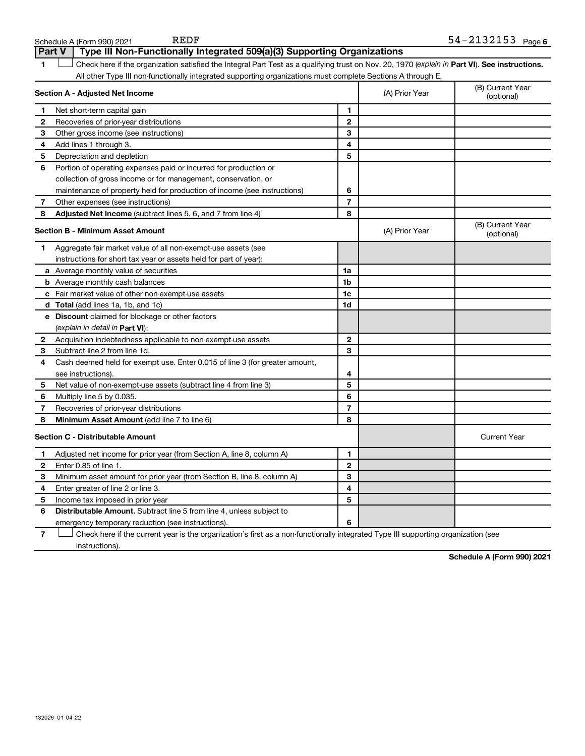| Part V         | Type III Non-Functionally Integrated 509(a)(3) Supporting Organizations                                                                        |                |                |                                |
|----------------|------------------------------------------------------------------------------------------------------------------------------------------------|----------------|----------------|--------------------------------|
| 1              | Check here if the organization satisfied the Integral Part Test as a qualifying trust on Nov. 20, 1970 (explain in Part VI). See instructions. |                |                |                                |
|                | All other Type III non-functionally integrated supporting organizations must complete Sections A through E.                                    |                |                |                                |
|                | Section A - Adjusted Net Income                                                                                                                |                | (A) Prior Year | (B) Current Year<br>(optional) |
| 1.             | Net short-term capital gain                                                                                                                    | 1              |                |                                |
| 2              | Recoveries of prior-year distributions                                                                                                         | 2              |                |                                |
| З              | Other gross income (see instructions)                                                                                                          | 3              |                |                                |
| 4              | Add lines 1 through 3.                                                                                                                         | 4              |                |                                |
| 5              | Depreciation and depletion                                                                                                                     | 5              |                |                                |
| 6              | Portion of operating expenses paid or incurred for production or                                                                               |                |                |                                |
|                | collection of gross income or for management, conservation, or                                                                                 |                |                |                                |
|                | maintenance of property held for production of income (see instructions)                                                                       | 6              |                |                                |
| 7              | Other expenses (see instructions)                                                                                                              | 7              |                |                                |
| 8              | Adjusted Net Income (subtract lines 5, 6, and 7 from line 4)                                                                                   | 8              |                |                                |
|                | Section B - Minimum Asset Amount                                                                                                               |                | (A) Prior Year | (B) Current Year<br>(optional) |
| 1              | Aggregate fair market value of all non-exempt-use assets (see                                                                                  |                |                |                                |
|                | instructions for short tax year or assets held for part of year):                                                                              |                |                |                                |
|                | <b>a</b> Average monthly value of securities                                                                                                   | 1a             |                |                                |
|                | <b>b</b> Average monthly cash balances                                                                                                         | 1b             |                |                                |
|                | c Fair market value of other non-exempt-use assets                                                                                             | 1c             |                |                                |
|                | <b>d</b> Total (add lines 1a, 1b, and 1c)                                                                                                      | 1d             |                |                                |
|                | e Discount claimed for blockage or other factors                                                                                               |                |                |                                |
|                | (explain in detail in <b>Part VI</b> ):                                                                                                        |                |                |                                |
| 2              | Acquisition indebtedness applicable to non-exempt-use assets                                                                                   | $\mathbf{2}$   |                |                                |
| 3              | Subtract line 2 from line 1d.                                                                                                                  | 3              |                |                                |
| 4              | Cash deemed held for exempt use. Enter 0.015 of line 3 (for greater amount,                                                                    |                |                |                                |
|                | see instructions).                                                                                                                             | 4              |                |                                |
| 5              | Net value of non-exempt-use assets (subtract line 4 from line 3)                                                                               | 5              |                |                                |
| 6              | Multiply line 5 by 0.035.                                                                                                                      | 6              |                |                                |
| 7              | Recoveries of prior-year distributions                                                                                                         | 7              |                |                                |
| 8              | Minimum Asset Amount (add line 7 to line 6)                                                                                                    | 8              |                |                                |
|                | <b>Section C - Distributable Amount</b>                                                                                                        |                |                | <b>Current Year</b>            |
| 1              | Adjusted net income for prior year (from Section A, line 8, column A)                                                                          | 1              |                |                                |
| 2              | Enter 0.85 of line 1.                                                                                                                          | $\overline{2}$ |                |                                |
| 3              | Minimum asset amount for prior year (from Section B, line 8, column A)                                                                         | 3              |                |                                |
| 4              | Enter greater of line 2 or line 3.                                                                                                             | 4              |                |                                |
| 5              | Income tax imposed in prior year                                                                                                               | 5              |                |                                |
| 6              | <b>Distributable Amount.</b> Subtract line 5 from line 4, unless subject to                                                                    |                |                |                                |
|                | emergency temporary reduction (see instructions).                                                                                              | 6              |                |                                |
| $\overline{7}$ | Check here if the current year is the organization's first as a non-functionally integrated Type III supporting organization (see              |                |                |                                |

**6** REDF 54-2132153

instructions).

Schedule A (Form 990) 2021 REDF

**Schedule A (Form 990) 2021**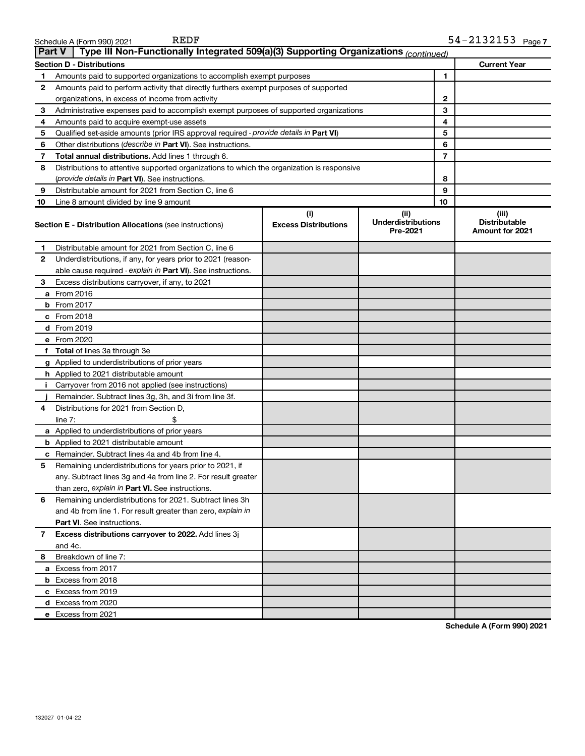| I<br>ı |
|--------|
|--------|

Schedule A (Form 990) 2021

| <b>Part V</b> | Type III Non-Functionally Integrated 509(a)(3) Supporting Organizations (continued)        |                                    |                                                |                |                                                         |
|---------------|--------------------------------------------------------------------------------------------|------------------------------------|------------------------------------------------|----------------|---------------------------------------------------------|
|               | <b>Section D - Distributions</b>                                                           |                                    |                                                |                | <b>Current Year</b>                                     |
| 1             | Amounts paid to supported organizations to accomplish exempt purposes                      |                                    |                                                | 1              |                                                         |
| 2             | Amounts paid to perform activity that directly furthers exempt purposes of supported       |                                    |                                                |                |                                                         |
|               | organizations, in excess of income from activity                                           |                                    |                                                |                |                                                         |
| 3             | Administrative expenses paid to accomplish exempt purposes of supported organizations      |                                    |                                                | 3              |                                                         |
| 4             | Amounts paid to acquire exempt-use assets                                                  |                                    |                                                | 4              |                                                         |
| 5             | Qualified set-aside amounts (prior IRS approval required - provide details in Part VI)     |                                    |                                                | 5              |                                                         |
| 6             | Other distributions ( <i>describe in Part VI</i> ). See instructions.                      |                                    |                                                | 6              |                                                         |
| 7             | Total annual distributions. Add lines 1 through 6.                                         |                                    |                                                | $\overline{7}$ |                                                         |
| 8             | Distributions to attentive supported organizations to which the organization is responsive |                                    |                                                |                |                                                         |
|               | ( <i>provide details in Part VI</i> ). See instructions.                                   |                                    |                                                | 8              |                                                         |
| 9             | Distributable amount for 2021 from Section C, line 6                                       |                                    |                                                | 9              |                                                         |
| 10            | Line 8 amount divided by line 9 amount                                                     |                                    |                                                | 10             |                                                         |
|               | <b>Section E - Distribution Allocations (see instructions)</b>                             | (i)<br><b>Excess Distributions</b> | (iii)<br><b>Underdistributions</b><br>Pre-2021 |                | (iii)<br><b>Distributable</b><br><b>Amount for 2021</b> |
| 1             | Distributable amount for 2021 from Section C, line 6                                       |                                    |                                                |                |                                                         |
| 2             | Underdistributions, if any, for years prior to 2021 (reason-                               |                                    |                                                |                |                                                         |
|               | able cause required - explain in Part VI). See instructions.                               |                                    |                                                |                |                                                         |
| 3             | Excess distributions carryover, if any, to 2021                                            |                                    |                                                |                |                                                         |
|               | a From 2016                                                                                |                                    |                                                |                |                                                         |
|               | <b>b</b> From 2017                                                                         |                                    |                                                |                |                                                         |
|               | c From 2018                                                                                |                                    |                                                |                |                                                         |
|               | d From 2019                                                                                |                                    |                                                |                |                                                         |
|               | e From 2020                                                                                |                                    |                                                |                |                                                         |
|               | f Total of lines 3a through 3e                                                             |                                    |                                                |                |                                                         |
|               | g Applied to underdistributions of prior years                                             |                                    |                                                |                |                                                         |
|               | <b>h</b> Applied to 2021 distributable amount                                              |                                    |                                                |                |                                                         |
| Ť.            | Carryover from 2016 not applied (see instructions)                                         |                                    |                                                |                |                                                         |
|               | Remainder. Subtract lines 3g, 3h, and 3i from line 3f.                                     |                                    |                                                |                |                                                         |
| 4             | Distributions for 2021 from Section D,                                                     |                                    |                                                |                |                                                         |
|               | line $7:$                                                                                  |                                    |                                                |                |                                                         |
|               | a Applied to underdistributions of prior years                                             |                                    |                                                |                |                                                         |
|               | <b>b</b> Applied to 2021 distributable amount                                              |                                    |                                                |                |                                                         |
|               | c Remainder. Subtract lines 4a and 4b from line 4.                                         |                                    |                                                |                |                                                         |
| 5             | Remaining underdistributions for years prior to 2021, if                                   |                                    |                                                |                |                                                         |
|               | any. Subtract lines 3g and 4a from line 2. For result greater                              |                                    |                                                |                |                                                         |
|               | than zero, explain in Part VI. See instructions.                                           |                                    |                                                |                |                                                         |
| 6             | Remaining underdistributions for 2021. Subtract lines 3h                                   |                                    |                                                |                |                                                         |
|               | and 4b from line 1. For result greater than zero, explain in                               |                                    |                                                |                |                                                         |
|               | <b>Part VI.</b> See instructions.                                                          |                                    |                                                |                |                                                         |
| 7             | Excess distributions carryover to 2022. Add lines 3j                                       |                                    |                                                |                |                                                         |
|               | and 4c.                                                                                    |                                    |                                                |                |                                                         |
| 8             | Breakdown of line 7:                                                                       |                                    |                                                |                |                                                         |
|               | a Excess from 2017                                                                         |                                    |                                                |                |                                                         |
|               | <b>b</b> Excess from 2018                                                                  |                                    |                                                |                |                                                         |
|               | c Excess from 2019                                                                         |                                    |                                                |                |                                                         |
|               | d Excess from 2020                                                                         |                                    |                                                |                |                                                         |
|               | e Excess from 2021                                                                         |                                    |                                                |                |                                                         |

**Schedule A (Form 990) 2021**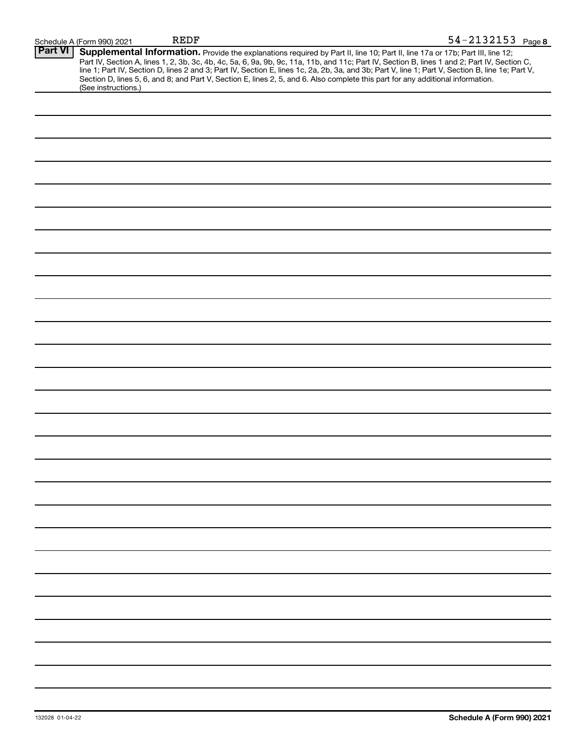|                | Schedule A (Form 990) 2021 | <b>REDF</b>                                                                                                                                                                                                                                                                                                                                                                                                                                                                                                                                                          | 54-2132153 Page 8 |
|----------------|----------------------------|----------------------------------------------------------------------------------------------------------------------------------------------------------------------------------------------------------------------------------------------------------------------------------------------------------------------------------------------------------------------------------------------------------------------------------------------------------------------------------------------------------------------------------------------------------------------|-------------------|
| <b>Part VI</b> | (See instructions.)        | Supplemental Information. Provide the explanations required by Part II, line 10; Part II, line 17a or 17b; Part III, line 12;<br>Part IV, Section A, lines 1, 2, 3b, 3c, 4b, 4c, 5a, 6, 9a, 9b, 9c, 11a, 11b, and 11c; Part IV, Section B, lines 1 and 2; Part IV, Section C,<br>line 1; Part IV, Section D, lines 2 and 3; Part IV, Section E, lines 1c, 2a, 2b, 3a, and 3b; Part V, line 1; Part V, Section B, line 1e; Part V,<br>Section D, lines 5, 6, and 8; and Part V, Section E, lines 2, 5, and 6. Also complete this part for any additional information. |                   |
|                |                            |                                                                                                                                                                                                                                                                                                                                                                                                                                                                                                                                                                      |                   |
|                |                            |                                                                                                                                                                                                                                                                                                                                                                                                                                                                                                                                                                      |                   |
|                |                            |                                                                                                                                                                                                                                                                                                                                                                                                                                                                                                                                                                      |                   |
|                |                            |                                                                                                                                                                                                                                                                                                                                                                                                                                                                                                                                                                      |                   |
|                |                            |                                                                                                                                                                                                                                                                                                                                                                                                                                                                                                                                                                      |                   |
|                |                            |                                                                                                                                                                                                                                                                                                                                                                                                                                                                                                                                                                      |                   |
|                |                            |                                                                                                                                                                                                                                                                                                                                                                                                                                                                                                                                                                      |                   |
|                |                            |                                                                                                                                                                                                                                                                                                                                                                                                                                                                                                                                                                      |                   |
|                |                            |                                                                                                                                                                                                                                                                                                                                                                                                                                                                                                                                                                      |                   |
|                |                            |                                                                                                                                                                                                                                                                                                                                                                                                                                                                                                                                                                      |                   |
|                |                            |                                                                                                                                                                                                                                                                                                                                                                                                                                                                                                                                                                      |                   |
|                |                            |                                                                                                                                                                                                                                                                                                                                                                                                                                                                                                                                                                      |                   |
|                |                            |                                                                                                                                                                                                                                                                                                                                                                                                                                                                                                                                                                      |                   |
|                |                            |                                                                                                                                                                                                                                                                                                                                                                                                                                                                                                                                                                      |                   |
|                |                            |                                                                                                                                                                                                                                                                                                                                                                                                                                                                                                                                                                      |                   |
|                |                            |                                                                                                                                                                                                                                                                                                                                                                                                                                                                                                                                                                      |                   |
|                |                            |                                                                                                                                                                                                                                                                                                                                                                                                                                                                                                                                                                      |                   |
|                |                            |                                                                                                                                                                                                                                                                                                                                                                                                                                                                                                                                                                      |                   |
|                |                            |                                                                                                                                                                                                                                                                                                                                                                                                                                                                                                                                                                      |                   |
|                |                            |                                                                                                                                                                                                                                                                                                                                                                                                                                                                                                                                                                      |                   |
|                |                            |                                                                                                                                                                                                                                                                                                                                                                                                                                                                                                                                                                      |                   |
|                |                            |                                                                                                                                                                                                                                                                                                                                                                                                                                                                                                                                                                      |                   |
|                |                            |                                                                                                                                                                                                                                                                                                                                                                                                                                                                                                                                                                      |                   |
|                |                            |                                                                                                                                                                                                                                                                                                                                                                                                                                                                                                                                                                      |                   |
|                |                            |                                                                                                                                                                                                                                                                                                                                                                                                                                                                                                                                                                      |                   |
|                |                            |                                                                                                                                                                                                                                                                                                                                                                                                                                                                                                                                                                      |                   |
|                |                            |                                                                                                                                                                                                                                                                                                                                                                                                                                                                                                                                                                      |                   |
|                |                            |                                                                                                                                                                                                                                                                                                                                                                                                                                                                                                                                                                      |                   |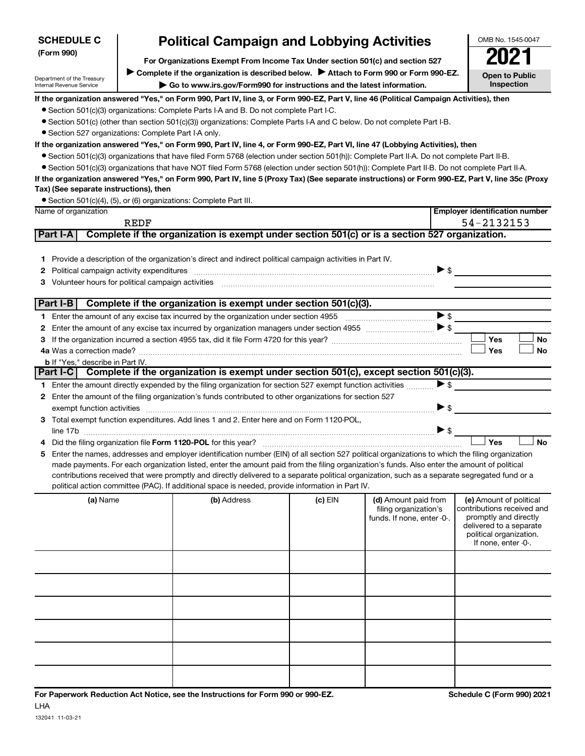| (Form 990)                                             |                                                                                                                                         | For Organizations Exempt From Income Tax Under section 501(c) and section 527                                                                                                                                                  |           |                            |                          | 2021                                           |
|--------------------------------------------------------|-----------------------------------------------------------------------------------------------------------------------------------------|--------------------------------------------------------------------------------------------------------------------------------------------------------------------------------------------------------------------------------|-----------|----------------------------|--------------------------|------------------------------------------------|
|                                                        |                                                                                                                                         | Complete if the organization is described below.<br>Attach to Form 990 or Form 990-EZ.                                                                                                                                         |           |                            |                          |                                                |
| Department of the Treasury<br>Internal Revenue Service | Inspection<br>Go to www.irs.gov/Form990 for instructions and the latest information.                                                    |                                                                                                                                                                                                                                |           |                            |                          | <b>Open to Public</b>                          |
|                                                        | If the organization answered "Yes," on Form 990, Part IV, line 3, or Form 990-EZ, Part V, line 46 (Political Campaign Activities), then |                                                                                                                                                                                                                                |           |                            |                          |                                                |
|                                                        |                                                                                                                                         | • Section 501(c)(3) organizations: Complete Parts I-A and B. Do not complete Part I-C.                                                                                                                                         |           |                            |                          |                                                |
|                                                        |                                                                                                                                         | • Section 501(c) (other than section 501(c)(3)) organizations: Complete Parts I-A and C below. Do not complete Part I-B.                                                                                                       |           |                            |                          |                                                |
| • Section 527 organizations: Complete Part I-A only.   |                                                                                                                                         |                                                                                                                                                                                                                                |           |                            |                          |                                                |
|                                                        |                                                                                                                                         | If the organization answered "Yes," on Form 990, Part IV, line 4, or Form 990-EZ, Part VI, line 47 (Lobbying Activities), then                                                                                                 |           |                            |                          |                                                |
|                                                        |                                                                                                                                         | • Section 501(c)(3) organizations that have filed Form 5768 (election under section 501(h)): Complete Part II-A. Do not complete Part II-B.                                                                                    |           |                            |                          |                                                |
|                                                        |                                                                                                                                         | • Section 501(c)(3) organizations that have NOT filed Form 5768 (election under section 501(h)): Complete Part II-B. Do not complete Part II-A.                                                                                |           |                            |                          |                                                |
|                                                        |                                                                                                                                         | If the organization answered "Yes," on Form 990, Part IV, line 5 (Proxy Tax) (See separate instructions) or Form 990-EZ, Part V, line 35c (Proxy                                                                               |           |                            |                          |                                                |
| Tax) (See separate instructions), then                 |                                                                                                                                         |                                                                                                                                                                                                                                |           |                            |                          |                                                |
|                                                        |                                                                                                                                         | • Section 501(c)(4), (5), or (6) organizations: Complete Part III.                                                                                                                                                             |           |                            |                          |                                                |
| Name of organization                                   |                                                                                                                                         |                                                                                                                                                                                                                                |           |                            |                          | <b>Employer identification number</b>          |
|                                                        | REDF                                                                                                                                    |                                                                                                                                                                                                                                |           |                            |                          | 54-2132153                                     |
| Part I-A                                               |                                                                                                                                         | Complete if the organization is exempt under section 501(c) or is a section 527 organization.                                                                                                                                  |           |                            |                          |                                                |
|                                                        |                                                                                                                                         |                                                                                                                                                                                                                                |           |                            |                          |                                                |
|                                                        |                                                                                                                                         | 1 Provide a description of the organization's direct and indirect political campaign activities in Part IV.                                                                                                                    |           |                            |                          |                                                |
| 2                                                      |                                                                                                                                         | Political campaign activity expenditures [11] matter contracts and contracts are provided as a political campaign activity expenditures [11] matter contracts and contracts are contracted as a contract of the contract of th |           |                            | $\triangleright$ \$      |                                                |
| З                                                      |                                                                                                                                         | Volunteer hours for political campaign activities [11] matter content to the content of the content of the content of the content of the content of the content of the content of the content of the content of the content of |           |                            |                          |                                                |
|                                                        |                                                                                                                                         |                                                                                                                                                                                                                                |           |                            |                          |                                                |
| Part I-B                                               |                                                                                                                                         | Complete if the organization is exempt under section 501(c)(3).                                                                                                                                                                |           |                            |                          |                                                |
| 1.                                                     |                                                                                                                                         |                                                                                                                                                                                                                                |           |                            | $\triangleright$ s       |                                                |
| 2                                                      |                                                                                                                                         |                                                                                                                                                                                                                                |           |                            |                          |                                                |
| з                                                      |                                                                                                                                         |                                                                                                                                                                                                                                |           |                            |                          | Yes<br>No                                      |
|                                                        |                                                                                                                                         |                                                                                                                                                                                                                                |           |                            |                          | Yes<br>No                                      |
| <b>b</b> If "Yes," describe in Part IV.                |                                                                                                                                         |                                                                                                                                                                                                                                |           |                            |                          |                                                |
| Part I-C                                               |                                                                                                                                         | Complete if the organization is exempt under section 501(c), except section 501(c)(3).                                                                                                                                         |           |                            |                          |                                                |
|                                                        |                                                                                                                                         | 1 Enter the amount directly expended by the filing organization for section 527 exempt function activities                                                                                                                     |           |                            | $\triangleright$ \$      |                                                |
| 2                                                      |                                                                                                                                         | Enter the amount of the filing organization's funds contributed to other organizations for section 527                                                                                                                         |           |                            |                          |                                                |
|                                                        |                                                                                                                                         | exempt function activities with activities and contain activities and contain activities and contain activities                                                                                                                |           |                            | $\triangleright$ s       |                                                |
| З                                                      |                                                                                                                                         | Total exempt function expenditures. Add lines 1 and 2. Enter here and on Form 1120-POL,                                                                                                                                        |           |                            |                          |                                                |
|                                                        |                                                                                                                                         |                                                                                                                                                                                                                                |           |                            | $\blacktriangleright$ \$ |                                                |
| 4                                                      |                                                                                                                                         |                                                                                                                                                                                                                                |           |                            |                          | Yes<br>No                                      |
| 5                                                      |                                                                                                                                         | Enter the names, addresses and employer identification number (EIN) of all section 527 political organizations to which the filing organization                                                                                |           |                            |                          |                                                |
|                                                        |                                                                                                                                         | made payments. For each organization listed, enter the amount paid from the filing organization's funds. Also enter the amount of political                                                                                    |           |                            |                          |                                                |
|                                                        |                                                                                                                                         | contributions received that were promptly and directly delivered to a separate political organization, such as a separate segregated fund or a                                                                                 |           |                            |                          |                                                |
|                                                        |                                                                                                                                         | political action committee (PAC). If additional space is needed, provide information in Part IV.                                                                                                                               |           |                            |                          |                                                |
| (a) Name                                               |                                                                                                                                         | (b) Address                                                                                                                                                                                                                    | $(c)$ EIN | (d) Amount paid from       |                          | (e) Amount of political                        |
|                                                        |                                                                                                                                         |                                                                                                                                                                                                                                |           | filing organization's      |                          | contributions received and                     |
|                                                        |                                                                                                                                         |                                                                                                                                                                                                                                |           | funds. If none, enter -0-. |                          | promptly and directly                          |
|                                                        |                                                                                                                                         |                                                                                                                                                                                                                                |           |                            |                          | delivered to a separate                        |
|                                                        |                                                                                                                                         |                                                                                                                                                                                                                                |           |                            |                          | political organization.<br>If none, enter -0-. |
|                                                        |                                                                                                                                         |                                                                                                                                                                                                                                |           |                            |                          |                                                |
|                                                        |                                                                                                                                         |                                                                                                                                                                                                                                |           |                            |                          |                                                |
|                                                        |                                                                                                                                         |                                                                                                                                                                                                                                |           |                            |                          |                                                |
|                                                        |                                                                                                                                         |                                                                                                                                                                                                                                |           |                            |                          |                                                |
|                                                        |                                                                                                                                         |                                                                                                                                                                                                                                |           |                            |                          |                                                |
|                                                        |                                                                                                                                         |                                                                                                                                                                                                                                |           |                            |                          |                                                |
|                                                        |                                                                                                                                         |                                                                                                                                                                                                                                |           |                            |                          |                                                |
|                                                        |                                                                                                                                         |                                                                                                                                                                                                                                |           |                            |                          |                                                |
|                                                        |                                                                                                                                         |                                                                                                                                                                                                                                |           |                            |                          |                                                |
|                                                        |                                                                                                                                         |                                                                                                                                                                                                                                |           |                            |                          |                                                |
|                                                        |                                                                                                                                         |                                                                                                                                                                                                                                |           |                            |                          |                                                |
|                                                        |                                                                                                                                         |                                                                                                                                                                                                                                |           |                            |                          |                                                |

**Political Campaign and Lobbying Activities** 

OMB No. 1545-0047

**SCHEDULE C**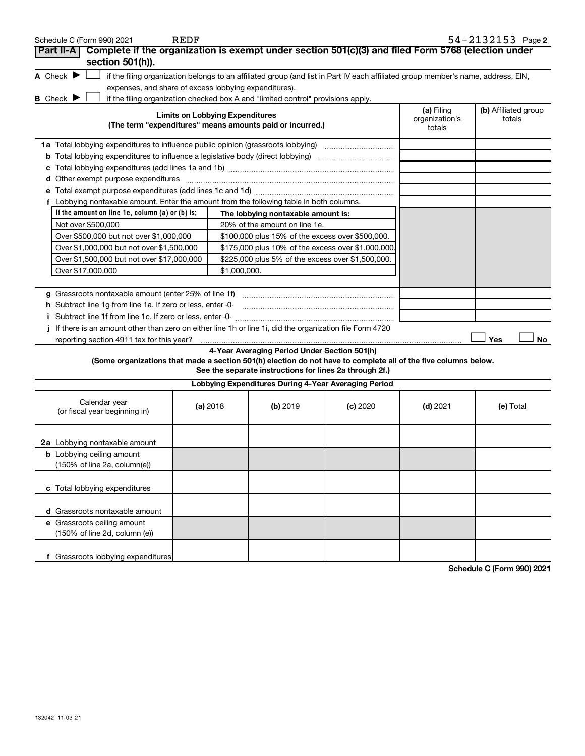| Schedule C (Form 990) 2021                                                                                                                                                                                                     | <b>REDF</b>                                                                                     |                                                                                                                                                                           |          |                              | $54 - 2132153$ Page 2          |
|--------------------------------------------------------------------------------------------------------------------------------------------------------------------------------------------------------------------------------|-------------------------------------------------------------------------------------------------|---------------------------------------------------------------------------------------------------------------------------------------------------------------------------|----------|------------------------------|--------------------------------|
| Part II-A                                                                                                                                                                                                                      |                                                                                                 | Complete if the organization is exempt under section 501(c)(3) and filed Form 5768 (election under                                                                        |          |                              |                                |
| section 501(h)).                                                                                                                                                                                                               |                                                                                                 |                                                                                                                                                                           |          |                              |                                |
| A Check $\blacktriangleright$                                                                                                                                                                                                  |                                                                                                 | if the filing organization belongs to an affiliated group (and list in Part IV each affiliated group member's name, address, EIN,                                         |          |                              |                                |
|                                                                                                                                                                                                                                |                                                                                                 | expenses, and share of excess lobbying expenditures).                                                                                                                     |          |                              |                                |
| B Check $\blacktriangleright$                                                                                                                                                                                                  |                                                                                                 | if the filing organization checked box A and "limited control" provisions apply.                                                                                          |          |                              |                                |
|                                                                                                                                                                                                                                |                                                                                                 | <b>Limits on Lobbying Expenditures</b>                                                                                                                                    |          | (a) Filing<br>organization's | (b) Affiliated group<br>totals |
|                                                                                                                                                                                                                                |                                                                                                 | (The term "expenditures" means amounts paid or incurred.)                                                                                                                 |          | totals                       |                                |
| 1a Total lobbying expenditures to influence public opinion (grassroots lobbying) [11] [12] Total lobbying content to the fluor of the fluor of the fluor of the fluor of the fluor of the fluor of the fluor of the fluor of t |                                                                                                 |                                                                                                                                                                           |          |                              |                                |
|                                                                                                                                                                                                                                |                                                                                                 |                                                                                                                                                                           |          |                              |                                |
|                                                                                                                                                                                                                                |                                                                                                 |                                                                                                                                                                           |          |                              |                                |
| d Other exempt purpose expenditures                                                                                                                                                                                            |                                                                                                 |                                                                                                                                                                           |          |                              |                                |
|                                                                                                                                                                                                                                |                                                                                                 |                                                                                                                                                                           |          |                              |                                |
| f Lobbying nontaxable amount. Enter the amount from the following table in both columns.                                                                                                                                       |                                                                                                 |                                                                                                                                                                           |          |                              |                                |
| If the amount on line 1e, column $(a)$ or $(b)$ is:                                                                                                                                                                            |                                                                                                 | The lobbying nontaxable amount is:                                                                                                                                        |          |                              |                                |
| Not over \$500,000                                                                                                                                                                                                             |                                                                                                 | 20% of the amount on line 1e.                                                                                                                                             |          |                              |                                |
| Over \$500,000 but not over \$1,000,000                                                                                                                                                                                        |                                                                                                 | \$100,000 plus 15% of the excess over \$500,000.                                                                                                                          |          |                              |                                |
| Over \$1,000,000 but not over \$1,500,000                                                                                                                                                                                      |                                                                                                 | \$175,000 plus 10% of the excess over \$1,000,000                                                                                                                         |          |                              |                                |
|                                                                                                                                                                                                                                | \$225,000 plus 5% of the excess over \$1,500,000.<br>Over \$1,500,000 but not over \$17,000,000 |                                                                                                                                                                           |          |                              |                                |
| Over \$17,000,000                                                                                                                                                                                                              |                                                                                                 | \$1,000,000.                                                                                                                                                              |          |                              |                                |
|                                                                                                                                                                                                                                |                                                                                                 |                                                                                                                                                                           |          |                              |                                |
| h Subtract line 1g from line 1a. If zero or less, enter -0-                                                                                                                                                                    |                                                                                                 |                                                                                                                                                                           |          |                              |                                |
|                                                                                                                                                                                                                                |                                                                                                 |                                                                                                                                                                           |          |                              |                                |
| If there is an amount other than zero on either line 1h or line 1i, did the organization file Form 4720                                                                                                                        |                                                                                                 |                                                                                                                                                                           |          |                              |                                |
| reporting section 4911 tax for this year?                                                                                                                                                                                      |                                                                                                 |                                                                                                                                                                           |          |                              | Yes<br>No                      |
|                                                                                                                                                                                                                                |                                                                                                 | 4-Year Averaging Period Under Section 501(h)                                                                                                                              |          |                              |                                |
|                                                                                                                                                                                                                                |                                                                                                 | (Some organizations that made a section 501(h) election do not have to complete all of the five columns below.<br>See the separate instructions for lines 2a through 2f.) |          |                              |                                |
|                                                                                                                                                                                                                                |                                                                                                 | Lobbying Expenditures During 4-Year Averaging Period                                                                                                                      |          |                              |                                |
| Calendar year                                                                                                                                                                                                                  |                                                                                                 |                                                                                                                                                                           |          |                              |                                |
| (or fiscal year beginning in)                                                                                                                                                                                                  | (a) 2018                                                                                        | (b) 2019                                                                                                                                                                  | (c) 2020 | $(d)$ 2021                   | (e) Total                      |
|                                                                                                                                                                                                                                |                                                                                                 |                                                                                                                                                                           |          |                              |                                |
|                                                                                                                                                                                                                                |                                                                                                 |                                                                                                                                                                           |          |                              |                                |
| 2a Lobbying nontaxable amount<br><b>b</b> Lobbying ceiling amount                                                                                                                                                              |                                                                                                 |                                                                                                                                                                           |          |                              |                                |
| (150% of line 2a, column(e))                                                                                                                                                                                                   |                                                                                                 |                                                                                                                                                                           |          |                              |                                |
|                                                                                                                                                                                                                                |                                                                                                 |                                                                                                                                                                           |          |                              |                                |
| c Total lobbying expenditures                                                                                                                                                                                                  |                                                                                                 |                                                                                                                                                                           |          |                              |                                |
|                                                                                                                                                                                                                                |                                                                                                 |                                                                                                                                                                           |          |                              |                                |
| d Grassroots nontaxable amount                                                                                                                                                                                                 |                                                                                                 |                                                                                                                                                                           |          |                              |                                |
| e Grassroots ceiling amount                                                                                                                                                                                                    |                                                                                                 |                                                                                                                                                                           |          |                              |                                |
| (150% of line 2d, column (e))                                                                                                                                                                                                  |                                                                                                 |                                                                                                                                                                           |          |                              |                                |
|                                                                                                                                                                                                                                |                                                                                                 |                                                                                                                                                                           |          |                              |                                |
| Grassroots lobbying expenditures<br>f                                                                                                                                                                                          |                                                                                                 |                                                                                                                                                                           |          |                              |                                |
|                                                                                                                                                                                                                                |                                                                                                 |                                                                                                                                                                           |          |                              | Schedule C (Form 990) 2021     |

Schedule C (Form 990)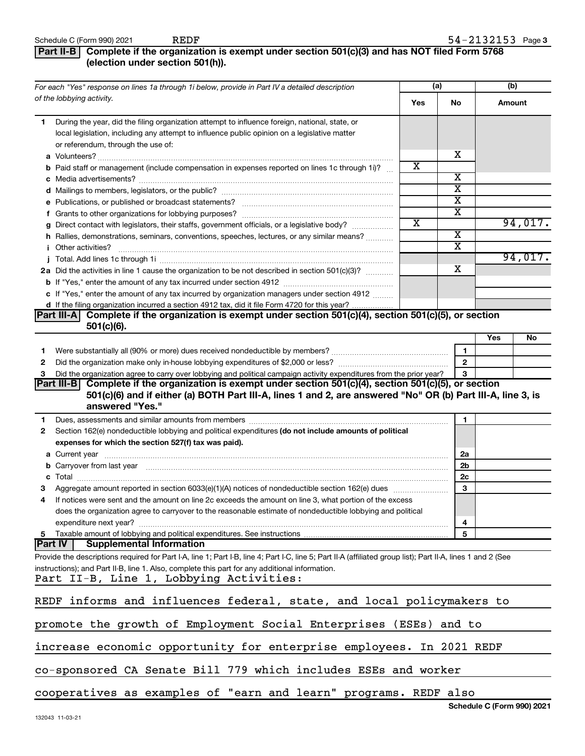### **Part II-B Complete if the organization is exempt under section 501(c)(3) and has NOT filed Form 5768 (election under section 501(h)).**

|                | For each "Yes" response on lines 1a through 1i below, provide in Part IV a detailed description                                                                                                                                      |     | (a)                     | (b)    |         |
|----------------|--------------------------------------------------------------------------------------------------------------------------------------------------------------------------------------------------------------------------------------|-----|-------------------------|--------|---------|
|                | of the lobbying activity.                                                                                                                                                                                                            | Yes | No                      | Amount |         |
| 1              | During the year, did the filing organization attempt to influence foreign, national, state, or<br>local legislation, including any attempt to influence public opinion on a legislative matter<br>or referendum, through the use of: |     | х                       |        |         |
|                | <b>b</b> Paid staff or management (include compensation in expenses reported on lines 1c through 1i)?                                                                                                                                | x   |                         |        |         |
|                |                                                                                                                                                                                                                                      |     | х                       |        |         |
|                |                                                                                                                                                                                                                                      |     | х                       |        |         |
|                |                                                                                                                                                                                                                                      |     | х                       |        |         |
|                |                                                                                                                                                                                                                                      |     | х                       |        |         |
|                | g Direct contact with legislators, their staffs, government officials, or a legislative body?                                                                                                                                        | х   |                         |        | 94,017. |
|                | h Rallies, demonstrations, seminars, conventions, speeches, lectures, or any similar means?                                                                                                                                          |     | $\overline{\textbf{x}}$ |        |         |
|                | <i>i</i> Other activities?                                                                                                                                                                                                           |     | $\overline{\textbf{x}}$ |        |         |
|                |                                                                                                                                                                                                                                      |     |                         |        | 94,017. |
|                | 2a Did the activities in line 1 cause the organization to be not described in section 501(c)(3)?                                                                                                                                     |     | х                       |        |         |
|                |                                                                                                                                                                                                                                      |     |                         |        |         |
|                | c If "Yes," enter the amount of any tax incurred by organization managers under section 4912                                                                                                                                         |     |                         |        |         |
|                | d If the filing organization incurred a section 4912 tax, did it file Form 4720 for this year?<br>Complete if the organization is exempt under section 501(c)(4), section 501(c)(5), or section                                      |     |                         |        |         |
|                | Part III-A <br>$501(c)(6)$ .                                                                                                                                                                                                         |     |                         |        |         |
|                |                                                                                                                                                                                                                                      |     |                         | Yes    | No      |
| 1              |                                                                                                                                                                                                                                      |     | 1                       |        |         |
| 2              |                                                                                                                                                                                                                                      |     | $\mathbf{2}$            |        |         |
| 3              | Did the organization agree to carry over lobbying and political campaign activity expenditures from the prior year?                                                                                                                  |     | 3                       |        |         |
|                | Part III-B Complete if the organization is exempt under section 501(c)(4), section 501(c)(5), or section                                                                                                                             |     |                         |        |         |
|                | 501(c)(6) and if either (a) BOTH Part III-A, lines 1 and 2, are answered "No" OR (b) Part III-A, line 3, is                                                                                                                          |     |                         |        |         |
|                | answered "Yes."                                                                                                                                                                                                                      |     |                         |        |         |
| 1.             | Dues, assessments and similar amounts from members [111] matter contracts as a series and similar amounts from members [11] matter contracts and similar amounts from members [11] matter contracts and similar amounts from m       |     | 1                       |        |         |
| 2              | Section 162(e) nondeductible lobbying and political expenditures (do not include amounts of political                                                                                                                                |     |                         |        |         |
|                | expenses for which the section 527(f) tax was paid).                                                                                                                                                                                 |     |                         |        |         |
|                |                                                                                                                                                                                                                                      |     | 2a                      |        |         |
|                | b Carryover from last year manufactured and content to content the content of the content of the content of the content of the content of the content of the content of the content of the content of the content of the conte       |     | 2b                      |        |         |
|                |                                                                                                                                                                                                                                      |     | 2c                      |        |         |
|                |                                                                                                                                                                                                                                      |     | 3                       |        |         |
| 4              | If notices were sent and the amount on line 2c exceeds the amount on line 3, what portion of the excess                                                                                                                              |     |                         |        |         |
|                | does the organization agree to carryover to the reasonable estimate of nondeductible lobbying and political                                                                                                                          |     |                         |        |         |
|                | expenditure next year?<br>5 Taxable amount of lobbying and political expenditures. See instructions                                                                                                                                  |     | 4<br>5                  |        |         |
| <b>Part IV</b> | <b>Supplemental Information</b>                                                                                                                                                                                                      |     |                         |        |         |
|                | Provide the descriptions required for Part I-A, line 1; Part I-B, line 4; Part I-C, line 5; Part II-A (affiliated group list); Part II-A, lines 1 and 2 (See                                                                         |     |                         |        |         |
|                | instructions); and Part II-B, line 1. Also, complete this part for any additional information.                                                                                                                                       |     |                         |        |         |
|                | Part II-B, Line 1, Lobbying Activities:                                                                                                                                                                                              |     |                         |        |         |
|                |                                                                                                                                                                                                                                      |     |                         |        |         |
|                | REDF informs and influences federal, state, and local policymakers to                                                                                                                                                                |     |                         |        |         |
|                |                                                                                                                                                                                                                                      |     |                         |        |         |
|                | promote the growth of Employment Social Enterprises (ESEs) and to                                                                                                                                                                    |     |                         |        |         |
|                | increase economic opportunity for enterprise employees. In 2021 REDF                                                                                                                                                                 |     |                         |        |         |
|                | co-sponsored CA Senate Bill 779 which includes ESEs and worker                                                                                                                                                                       |     |                         |        |         |
|                | cooperatives as examples of "earn and learn" programs. REDF also                                                                                                                                                                     |     |                         |        |         |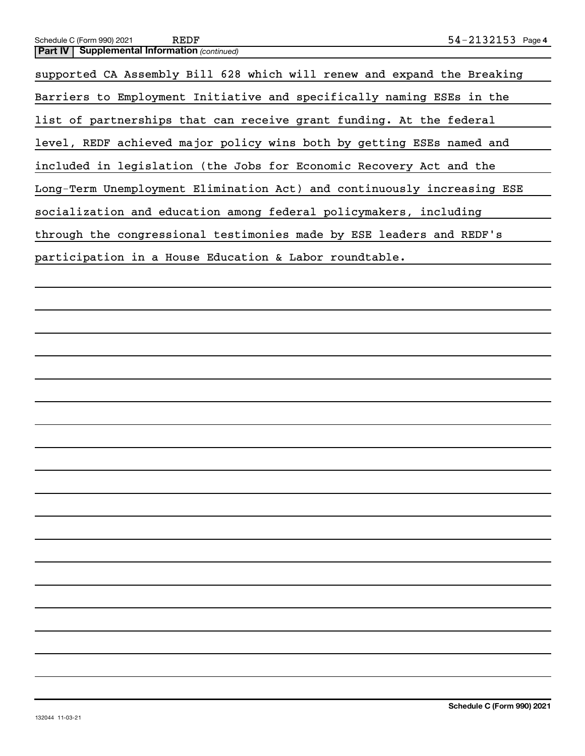| 54-2132153 Page<br>Schedule C (Form 990) 2021<br>REDF                   |  |
|-------------------------------------------------------------------------|--|
| <b>Supplemental Information (continued)</b><br>Part IV                  |  |
| supported CA Assembly Bill 628 which will renew and expand the Breaking |  |
| Barriers to Employment Initiative and specifically naming ESEs in the   |  |
| list of partnerships that can receive grant funding. At the federal     |  |
| level, REDF achieved major policy wins both by getting ESEs named and   |  |
| included in legislation (the Jobs for Economic Recovery Act and the     |  |
| Long-Term Unemployment Elimination Act) and continuously increasing ESE |  |
| socialization and education among federal policymakers, including       |  |
| through the congressional testimonies made by ESE leaders and REDF's    |  |
| participation in a House Education & Labor roundtable.                  |  |
|                                                                         |  |
|                                                                         |  |
|                                                                         |  |
|                                                                         |  |
|                                                                         |  |
|                                                                         |  |
|                                                                         |  |
|                                                                         |  |
|                                                                         |  |
|                                                                         |  |
|                                                                         |  |
|                                                                         |  |
|                                                                         |  |

 $\overline{\phantom{0}}$ 

 $\overline{\phantom{0}}$ 

 $\overline{a}$ 

 $\overline{\phantom{0}}$ 

 $\overline{\phantom{a}}$ 

 $\overline{\phantom{a}}$ 

 $\overline{a}$ 

 $\overline{\phantom{0}}$ 

 $\overline{\phantom{a}}$ 

 $\overline{\phantom{0}}$ 

 $\overline{\phantom{a}}$ 

 $\overline{\phantom{a}}$ 

 $\overline{\phantom{0}}$ 

 $\overline{\phantom{a}}$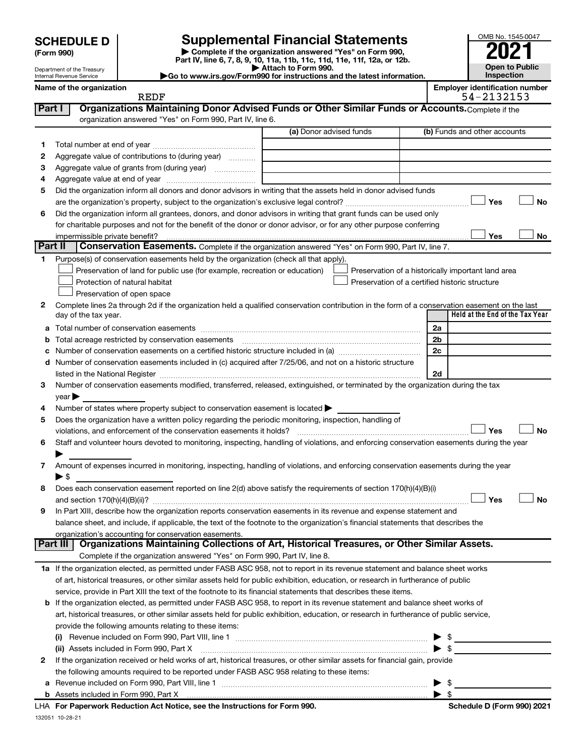| <b>SCHEDULE D</b> |  |
|-------------------|--|
|-------------------|--|

Department of the Treasury Internal Revenue Service

| (Form 990) |  |
|------------|--|
|------------|--|

**| Complete if the organization answered "Yes" on Form 990, Part IV, line 6, 7, 8, 9, 10, 11a, 11b, 11c, 11d, 11e, 11f, 12a, or 12b. | Attach to Form 990. SCHEDULE D Supplemental Financial Statements**<br> **Form 990 Example 5 2021**<br>
Part IV. line 6, 7, 8, 9, 10, 11a, 11b, 11c, 11d, 11e, 11f, 12a, or 12b.

**|Go to www.irs.gov/Form990 for instructions and the latest information.**

| OMB No. 1545-0047     |
|-----------------------|
|                       |
| 2021                  |
|                       |
| <b>Open to Public</b> |
| Inspection            |

**Name of the organization Employer identification number**

|         | <b>REDF</b>                                                                                                                                    |                         | 54-2132153                                         |
|---------|------------------------------------------------------------------------------------------------------------------------------------------------|-------------------------|----------------------------------------------------|
| Part I  | Organizations Maintaining Donor Advised Funds or Other Similar Funds or Accounts. Complete if the                                              |                         |                                                    |
|         | organization answered "Yes" on Form 990, Part IV, line 6.                                                                                      |                         |                                                    |
|         |                                                                                                                                                | (a) Donor advised funds | (b) Funds and other accounts                       |
| 1.      |                                                                                                                                                |                         |                                                    |
| 2       | Aggregate value of contributions to (during year)                                                                                              |                         |                                                    |
| З       |                                                                                                                                                |                         |                                                    |
| 4       |                                                                                                                                                |                         |                                                    |
| 5       | Did the organization inform all donors and donor advisors in writing that the assets held in donor advised funds                               |                         |                                                    |
|         |                                                                                                                                                |                         | Yes<br>No                                          |
| 6       | Did the organization inform all grantees, donors, and donor advisors in writing that grant funds can be used only                              |                         |                                                    |
|         |                                                                                                                                                |                         |                                                    |
|         | for charitable purposes and not for the benefit of the donor or donor advisor, or for any other purpose conferring                             |                         |                                                    |
| Part II |                                                                                                                                                |                         | Yes<br>No                                          |
|         | Conservation Easements. Complete if the organization answered "Yes" on Form 990, Part IV, line 7.                                              |                         |                                                    |
|         | Purpose(s) of conservation easements held by the organization (check all that apply).                                                          |                         |                                                    |
|         | Preservation of land for public use (for example, recreation or education)                                                                     |                         | Preservation of a historically important land area |
|         | Protection of natural habitat                                                                                                                  |                         | Preservation of a certified historic structure     |
|         | Preservation of open space                                                                                                                     |                         |                                                    |
| 2       | Complete lines 2a through 2d if the organization held a qualified conservation contribution in the form of a conservation easement on the last |                         |                                                    |
|         | day of the tax year.                                                                                                                           |                         | Held at the End of the Tax Year                    |
| а       |                                                                                                                                                |                         | 2a                                                 |
| b       |                                                                                                                                                |                         | 2 <sub>b</sub>                                     |
|         |                                                                                                                                                |                         | 2c                                                 |
| d       | Number of conservation easements included in (c) acquired after 7/25/06, and not on a historic structure                                       |                         |                                                    |
|         |                                                                                                                                                |                         | 2d                                                 |
| З       | Number of conservation easements modified, transferred, released, extinguished, or terminated by the organization during the tax               |                         |                                                    |
|         | vear                                                                                                                                           |                         |                                                    |
| 4       | Number of states where property subject to conservation easement is located >                                                                  |                         |                                                    |
| 5       | Does the organization have a written policy regarding the periodic monitoring, inspection, handling of                                         |                         |                                                    |
|         | violations, and enforcement of the conservation easements it holds?                                                                            |                         | Yes<br><b>No</b>                                   |
| 6       | Staff and volunteer hours devoted to monitoring, inspecting, handling of violations, and enforcing conservation easements during the year      |                         |                                                    |
|         |                                                                                                                                                |                         |                                                    |
| 7       | Amount of expenses incurred in monitoring, inspecting, handling of violations, and enforcing conservation easements during the year            |                         |                                                    |
|         | $\blacktriangleright$ s                                                                                                                        |                         |                                                    |
| 8       | Does each conservation easement reported on line 2(d) above satisfy the requirements of section 170(h)(4)(B)(i)                                |                         |                                                    |
|         |                                                                                                                                                |                         | Yes<br>No                                          |
| 9       | In Part XIII, describe how the organization reports conservation easements in its revenue and expense statement and                            |                         |                                                    |
|         | balance sheet, and include, if applicable, the text of the footnote to the organization's financial statements that describes the              |                         |                                                    |
|         | organization's accounting for conservation easements.                                                                                          |                         |                                                    |
|         | Organizations Maintaining Collections of Art, Historical Treasures, or Other Similar Assets.<br>Part III                                       |                         |                                                    |
|         | Complete if the organization answered "Yes" on Form 990, Part IV, line 8.                                                                      |                         |                                                    |
|         | 1a If the organization elected, as permitted under FASB ASC 958, not to report in its revenue statement and balance sheet works                |                         |                                                    |
|         | of art, historical treasures, or other similar assets held for public exhibition, education, or research in furtherance of public              |                         |                                                    |
|         | service, provide in Part XIII the text of the footnote to its financial statements that describes these items.                                 |                         |                                                    |
| b       | If the organization elected, as permitted under FASB ASC 958, to report in its revenue statement and balance sheet works of                    |                         |                                                    |
|         | art, historical treasures, or other similar assets held for public exhibition, education, or research in furtherance of public service,        |                         |                                                    |
|         | provide the following amounts relating to these items:                                                                                         |                         |                                                    |
|         |                                                                                                                                                |                         | $\sim$                                             |
|         |                                                                                                                                                |                         | $\blacktriangleright$ \$                           |
|         | (ii) Assets included in Form 990, Part X                                                                                                       |                         |                                                    |
| 2       | If the organization received or held works of art, historical treasures, or other similar assets for financial gain, provide                   |                         |                                                    |
|         | the following amounts required to be reported under FASB ASC 958 relating to these items:                                                      |                         |                                                    |
| а       |                                                                                                                                                |                         | - \$<br>▶                                          |
|         |                                                                                                                                                |                         | $\blacktriangleright$ s                            |

132051 10-28-21 **For Paperwork Reduction Act Notice, see the Instructions for Form 990. Schedule D (Form 990) 2021** LHA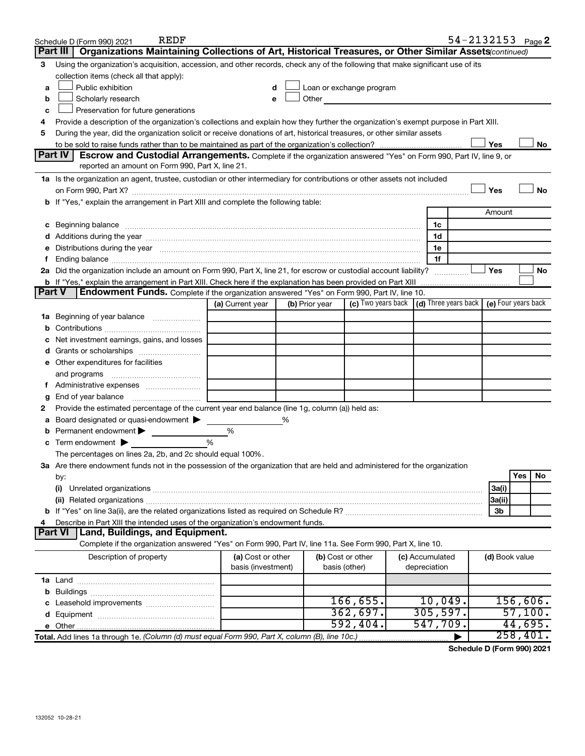|               | REDF<br>Schedule D (Form 990) 2021                                                                                                                                                                                             |                    |   |                |                                                                                                                                                                                                                                |                 |                | $54 - 2132153$ Page 2 |
|---------------|--------------------------------------------------------------------------------------------------------------------------------------------------------------------------------------------------------------------------------|--------------------|---|----------------|--------------------------------------------------------------------------------------------------------------------------------------------------------------------------------------------------------------------------------|-----------------|----------------|-----------------------|
|               | Organizations Maintaining Collections of Art, Historical Treasures, or Other Similar Assets(continued)<br>Part III                                                                                                             |                    |   |                |                                                                                                                                                                                                                                |                 |                |                       |
| 3             | Using the organization's acquisition, accession, and other records, check any of the following that make significant use of its                                                                                                |                    |   |                |                                                                                                                                                                                                                                |                 |                |                       |
|               | collection items (check all that apply):                                                                                                                                                                                       |                    |   |                |                                                                                                                                                                                                                                |                 |                |                       |
| a             | Public exhibition                                                                                                                                                                                                              | d                  |   |                | Loan or exchange program                                                                                                                                                                                                       |                 |                |                       |
| b             | Scholarly research                                                                                                                                                                                                             | е                  |   |                | Other and the control of the control of the control of the control of the control of the control of the control of the control of the control of the control of the control of the control of the control of the control of th |                 |                |                       |
| c             | Preservation for future generations                                                                                                                                                                                            |                    |   |                |                                                                                                                                                                                                                                |                 |                |                       |
| 4             | Provide a description of the organization's collections and explain how they further the organization's exempt purpose in Part XIII.                                                                                           |                    |   |                |                                                                                                                                                                                                                                |                 |                |                       |
| 5             | During the year, did the organization solicit or receive donations of art, historical treasures, or other similar assets                                                                                                       |                    |   |                |                                                                                                                                                                                                                                |                 |                |                       |
|               |                                                                                                                                                                                                                                |                    |   |                |                                                                                                                                                                                                                                |                 | Yes            | No                    |
|               | <b>Part IV</b><br>Escrow and Custodial Arrangements. Complete if the organization answered "Yes" on Form 990, Part IV, line 9, or                                                                                              |                    |   |                |                                                                                                                                                                                                                                |                 |                |                       |
|               | reported an amount on Form 990, Part X, line 21.                                                                                                                                                                               |                    |   |                |                                                                                                                                                                                                                                |                 |                |                       |
|               | 1a Is the organization an agent, trustee, custodian or other intermediary for contributions or other assets not included                                                                                                       |                    |   |                |                                                                                                                                                                                                                                |                 |                |                       |
|               |                                                                                                                                                                                                                                |                    |   |                |                                                                                                                                                                                                                                |                 | Yes            | <b>No</b>             |
|               | b If "Yes," explain the arrangement in Part XIII and complete the following table:                                                                                                                                             |                    |   |                |                                                                                                                                                                                                                                |                 |                |                       |
|               |                                                                                                                                                                                                                                |                    |   |                |                                                                                                                                                                                                                                |                 | Amount         |                       |
|               |                                                                                                                                                                                                                                |                    |   |                |                                                                                                                                                                                                                                | 1c              |                |                       |
|               |                                                                                                                                                                                                                                |                    |   |                |                                                                                                                                                                                                                                | 1d              |                |                       |
|               | e Distributions during the year manufactured and contain an account of the year manufactured and the year manufactured and the year manufactured and the year manufactured and the year manufactured and the year manufactured |                    |   |                |                                                                                                                                                                                                                                | 1e              |                |                       |
|               |                                                                                                                                                                                                                                |                    |   |                |                                                                                                                                                                                                                                | 1f              |                |                       |
|               | 2a Did the organization include an amount on Form 990, Part X, line 21, for escrow or custodial account liability?                                                                                                             |                    |   |                |                                                                                                                                                                                                                                |                 | Yes            | No                    |
|               | b If "Yes," explain the arrangement in Part XIII. Check here if the explanation has been provided on Part XIII                                                                                                                 |                    |   |                |                                                                                                                                                                                                                                |                 |                |                       |
| <b>Part V</b> | <b>Endowment Funds.</b> Complete if the organization answered "Yes" on Form 990, Part IV, line 10.                                                                                                                             |                    |   |                |                                                                                                                                                                                                                                |                 |                |                       |
|               |                                                                                                                                                                                                                                | (a) Current year   |   | (b) Prior year | (c) Two years back (d) Three years back (e) Four years back                                                                                                                                                                    |                 |                |                       |
|               | 1a Beginning of year balance                                                                                                                                                                                                   |                    |   |                |                                                                                                                                                                                                                                |                 |                |                       |
| b             |                                                                                                                                                                                                                                |                    |   |                |                                                                                                                                                                                                                                |                 |                |                       |
|               | Net investment earnings, gains, and losses                                                                                                                                                                                     |                    |   |                |                                                                                                                                                                                                                                |                 |                |                       |
|               |                                                                                                                                                                                                                                |                    |   |                |                                                                                                                                                                                                                                |                 |                |                       |
|               | e Other expenditures for facilities                                                                                                                                                                                            |                    |   |                |                                                                                                                                                                                                                                |                 |                |                       |
|               | and programs                                                                                                                                                                                                                   |                    |   |                |                                                                                                                                                                                                                                |                 |                |                       |
|               | Administrative expenses                                                                                                                                                                                                        |                    |   |                |                                                                                                                                                                                                                                |                 |                |                       |
| g             | End of year balance                                                                                                                                                                                                            |                    |   |                |                                                                                                                                                                                                                                |                 |                |                       |
| 2             | Provide the estimated percentage of the current year end balance (line 1g, column (a)) held as:                                                                                                                                |                    |   |                |                                                                                                                                                                                                                                |                 |                |                       |
|               | Board designated or quasi-endowment                                                                                                                                                                                            |                    | % |                |                                                                                                                                                                                                                                |                 |                |                       |
|               | Permanent endowment                                                                                                                                                                                                            | %                  |   |                |                                                                                                                                                                                                                                |                 |                |                       |
|               | Term endowment $\blacktriangleright$                                                                                                                                                                                           | $\frac{0}{0}$      |   |                |                                                                                                                                                                                                                                |                 |                |                       |
|               | The percentages on lines 2a, 2b, and 2c should equal 100%.                                                                                                                                                                     |                    |   |                |                                                                                                                                                                                                                                |                 |                |                       |
|               | 3a Are there endowment funds not in the possession of the organization that are held and administered for the organization                                                                                                     |                    |   |                |                                                                                                                                                                                                                                |                 |                |                       |
|               | by:                                                                                                                                                                                                                            |                    |   |                |                                                                                                                                                                                                                                |                 |                | Yes<br>No             |
|               | (i)                                                                                                                                                                                                                            |                    |   |                |                                                                                                                                                                                                                                |                 | 3a(i)          |                       |
|               |                                                                                                                                                                                                                                |                    |   |                |                                                                                                                                                                                                                                |                 | 3a(ii)         |                       |
|               |                                                                                                                                                                                                                                |                    |   |                |                                                                                                                                                                                                                                |                 | 3b             |                       |
|               | Describe in Part XIII the intended uses of the organization's endowment funds.                                                                                                                                                 |                    |   |                |                                                                                                                                                                                                                                |                 |                |                       |
|               | Land, Buildings, and Equipment.<br><b>Part VI</b>                                                                                                                                                                              |                    |   |                |                                                                                                                                                                                                                                |                 |                |                       |
|               | Complete if the organization answered "Yes" on Form 990, Part IV, line 11a. See Form 990, Part X, line 10.                                                                                                                     |                    |   |                |                                                                                                                                                                                                                                |                 |                |                       |
|               | Description of property                                                                                                                                                                                                        | (a) Cost or other  |   |                | (b) Cost or other                                                                                                                                                                                                              | (c) Accumulated | (d) Book value |                       |
|               |                                                                                                                                                                                                                                | basis (investment) |   |                | basis (other)                                                                                                                                                                                                                  | depreciation    |                |                       |
|               |                                                                                                                                                                                                                                |                    |   |                |                                                                                                                                                                                                                                |                 |                |                       |
|               |                                                                                                                                                                                                                                |                    |   |                |                                                                                                                                                                                                                                |                 |                |                       |
|               |                                                                                                                                                                                                                                |                    |   |                | 166,655.                                                                                                                                                                                                                       | 10,049.         |                | 156,606.              |
|               |                                                                                                                                                                                                                                |                    |   |                | 362,697.                                                                                                                                                                                                                       | 305, 597.       |                | 57,100.               |
|               |                                                                                                                                                                                                                                |                    |   |                | 592,404.                                                                                                                                                                                                                       | 547,709.        |                | 44,695.               |
|               | Total. Add lines 1a through 1e. (Column (d) must equal Form 990, Part X, column (B), line 10c.)                                                                                                                                |                    |   |                |                                                                                                                                                                                                                                |                 |                | 258,401.              |

**Schedule D (Form 990) 2021**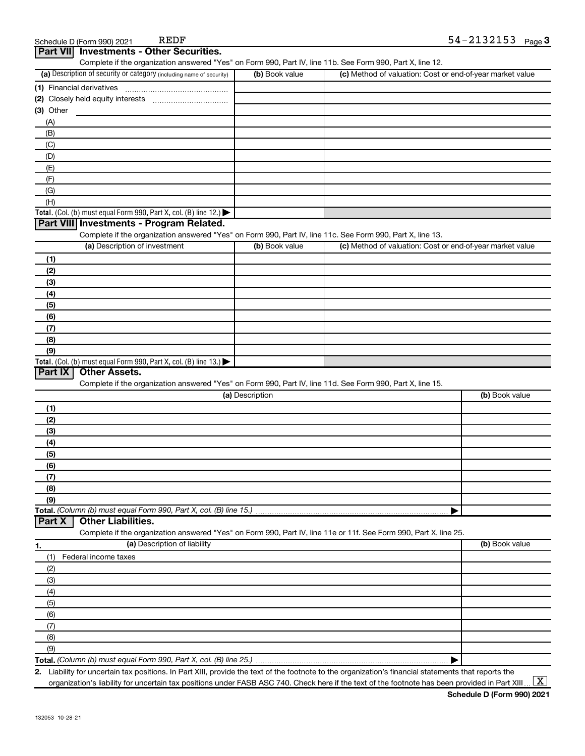|                                    | Complete if the organization answered "Yes" on Form 990, Part IV, line 11b. See Form 990, Part X, line 12.                                             |                 |                                                           |                |
|------------------------------------|--------------------------------------------------------------------------------------------------------------------------------------------------------|-----------------|-----------------------------------------------------------|----------------|
|                                    | (a) Description of security or category (including name of security)                                                                                   | (b) Book value  | (c) Method of valuation: Cost or end-of-year market value |                |
|                                    |                                                                                                                                                        |                 |                                                           |                |
|                                    |                                                                                                                                                        |                 |                                                           |                |
| $(3)$ Other                        |                                                                                                                                                        |                 |                                                           |                |
| (A)                                |                                                                                                                                                        |                 |                                                           |                |
| (B)                                |                                                                                                                                                        |                 |                                                           |                |
| (C)                                |                                                                                                                                                        |                 |                                                           |                |
| (D)                                |                                                                                                                                                        |                 |                                                           |                |
| (E)                                |                                                                                                                                                        |                 |                                                           |                |
| (F)                                |                                                                                                                                                        |                 |                                                           |                |
| (G)                                |                                                                                                                                                        |                 |                                                           |                |
| (H)                                |                                                                                                                                                        |                 |                                                           |                |
|                                    | Total. (Col. (b) must equal Form 990, Part X, col. (B) line 12.)                                                                                       |                 |                                                           |                |
|                                    | Part VIII Investments - Program Related.<br>Complete if the organization answered "Yes" on Form 990, Part IV, line 11c. See Form 990, Part X, line 13. |                 |                                                           |                |
|                                    | (a) Description of investment                                                                                                                          | (b) Book value  | (c) Method of valuation: Cost or end-of-year market value |                |
|                                    |                                                                                                                                                        |                 |                                                           |                |
| (1)                                |                                                                                                                                                        |                 |                                                           |                |
| (2)                                |                                                                                                                                                        |                 |                                                           |                |
| (3)<br>(4)                         |                                                                                                                                                        |                 |                                                           |                |
| (5)                                |                                                                                                                                                        |                 |                                                           |                |
| (6)                                |                                                                                                                                                        |                 |                                                           |                |
| (7)                                |                                                                                                                                                        |                 |                                                           |                |
| (8)                                |                                                                                                                                                        |                 |                                                           |                |
| (9)                                |                                                                                                                                                        |                 |                                                           |                |
|                                    | Total. (Col. (b) must equal Form 990, Part X, col. (B) line 13.)                                                                                       |                 |                                                           |                |
| Part IX                            | <b>Other Assets.</b>                                                                                                                                   |                 |                                                           |                |
|                                    | Complete if the organization answered "Yes" on Form 990, Part IV, line 11d. See Form 990, Part X, line 15.                                             |                 |                                                           |                |
|                                    |                                                                                                                                                        | (a) Description |                                                           | (b) Book value |
| (1)                                |                                                                                                                                                        |                 |                                                           |                |
| (2)                                |                                                                                                                                                        |                 |                                                           |                |
| (3)                                |                                                                                                                                                        |                 |                                                           |                |
| (4)                                |                                                                                                                                                        |                 |                                                           |                |
| (5)                                |                                                                                                                                                        |                 |                                                           |                |
| (6)                                |                                                                                                                                                        |                 |                                                           |                |
|                                    |                                                                                                                                                        |                 |                                                           |                |
| (7)                                |                                                                                                                                                        |                 |                                                           |                |
|                                    |                                                                                                                                                        |                 |                                                           |                |
|                                    |                                                                                                                                                        |                 |                                                           |                |
|                                    | Total. (Column (b) must equal Form 990, Part X, col. (B) line 15.)                                                                                     |                 |                                                           |                |
|                                    | <b>Other Liabilities.</b>                                                                                                                              |                 |                                                           |                |
|                                    | Complete if the organization answered "Yes" on Form 990, Part IV, line 11e or 11f. See Form 990, Part X, line 25.                                      |                 |                                                           |                |
|                                    | (a) Description of liability                                                                                                                           |                 |                                                           | (b) Book value |
| (1)                                | Federal income taxes                                                                                                                                   |                 |                                                           |                |
| (2)                                |                                                                                                                                                        |                 |                                                           |                |
| (3)                                |                                                                                                                                                        |                 |                                                           |                |
|                                    |                                                                                                                                                        |                 |                                                           |                |
| (8)<br>(9)<br>Part X<br>(4)<br>(5) |                                                                                                                                                        |                 |                                                           |                |
|                                    |                                                                                                                                                        |                 |                                                           |                |
| (6)<br>(7)                         |                                                                                                                                                        |                 |                                                           |                |
|                                    |                                                                                                                                                        |                 |                                                           |                |
| (8)<br>(9)                         |                                                                                                                                                        |                 |                                                           |                |

Schedule D (Form 990) 2021 REDF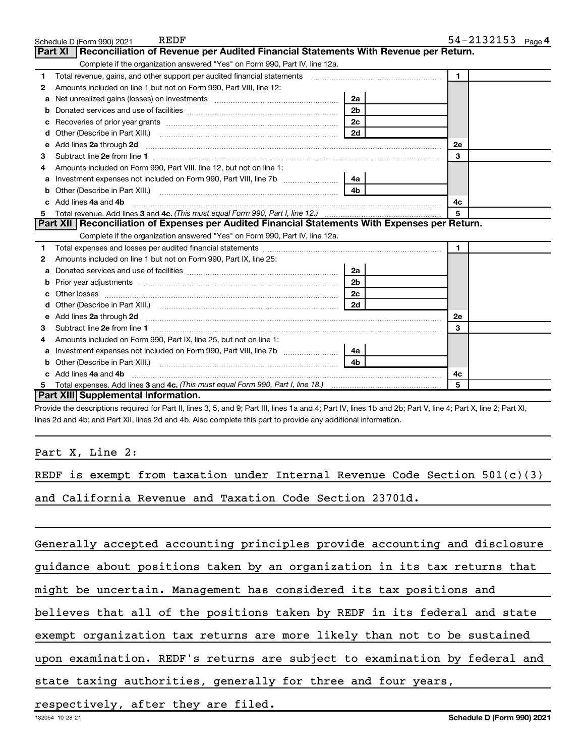|    | REDF<br>Schedule D (Form 990) 2021                                                                                                                                                                                                  |                | 54-2132153 $_{Page 4}$ |
|----|-------------------------------------------------------------------------------------------------------------------------------------------------------------------------------------------------------------------------------------|----------------|------------------------|
|    | Reconciliation of Revenue per Audited Financial Statements With Revenue per Return.<br>Part XI                                                                                                                                      |                |                        |
|    | Complete if the organization answered "Yes" on Form 990, Part IV, line 12a.                                                                                                                                                         |                |                        |
| 1  | Total revenue, gains, and other support per audited financial statements [111] [11] Total revenue, gains, and other support per audited financial statements                                                                        |                | $\blacksquare$         |
| 2  | Amounts included on line 1 but not on Form 990, Part VIII, line 12:                                                                                                                                                                 |                |                        |
| a  |                                                                                                                                                                                                                                     | 2a             |                        |
|    |                                                                                                                                                                                                                                     | 2 <sub>b</sub> |                        |
| c  |                                                                                                                                                                                                                                     | 2 <sub>c</sub> |                        |
| d  |                                                                                                                                                                                                                                     | 2d             |                        |
| е  | Add lines 2a through 2d                                                                                                                                                                                                             |                | 2е                     |
| З  |                                                                                                                                                                                                                                     |                | 3                      |
| 4  | Amounts included on Form 990, Part VIII, line 12, but not on line 1:                                                                                                                                                                |                |                        |
|    |                                                                                                                                                                                                                                     | 4a             |                        |
| b  |                                                                                                                                                                                                                                     | 4 <sub>b</sub> |                        |
| c. | Add lines 4a and 4b                                                                                                                                                                                                                 |                | 4с                     |
|    |                                                                                                                                                                                                                                     |                | 5                      |
|    | Part XII   Reconciliation of Expenses per Audited Financial Statements With Expenses per Return.                                                                                                                                    |                |                        |
|    | Complete if the organization answered "Yes" on Form 990, Part IV, line 12a.                                                                                                                                                         |                |                        |
| 1  |                                                                                                                                                                                                                                     |                | $\mathbf{1}$           |
| 2  | Amounts included on line 1 but not on Form 990, Part IX, line 25:                                                                                                                                                                   |                |                        |
| a  |                                                                                                                                                                                                                                     | 2a             |                        |
| b  |                                                                                                                                                                                                                                     | 2 <sub>b</sub> |                        |
| c  |                                                                                                                                                                                                                                     | 2 <sub>c</sub> |                        |
| d  |                                                                                                                                                                                                                                     | 2d             |                        |
| е  | Add lines 2a through 2d <b>contained a contained a contained a contained a</b> contained a contained a contained a contained a contained a contained a contained a contained a contained a contained a contained a contained a cont |                | 2e                     |
| з  |                                                                                                                                                                                                                                     |                | 3                      |
| 4  | Amounts included on Form 990, Part IX, line 25, but not on line 1:                                                                                                                                                                  |                |                        |
| а  | Investment expenses not included on Form 990, Part VIII, line 7b [                                                                                                                                                                  | 4a             |                        |
| b  |                                                                                                                                                                                                                                     | 4 <sub>h</sub> |                        |
| c. | Add lines 4a and 4b                                                                                                                                                                                                                 |                | 4с                     |
|    |                                                                                                                                                                                                                                     |                | 5                      |
|    | Part XIII Supplemental Information.                                                                                                                                                                                                 |                |                        |

Provide the descriptions required for Part II, lines 3, 5, and 9; Part III, lines 1a and 4; Part IV, lines 1b and 2b; Part V, line 4; Part X, line 2; Part XI, lines 2d and 4b; and Part XII, lines 2d and 4b. Also complete this part to provide any additional information.

Part X, Line 2:

REDF is exempt from taxation under Internal Revenue Code Section 501(c)(3)

and California Revenue and Taxation Code Section 23701d.

Generally accepted accounting principles provide accounting and disclosure

guidance about positions taken by an organization in its tax returns that

might be uncertain. Management has considered its tax positions and

believes that all of the positions taken by REDF in its federal and state

exempt organization tax returns are more likely than not to be sustained

upon examination. REDF's returns are subject to examination by federal and

state taxing authorities, generally for three and four years,

respectively, after they are filed.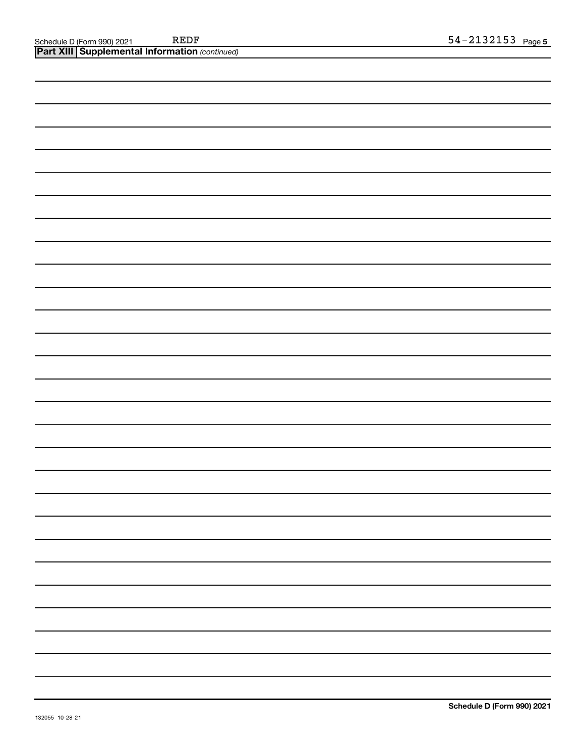| <b>Part XIII Supplemental Information (continued)</b> |  |  |  |  |  |  |  |  |  |  |
|-------------------------------------------------------|--|--|--|--|--|--|--|--|--|--|
|                                                       |  |  |  |  |  |  |  |  |  |  |
|                                                       |  |  |  |  |  |  |  |  |  |  |
|                                                       |  |  |  |  |  |  |  |  |  |  |
|                                                       |  |  |  |  |  |  |  |  |  |  |
|                                                       |  |  |  |  |  |  |  |  |  |  |
|                                                       |  |  |  |  |  |  |  |  |  |  |
|                                                       |  |  |  |  |  |  |  |  |  |  |
|                                                       |  |  |  |  |  |  |  |  |  |  |
|                                                       |  |  |  |  |  |  |  |  |  |  |
|                                                       |  |  |  |  |  |  |  |  |  |  |
|                                                       |  |  |  |  |  |  |  |  |  |  |
|                                                       |  |  |  |  |  |  |  |  |  |  |
|                                                       |  |  |  |  |  |  |  |  |  |  |
|                                                       |  |  |  |  |  |  |  |  |  |  |
|                                                       |  |  |  |  |  |  |  |  |  |  |
|                                                       |  |  |  |  |  |  |  |  |  |  |
|                                                       |  |  |  |  |  |  |  |  |  |  |
|                                                       |  |  |  |  |  |  |  |  |  |  |
|                                                       |  |  |  |  |  |  |  |  |  |  |
|                                                       |  |  |  |  |  |  |  |  |  |  |
|                                                       |  |  |  |  |  |  |  |  |  |  |
|                                                       |  |  |  |  |  |  |  |  |  |  |
|                                                       |  |  |  |  |  |  |  |  |  |  |
|                                                       |  |  |  |  |  |  |  |  |  |  |
|                                                       |  |  |  |  |  |  |  |  |  |  |
|                                                       |  |  |  |  |  |  |  |  |  |  |
|                                                       |  |  |  |  |  |  |  |  |  |  |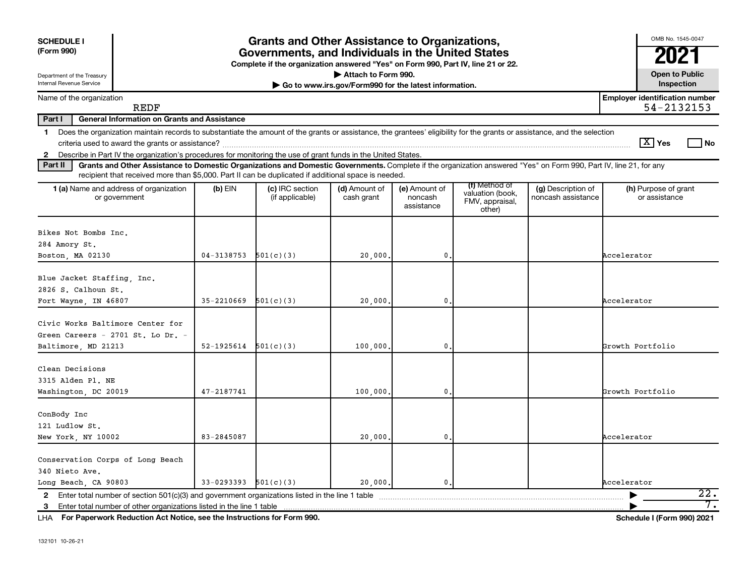| <b>SCHEDULE I</b><br>(Form 990)<br>Department of the Treasury                                                                                                                                                                                                                                     |                | <b>Grants and Other Assistance to Organizations,</b><br>Governments, and Individuals in the United States<br>Complete if the organization answered "Yes" on Form 990, Part IV, line 21 or 22. | Attach to Form 990.                                   |                                        |                                                                |                                          | OMB No. 1545-0047<br><b>Open to Public</b>          |
|---------------------------------------------------------------------------------------------------------------------------------------------------------------------------------------------------------------------------------------------------------------------------------------------------|----------------|-----------------------------------------------------------------------------------------------------------------------------------------------------------------------------------------------|-------------------------------------------------------|----------------------------------------|----------------------------------------------------------------|------------------------------------------|-----------------------------------------------------|
| Internal Revenue Service                                                                                                                                                                                                                                                                          |                |                                                                                                                                                                                               | Go to www.irs.gov/Form990 for the latest information. |                                        |                                                                |                                          | Inspection                                          |
| Name of the organization<br><b>REDF</b>                                                                                                                                                                                                                                                           |                |                                                                                                                                                                                               |                                                       |                                        |                                                                |                                          | <b>Employer identification number</b><br>54-2132153 |
| Part I<br><b>General Information on Grants and Assistance</b>                                                                                                                                                                                                                                     |                |                                                                                                                                                                                               |                                                       |                                        |                                                                |                                          |                                                     |
| Does the organization maintain records to substantiate the amount of the grants or assistance, the grantees' eligibility for the grants or assistance, and the selection<br>1.<br>2 Describe in Part IV the organization's procedures for monitoring the use of grant funds in the United States. |                |                                                                                                                                                                                               |                                                       |                                        |                                                                |                                          | $\boxed{\text{X}}$ Yes<br>l No                      |
| Part II<br>Grants and Other Assistance to Domestic Organizations and Domestic Governments. Complete if the organization answered "Yes" on Form 990, Part IV, line 21, for any<br>recipient that received more than \$5,000. Part II can be duplicated if additional space is needed.              |                |                                                                                                                                                                                               |                                                       |                                        |                                                                |                                          |                                                     |
| 1 (a) Name and address of organization<br>or government                                                                                                                                                                                                                                           | $(b)$ EIN      | (c) IRC section<br>(if applicable)                                                                                                                                                            | (d) Amount of<br>cash grant                           | (e) Amount of<br>noncash<br>assistance | (f) Method of<br>valuation (book,<br>FMV, appraisal,<br>other) | (g) Description of<br>noncash assistance | (h) Purpose of grant<br>or assistance               |
| Bikes Not Bombs Inc.                                                                                                                                                                                                                                                                              |                |                                                                                                                                                                                               |                                                       |                                        |                                                                |                                          |                                                     |
| 284 Amory St.                                                                                                                                                                                                                                                                                     |                |                                                                                                                                                                                               |                                                       |                                        |                                                                |                                          |                                                     |
| Boston, MA 02130                                                                                                                                                                                                                                                                                  | $04 - 3138753$ | 501(c)(3)                                                                                                                                                                                     | 20,000,                                               | $\mathbf 0$ .                          |                                                                |                                          | Accelerator                                         |
| Blue Jacket Staffing, Inc.<br>2826 S. Calhoun St.                                                                                                                                                                                                                                                 |                |                                                                                                                                                                                               |                                                       |                                        |                                                                |                                          |                                                     |
| Fort Wayne, IN 46807                                                                                                                                                                                                                                                                              | $35 - 2210669$ | 501(c)(3)                                                                                                                                                                                     | 20,000                                                | 0.                                     |                                                                |                                          | Accelerator                                         |
| Civic Works Baltimore Center for<br>Green Careers - 2701 St. Lo Dr. -<br>Baltimore, MD 21213                                                                                                                                                                                                      | 52-1925614     | 501(c)(3)                                                                                                                                                                                     | 100,000                                               | 0.                                     |                                                                |                                          | Growth Portfolio                                    |
|                                                                                                                                                                                                                                                                                                   |                |                                                                                                                                                                                               |                                                       |                                        |                                                                |                                          |                                                     |
| Clean Decisions<br>3315 Alden Pl. NE                                                                                                                                                                                                                                                              |                |                                                                                                                                                                                               |                                                       |                                        |                                                                |                                          |                                                     |
| Washington, DC 20019                                                                                                                                                                                                                                                                              | 47-2187741     |                                                                                                                                                                                               | 100,000                                               | 0.                                     |                                                                |                                          | Growth Portfolio                                    |
| ConBody Inc<br>121 Ludlow St.                                                                                                                                                                                                                                                                     |                |                                                                                                                                                                                               |                                                       |                                        |                                                                |                                          |                                                     |
| New York, NY 10002                                                                                                                                                                                                                                                                                | 83-2845087     |                                                                                                                                                                                               | 20,000                                                | 0.                                     |                                                                |                                          | Accelerator                                         |
| Conservation Corps of Long Beach<br>340 Nieto Ave.                                                                                                                                                                                                                                                |                |                                                                                                                                                                                               |                                                       |                                        |                                                                |                                          |                                                     |
| Long Beach, CA 90803                                                                                                                                                                                                                                                                              | 33-0293393     | 501(c)(3)                                                                                                                                                                                     | 20,000,                                               | 0.                                     |                                                                |                                          | Accelerator                                         |
| Enter total number of other organizations listed in the line 1 table<br>3                                                                                                                                                                                                                         |                |                                                                                                                                                                                               |                                                       |                                        |                                                                |                                          | $\overline{22}$ .<br>7.                             |
|                                                                                                                                                                                                                                                                                                   |                |                                                                                                                                                                                               |                                                       |                                        |                                                                |                                          |                                                     |

**For Paperwork Reduction Act Notice, see the Instructions for Form 990. Schedule I (Form 990) 2021** LHA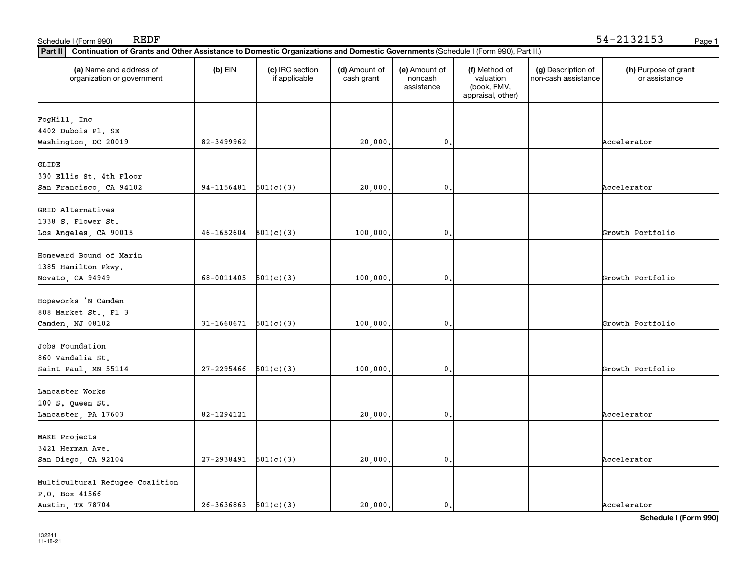| Part II<br>Continuation of Grants and Other Assistance to Domestic Organizations and Domestic Governments (Schedule I (Form 990), Part II.) |                          |                                  |                             |                                        |                                                                |                                           |                                       |
|---------------------------------------------------------------------------------------------------------------------------------------------|--------------------------|----------------------------------|-----------------------------|----------------------------------------|----------------------------------------------------------------|-------------------------------------------|---------------------------------------|
| (a) Name and address of<br>organization or government                                                                                       | $(b)$ EIN                | (c) IRC section<br>if applicable | (d) Amount of<br>cash grant | (e) Amount of<br>noncash<br>assistance | (f) Method of<br>valuation<br>(book, FMV,<br>appraisal, other) | (g) Description of<br>non-cash assistance | (h) Purpose of grant<br>or assistance |
| FogHill, Inc<br>4402 Dubois Pl. SE                                                                                                          |                          |                                  |                             |                                        |                                                                |                                           |                                       |
| Washington, DC 20019                                                                                                                        | 82-3499962               |                                  | 20,000                      | 0.                                     |                                                                |                                           | Accelerator                           |
| GLIDE<br>330 Ellis St. 4th Floor<br>San Francisco, CA 94102                                                                                 | 94-1156481               | 501(c)(3)                        | 20,000                      | 0                                      |                                                                |                                           | Accelerator                           |
| GRID Alternatives<br>1338 S. Flower St.<br>Los Angeles, CA 90015                                                                            | 46-1652604               | 501(c)(3)                        | 100,000                     | 0.                                     |                                                                |                                           | Growth Portfolio                      |
| Homeward Bound of Marin<br>1385 Hamilton Pkwy.<br>Novato, CA 94949                                                                          | 68-0011405               | 501(c)(3)                        | 100,000                     | $\mathbf 0$ .                          |                                                                |                                           | Growth Portfolio                      |
| Hopeworks 'N Camden<br>808 Market St., Fl 3<br>Camden, NJ 08102                                                                             | 31-1660671               | 501(c)(3)                        | 100,000                     | 0                                      |                                                                |                                           | Growth Portfolio                      |
| Jobs Foundation<br>860 Vandalia St.<br>Saint Paul, MN 55114                                                                                 | 27-2295466               | 501(c)(3)                        | 100,000                     | $\mathbf{0}$                           |                                                                |                                           | Growth Portfolio                      |
| Lancaster Works<br>100 S. Queen St.<br>Lancaster, PA 17603                                                                                  | 82-1294121               |                                  | 20,000                      | 0.                                     |                                                                |                                           | Accelerator                           |
| MAKE Projects<br>3421 Herman Ave.<br>San Diego, CA 92104                                                                                    | 27-2938491               | 501(c)(3)                        | 20,000                      | 0.                                     |                                                                |                                           | Accelerator                           |
| Multicultural Refugee Coalition<br>P.O. Box 41566<br>Austin, TX 78704                                                                       | $26-3636863$ $501(c)(3)$ |                                  | 20,000.                     | 0.                                     |                                                                |                                           | Accelerator                           |

Schedule I (Form 990) REDF Page 1

**Schedule I (Form 990)**

REDF 54-2132153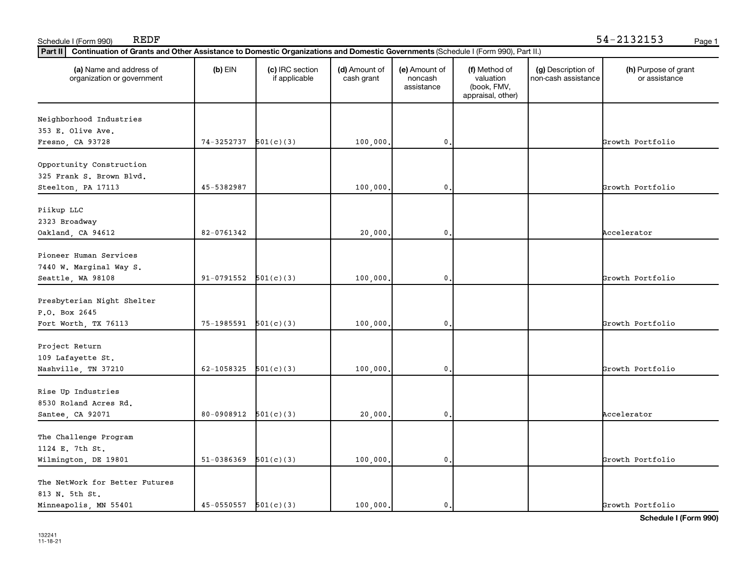| Part II<br>Continuation of Grants and Other Assistance to Domestic Organizations and Domestic Governments (Schedule I (Form 990), Part II.) |            |                                  |                             |                                        |                                                                |                                           |                                       |
|---------------------------------------------------------------------------------------------------------------------------------------------|------------|----------------------------------|-----------------------------|----------------------------------------|----------------------------------------------------------------|-------------------------------------------|---------------------------------------|
| (a) Name and address of<br>organization or government                                                                                       | $(b)$ EIN  | (c) IRC section<br>if applicable | (d) Amount of<br>cash grant | (e) Amount of<br>noncash<br>assistance | (f) Method of<br>valuation<br>(book, FMV,<br>appraisal, other) | (g) Description of<br>non-cash assistance | (h) Purpose of grant<br>or assistance |
| Neighborhood Industries                                                                                                                     |            |                                  |                             |                                        |                                                                |                                           |                                       |
| 353 E. Olive Ave.                                                                                                                           |            |                                  |                             |                                        |                                                                |                                           |                                       |
| Fresno, CA 93728                                                                                                                            | 74-3252737 | 501(c)(3)                        | 100,000                     | 0.                                     |                                                                |                                           | Growth Portfolio                      |
|                                                                                                                                             |            |                                  |                             |                                        |                                                                |                                           |                                       |
| Opportunity Construction                                                                                                                    |            |                                  |                             |                                        |                                                                |                                           |                                       |
| 325 Frank S. Brown Blvd.                                                                                                                    |            |                                  |                             |                                        |                                                                |                                           |                                       |
| Steelton, PA 17113                                                                                                                          | 45-5382987 |                                  | 100,000                     | $\mathbf{0}$                           |                                                                |                                           | Growth Portfolio                      |
| Piikup LLC                                                                                                                                  |            |                                  |                             |                                        |                                                                |                                           |                                       |
| 2323 Broadway                                                                                                                               |            |                                  |                             |                                        |                                                                |                                           |                                       |
|                                                                                                                                             | 82-0761342 |                                  | 20,000                      | $\mathbf{0}$ .                         |                                                                |                                           | Accelerator                           |
| Oakland, CA 94612                                                                                                                           |            |                                  |                             |                                        |                                                                |                                           |                                       |
| Pioneer Human Services                                                                                                                      |            |                                  |                             |                                        |                                                                |                                           |                                       |
| 7440 W. Marginal Way S.                                                                                                                     |            |                                  |                             |                                        |                                                                |                                           |                                       |
| Seattle, WA 98108                                                                                                                           | 91-0791552 | 501(c)(3)                        | 100,000                     | $\mathbf{0}$ .                         |                                                                |                                           | Growth Portfolio                      |
|                                                                                                                                             |            |                                  |                             |                                        |                                                                |                                           |                                       |
| Presbyterian Night Shelter                                                                                                                  |            |                                  |                             |                                        |                                                                |                                           |                                       |
| P.O. Box 2645                                                                                                                               |            |                                  |                             |                                        |                                                                |                                           |                                       |
| Fort Worth, TX 76113                                                                                                                        | 75-1985591 | 501(c)(3)                        | 100,000                     | $\mathbf{0}$                           |                                                                |                                           | Growth Portfolio                      |
|                                                                                                                                             |            |                                  |                             |                                        |                                                                |                                           |                                       |
| Project Return                                                                                                                              |            |                                  |                             |                                        |                                                                |                                           |                                       |
| 109 Lafayette St.                                                                                                                           |            |                                  |                             |                                        |                                                                |                                           |                                       |
| Nashville, TN 37210                                                                                                                         | 62-1058325 | 501(c)(3)                        | 100,000                     | $\mathbf{0}$ .                         |                                                                |                                           | Growth Portfolio                      |
| Rise Up Industries                                                                                                                          |            |                                  |                             |                                        |                                                                |                                           |                                       |
| 8530 Roland Acres Rd.                                                                                                                       |            |                                  |                             |                                        |                                                                |                                           |                                       |
| Santee, CA 92071                                                                                                                            | 80-0908912 | 501(c)(3)                        | 20,000,                     | $\mathbf{0}$ .                         |                                                                |                                           | Accelerator                           |
|                                                                                                                                             |            |                                  |                             |                                        |                                                                |                                           |                                       |
| The Challenge Program                                                                                                                       |            |                                  |                             |                                        |                                                                |                                           |                                       |
| 1124 E. 7th St.                                                                                                                             |            |                                  |                             |                                        |                                                                |                                           |                                       |
| Wilmington, DE 19801                                                                                                                        | 51-0386369 | 501(c)(3)                        | 100,000                     | $\mathbf 0$ .                          |                                                                |                                           | Growth Portfolio                      |
|                                                                                                                                             |            |                                  |                             |                                        |                                                                |                                           |                                       |
| The NetWork for Better Futures                                                                                                              |            |                                  |                             |                                        |                                                                |                                           |                                       |
| 813 N. 5th St.                                                                                                                              |            |                                  |                             |                                        |                                                                |                                           |                                       |
| Minneapolis, MN 55401                                                                                                                       | 45-0550557 | 501(c)(3)                        | 100,000.                    | $\mathbf{0}$ .                         |                                                                |                                           | Growth Portfolio                      |

Schedule I (Form 990) REDF Page 1

**Schedule I (Form 990)**

REDF 54-2132153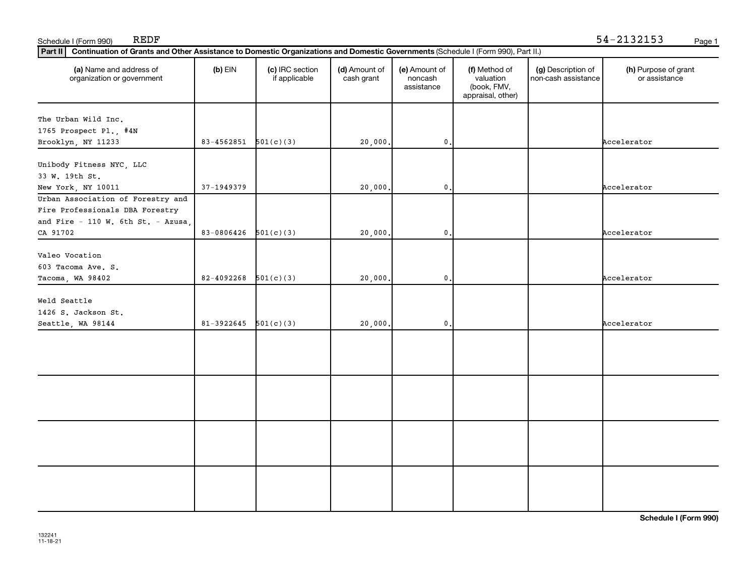| The Urban Wild Inc.                    |            |           |         | assistance      | (book, FMV,<br>appraisal, other) | non-cash assistance | or assistance |
|----------------------------------------|------------|-----------|---------|-----------------|----------------------------------|---------------------|---------------|
|                                        |            |           |         |                 |                                  |                     |               |
| 1765 Prospect Pl., #4N                 |            |           |         |                 |                                  |                     |               |
| Brooklyn, NY 11233                     | 83-4562851 | 501(c)(3) | 20,000  | $\mathbf{0}$ .  |                                  |                     | Accelerator   |
|                                        |            |           |         |                 |                                  |                     |               |
| Unibody Fitness NYC, LLC               |            |           |         |                 |                                  |                     |               |
| 33 W. 19th St.                         |            |           |         |                 |                                  |                     |               |
| New York, NY 10011                     | 37-1949379 |           | 20,000  | $\mathbf{0}$ .  |                                  |                     | Accelerator   |
| Urban Association of Forestry and      |            |           |         |                 |                                  |                     |               |
| Fire Professionals DBA Forestry        |            |           |         |                 |                                  |                     |               |
| and Fire $-$ 110 W. 6th St. $-$ Azusa, |            |           |         |                 |                                  |                     |               |
| CA 91702                               | 83-0806426 | 501(c)(3) | 20,000, | $\mathfrak o$ . |                                  |                     | Accelerator   |
|                                        |            |           |         |                 |                                  |                     |               |
| Valeo Vocation                         |            |           |         |                 |                                  |                     |               |
| 603 Tacoma Ave. S.                     |            |           |         |                 |                                  |                     |               |
| Tacoma, WA 98402                       | 82-4092268 | 501(c)(3) | 20,000  | $\mathbf{0}$ .  |                                  |                     | Accelerator   |
|                                        |            |           |         |                 |                                  |                     |               |
| Weld Seattle                           |            |           |         |                 |                                  |                     |               |
| 1426 S. Jackson St.                    |            |           |         |                 |                                  |                     |               |
| Seattle, WA 98144                      | 81-3922645 | 501(c)(3) |         | $\mathbf{0}$    |                                  |                     | Accelerator   |
|                                        |            |           | 20,000  |                 |                                  |                     |               |
|                                        |            |           |         |                 |                                  |                     |               |
|                                        |            |           |         |                 |                                  |                     |               |
|                                        |            |           |         |                 |                                  |                     |               |
|                                        |            |           |         |                 |                                  |                     |               |
|                                        |            |           |         |                 |                                  |                     |               |
|                                        |            |           |         |                 |                                  |                     |               |
|                                        |            |           |         |                 |                                  |                     |               |
|                                        |            |           |         |                 |                                  |                     |               |
|                                        |            |           |         |                 |                                  |                     |               |
|                                        |            |           |         |                 |                                  |                     |               |
|                                        |            |           |         |                 |                                  |                     |               |
|                                        |            |           |         |                 |                                  |                     |               |
|                                        |            |           |         |                 |                                  |                     |               |
|                                        |            |           |         |                 |                                  |                     |               |
|                                        |            |           |         |                 |                                  |                     |               |

Schedule I (Form 990) REDF Page 1

REDF 54-2132153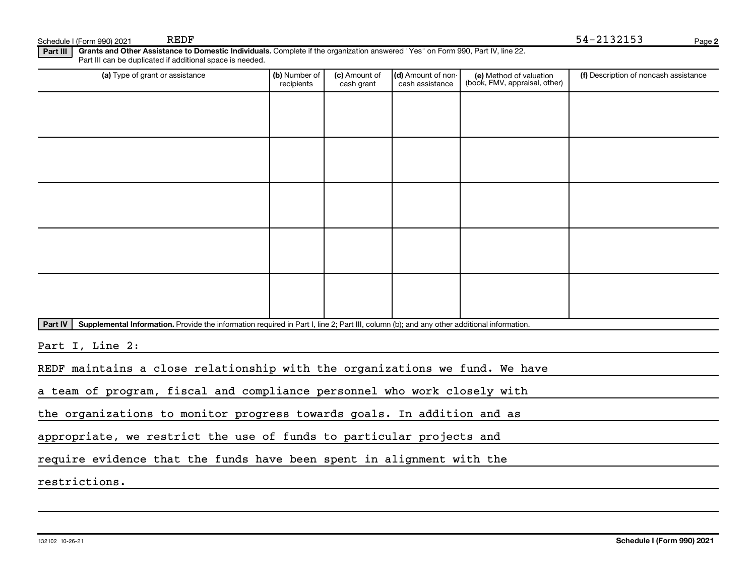Schedule I (Form 990) 2021 REDF

**Part III | Grants and Other Assistance to Domestic Individuals.** Complete if the organization answered "Yes" on Form 990, Part IV, line 22. Part III can be duplicated if additional space is needed.

| (a) Type of grant or assistance                                                                                                                      | (b) Number of<br>recipients | (c) Amount of<br>cash grant | (d) Amount of non-<br>cash assistance | (e) Method of valuation<br>(book, FMV, appraisal, other) | (f) Description of noncash assistance |
|------------------------------------------------------------------------------------------------------------------------------------------------------|-----------------------------|-----------------------------|---------------------------------------|----------------------------------------------------------|---------------------------------------|
|                                                                                                                                                      |                             |                             |                                       |                                                          |                                       |
|                                                                                                                                                      |                             |                             |                                       |                                                          |                                       |
|                                                                                                                                                      |                             |                             |                                       |                                                          |                                       |
|                                                                                                                                                      |                             |                             |                                       |                                                          |                                       |
|                                                                                                                                                      |                             |                             |                                       |                                                          |                                       |
|                                                                                                                                                      |                             |                             |                                       |                                                          |                                       |
|                                                                                                                                                      |                             |                             |                                       |                                                          |                                       |
|                                                                                                                                                      |                             |                             |                                       |                                                          |                                       |
|                                                                                                                                                      |                             |                             |                                       |                                                          |                                       |
|                                                                                                                                                      |                             |                             |                                       |                                                          |                                       |
| Supplemental Information. Provide the information required in Part I, line 2; Part III, column (b); and any other additional information.<br>Part IV |                             |                             |                                       |                                                          |                                       |
| Part I, Line 2:                                                                                                                                      |                             |                             |                                       |                                                          |                                       |
| REDF maintains a close relationship with the organizations we fund. We have                                                                          |                             |                             |                                       |                                                          |                                       |

a team of program, fiscal and compliance personnel who work closely with

the organizations to monitor progress towards goals. In addition and as

appropriate, we restrict the use of funds to particular projects and

require evidence that the funds have been spent in alignment with the

restrictions.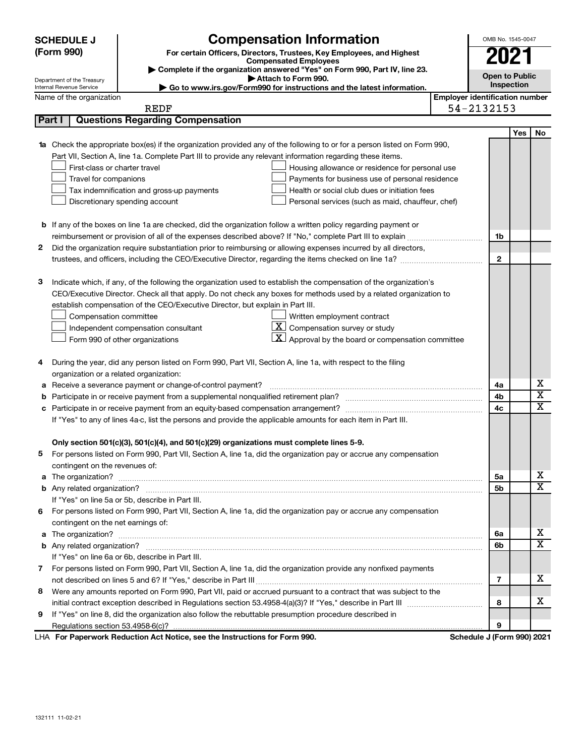|        | <b>SCHEDULE J</b>                                      | <b>Compensation Information</b>                                                                                                  |                                       | OMB No. 1545-0047     |     |                         |  |  |
|--------|--------------------------------------------------------|----------------------------------------------------------------------------------------------------------------------------------|---------------------------------------|-----------------------|-----|-------------------------|--|--|
|        | (Form 990)                                             | For certain Officers, Directors, Trustees, Key Employees, and Highest                                                            |                                       |                       |     |                         |  |  |
|        |                                                        | <b>Compensated Employees</b>                                                                                                     |                                       | 2021                  |     |                         |  |  |
|        |                                                        | Complete if the organization answered "Yes" on Form 990, Part IV, line 23.                                                       |                                       | <b>Open to Public</b> |     |                         |  |  |
|        | Department of the Treasury<br>Internal Revenue Service | Attach to Form 990.<br>► Go to www.irs.gov/Form990 for instructions and the latest information.                                  |                                       | Inspection            |     |                         |  |  |
|        | Name of the organization                               |                                                                                                                                  | <b>Employer identification number</b> |                       |     |                         |  |  |
|        |                                                        | <b>REDF</b>                                                                                                                      | 54-2132153                            |                       |     |                         |  |  |
| Part I |                                                        | <b>Questions Regarding Compensation</b>                                                                                          |                                       |                       |     |                         |  |  |
|        |                                                        |                                                                                                                                  |                                       |                       | Yes | No                      |  |  |
|        |                                                        | <b>1a</b> Check the appropriate box(es) if the organization provided any of the following to or for a person listed on Form 990, |                                       |                       |     |                         |  |  |
|        |                                                        | Part VII, Section A, line 1a. Complete Part III to provide any relevant information regarding these items.                       |                                       |                       |     |                         |  |  |
|        | First-class or charter travel                          | Housing allowance or residence for personal use                                                                                  |                                       |                       |     |                         |  |  |
|        | Travel for companions                                  | Payments for business use of personal residence                                                                                  |                                       |                       |     |                         |  |  |
|        |                                                        | Health or social club dues or initiation fees<br>Tax indemnification and gross-up payments                                       |                                       |                       |     |                         |  |  |
|        |                                                        | Discretionary spending account<br>Personal services (such as maid, chauffeur, chef)                                              |                                       |                       |     |                         |  |  |
|        |                                                        |                                                                                                                                  |                                       |                       |     |                         |  |  |
|        |                                                        | <b>b</b> If any of the boxes on line 1a are checked, did the organization follow a written policy regarding payment or           |                                       |                       |     |                         |  |  |
|        |                                                        | reimbursement or provision of all of the expenses described above? If "No," complete Part III to explain                         |                                       | 1b                    |     |                         |  |  |
| 2      |                                                        | Did the organization require substantiation prior to reimbursing or allowing expenses incurred by all directors,                 |                                       |                       |     |                         |  |  |
|        |                                                        |                                                                                                                                  |                                       | $\mathbf{2}$          |     |                         |  |  |
|        |                                                        |                                                                                                                                  |                                       |                       |     |                         |  |  |
| з      |                                                        | Indicate which, if any, of the following the organization used to establish the compensation of the organization's               |                                       |                       |     |                         |  |  |
|        |                                                        | CEO/Executive Director. Check all that apply. Do not check any boxes for methods used by a related organization to               |                                       |                       |     |                         |  |  |
|        |                                                        | establish compensation of the CEO/Executive Director, but explain in Part III.                                                   |                                       |                       |     |                         |  |  |
|        | Compensation committee                                 | Written employment contract                                                                                                      |                                       |                       |     |                         |  |  |
|        |                                                        | $ \mathbf{X} $ Compensation survey or study<br>Independent compensation consultant                                               |                                       |                       |     |                         |  |  |
|        |                                                        | $ \mathbf{X} $ Approval by the board or compensation committee<br>Form 990 of other organizations                                |                                       |                       |     |                         |  |  |
|        |                                                        |                                                                                                                                  |                                       |                       |     |                         |  |  |
| 4      |                                                        | During the year, did any person listed on Form 990, Part VII, Section A, line 1a, with respect to the filing                     |                                       |                       |     |                         |  |  |
|        | organization or a related organization:                |                                                                                                                                  |                                       |                       |     |                         |  |  |
| а      |                                                        | Receive a severance payment or change-of-control payment?                                                                        |                                       | 4a                    |     | х                       |  |  |
| b      |                                                        |                                                                                                                                  |                                       | 4 <sub>b</sub>        |     | $\overline{\mathbf{X}}$ |  |  |
| с      |                                                        |                                                                                                                                  |                                       | 4 <sub>c</sub>        |     | X                       |  |  |
|        |                                                        | If "Yes" to any of lines 4a-c, list the persons and provide the applicable amounts for each item in Part III.                    |                                       |                       |     |                         |  |  |
|        |                                                        |                                                                                                                                  |                                       |                       |     |                         |  |  |
|        |                                                        | Only section 501(c)(3), 501(c)(4), and 501(c)(29) organizations must complete lines 5-9.                                         |                                       |                       |     |                         |  |  |
|        |                                                        | For persons listed on Form 990, Part VII, Section A, line 1a, did the organization pay or accrue any compensation                |                                       |                       |     |                         |  |  |
|        | contingent on the revenues of:                         |                                                                                                                                  |                                       |                       |     |                         |  |  |
|        |                                                        |                                                                                                                                  |                                       | 5a                    |     | х                       |  |  |
|        |                                                        |                                                                                                                                  |                                       | 5 <sub>b</sub>        |     | $\overline{\mathbf{x}}$ |  |  |
|        |                                                        | If "Yes" on line 5a or 5b, describe in Part III.                                                                                 |                                       |                       |     |                         |  |  |
| 6.     |                                                        | For persons listed on Form 990, Part VII, Section A, line 1a, did the organization pay or accrue any compensation                |                                       |                       |     |                         |  |  |
|        | contingent on the net earnings of:                     |                                                                                                                                  |                                       |                       |     |                         |  |  |
|        |                                                        |                                                                                                                                  |                                       | 6a                    |     | х                       |  |  |
|        |                                                        |                                                                                                                                  |                                       | 6b                    |     | $\overline{\texttt{x}}$ |  |  |
|        |                                                        | If "Yes" on line 6a or 6b, describe in Part III.                                                                                 |                                       |                       |     |                         |  |  |
|        |                                                        | 7 For persons listed on Form 990, Part VII, Section A, line 1a, did the organization provide any nonfixed payments               |                                       |                       |     |                         |  |  |
|        |                                                        |                                                                                                                                  |                                       | $\overline{7}$        |     | х                       |  |  |
| 8      |                                                        | Were any amounts reported on Form 990, Part VII, paid or accrued pursuant to a contract that was subject to the                  |                                       |                       |     |                         |  |  |
|        |                                                        |                                                                                                                                  |                                       | 8                     |     | х                       |  |  |
| 9      |                                                        | If "Yes" on line 8, did the organization also follow the rebuttable presumption procedure described in                           |                                       |                       |     |                         |  |  |
|        |                                                        |                                                                                                                                  |                                       | 9                     |     |                         |  |  |
|        |                                                        | LHA For Paperwork Reduction Act Notice, see the Instructions for Form 990.                                                       | Schedule J (Form 990) 2021            |                       |     |                         |  |  |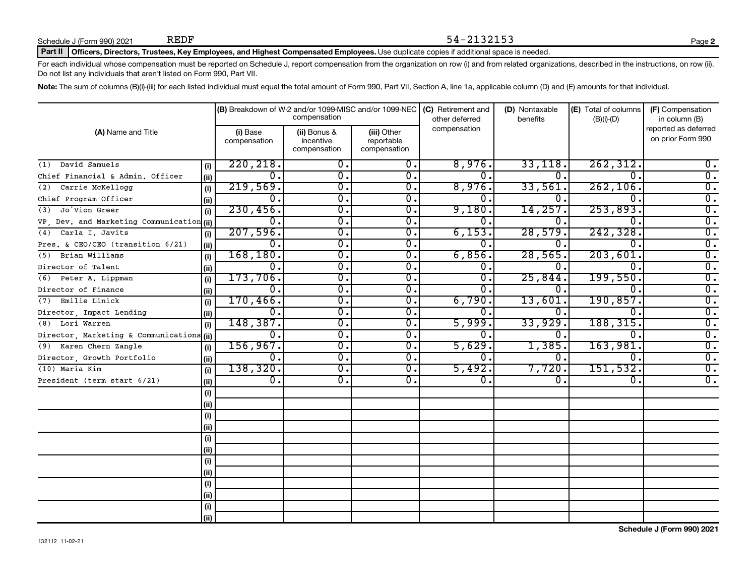### Part II | Officers, Directors, Trustees, Key Employees, and Highest Compensated Employees. Use duplicate copies if additional space is needed.

For each individual whose compensation must be reported on Schedule J, report compensation from the organization on row (i) and from related organizations, described in the instructions, on row (ii). Do not list any individuals that aren't listed on Form 990, Part VII.

54-2132153

Note: The sum of columns (B)(i)-(iii) for each listed individual must equal the total amount of Form 990, Part VII, Section A, line 1a, applicable column (D) and (E) amounts for that individual.

|                                           |      |                           | compensation                              | (B) Breakdown of W-2 and/or 1099-MISC and/or 1099-NEC | (C) Retirement and<br>other deferred | (D) Nontaxable<br>benefits | (E) Total of columns<br>$(B)(i)-(D)$ | (F) Compensation<br>in column (B)         |
|-------------------------------------------|------|---------------------------|-------------------------------------------|-------------------------------------------------------|--------------------------------------|----------------------------|--------------------------------------|-------------------------------------------|
| (A) Name and Title                        |      | (i) Base<br>compensation  | (ii) Bonus &<br>incentive<br>compensation | (iii) Other<br>reportable<br>compensation             | compensation                         |                            |                                      | reported as deferred<br>on prior Form 990 |
| (1) David Samuels                         | (i)  | 220, 218.                 | 0.                                        | 0.                                                    | 8,976.                               | 33,118.                    | 262, 312.                            | 0.                                        |
| Chief Financial & Admin. Officer          | (i)  | 0.                        | 0.                                        | 0.                                                    | 0.                                   | 0.                         | 0.                                   | $\overline{0}$ .                          |
| Carrie McKellogg<br>(2)                   | (i)  | 219,569.                  | 0.                                        | 0.                                                    | 8,976.                               | 33,561.                    | 262, 106.                            | $\overline{0}$ .                          |
| Chief Program Officer                     | (ii) | Ω.                        | $\overline{0}$ .                          | 0.                                                    | 0.                                   | 0                          | <sup>0</sup>                         | σ.                                        |
| Jo'Vion Greer<br>(3)                      | (i)  | 230, 456.                 | σ.                                        | 0.                                                    | 9,180                                | 14,257.                    | 253,893.                             | $\overline{0}$ .                          |
| VP, Dev. and Marketing Communication (ii) |      | 0.                        | σ.                                        | 0.                                                    | 0                                    | 0.                         | 0                                    | $\overline{0}$ .                          |
| Carla I. Javits<br>(4)                    | (i)  | 207,596.                  | $\overline{0}$ .                          | 0.                                                    | 6,153.                               | 28,579                     | 242,328.                             | $\overline{0}$ .                          |
| Pres. & CEO/CEO (transition 6/21)         | (ii) | 0.                        | 0.                                        | 0.                                                    | 0.                                   | 0.                         | 0.                                   | 0.                                        |
| Brian Williams<br>(5)                     | (i)  | 168, 180.                 | 0.                                        | 0.                                                    | 6,856.                               | 28,565.                    | 203,601.                             | $\overline{0}$ .                          |
| Director of Talent                        | (i)  | 0.                        | 0.                                        | 0.                                                    | 0.                                   | 0.                         | $\Omega$ .                           | $\overline{0}$ .                          |
| (6) Peter A. Lippman                      | (i)  | 173,706.                  | $\overline{0}$ .                          | Ο.                                                    | 0                                    | 25,844                     | 199,550.                             | $\overline{0}$ .                          |
| Director of Finance                       | (i)  | 0.                        | 0.                                        | 0.                                                    | 0                                    | Ω.                         | $\Omega$ .                           | $\overline{0}$ .                          |
| Emilie Linick<br>(7)                      | (i)  | 170, 466.                 | σ.                                        | 0.                                                    | 6,790.                               | 13,601                     | 190, 857.                            | $\overline{0}$ .                          |
| Director, Impact Lending                  | (ii) | 0.                        | σ.                                        | $\overline{0}$ .                                      | 0.                                   | 0.                         | $\Omega$ .                           | $\overline{0}$ .                          |
| (8) Lori Warren                           | (i)  | 148,387.                  | $\overline{0}$ .                          | $\overline{0}$ .                                      | 5,999.                               | 33,929.                    | 188,315.                             | $\overline{0}$ .                          |
| Director, Marketing & Communications (ii) |      | 0.                        | $\mathbf{0}$ .                            | 0.                                                    | 0                                    | 0.                         | $\Omega$ .                           | $\overline{0}$ .                          |
| (9) Karen Chern Zangle                    | (i)  | 156, 967.                 | $\overline{0}$ .                          | $\overline{0}$ .                                      | 5,629.                               | 1,385.                     | 163,981                              | $\overline{0}$ .                          |
| Director, Growth Portfolio                | (ii) | 0.                        | $\overline{0}$ .                          | $\overline{0}$ .                                      | 0.                                   | Ο.                         | $\mathbf 0$ .                        | $\overline{0}$ .                          |
| (10) Maria Kim                            | (i)  | 138, 320.                 | $\overline{0}$ .                          | $\overline{0}$ .                                      | 5,492.                               | 7,720.                     | 151, 532.                            | $\overline{0}$ .                          |
| President (term start 6/21)               | (ii) | $\overline{\mathbf{0}}$ . | $\overline{0}$ .                          | 0.                                                    | 0.                                   | 0.                         | 0.                                   | $\overline{0}$ .                          |
|                                           | (i)  |                           |                                           |                                                       |                                      |                            |                                      |                                           |
|                                           | (i)  |                           |                                           |                                                       |                                      |                            |                                      |                                           |
|                                           | (i)  |                           |                                           |                                                       |                                      |                            |                                      |                                           |
|                                           | (ii) |                           |                                           |                                                       |                                      |                            |                                      |                                           |
|                                           | (i)  |                           |                                           |                                                       |                                      |                            |                                      |                                           |
|                                           | (ii) |                           |                                           |                                                       |                                      |                            |                                      |                                           |
|                                           | (i)  |                           |                                           |                                                       |                                      |                            |                                      |                                           |
|                                           | (ii) |                           |                                           |                                                       |                                      |                            |                                      |                                           |
|                                           | (i)  |                           |                                           |                                                       |                                      |                            |                                      |                                           |
|                                           | (ii) |                           |                                           |                                                       |                                      |                            |                                      |                                           |
|                                           | (i)  |                           |                                           |                                                       |                                      |                            |                                      |                                           |
|                                           | (ii) |                           |                                           |                                                       |                                      |                            |                                      |                                           |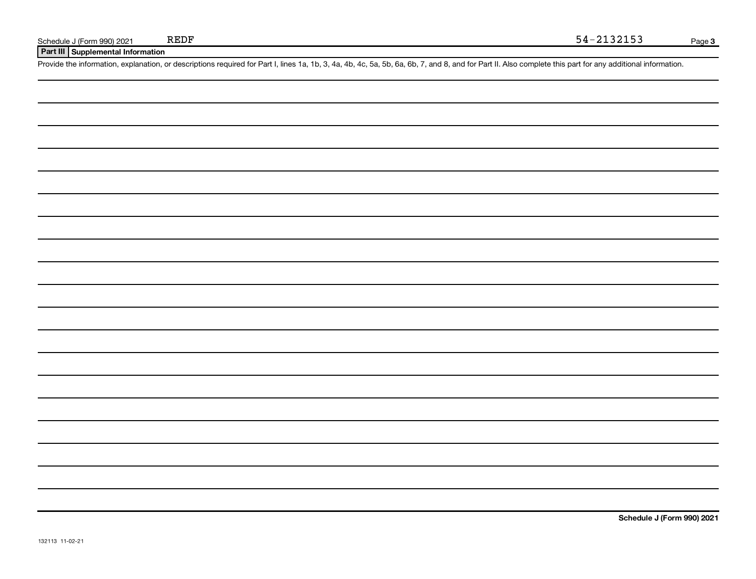**Part III Supplemental Information**

Provide the information, explanation, or descriptions required for Part I, lines 1a, 1b, 3, 4a, 4b, 4c, 5a, 5b, 6a, 6b, 7, and 8, and for Part II. Also complete this part for any additional information.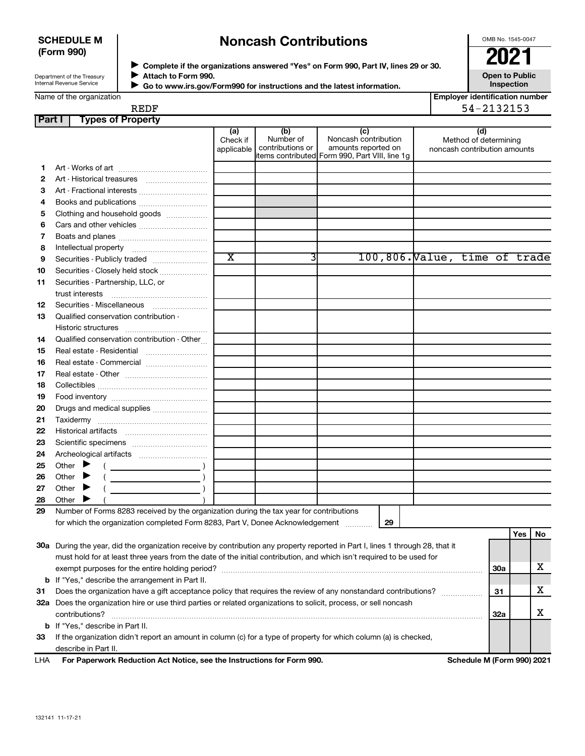### **SCHEDULE M (Form 990)**

# **Noncash Contributions**

OMB No. 1545-0047

| Department of the Treasury |  |
|----------------------------|--|
| Internal Revenue Service   |  |

**Complete if the organizations answered "Yes" on Form 990, Part IV, lines 29 or 30. Attach to Form 990. Go to www.irs.gov/Form990 for instructions and the latest information.** →<br>**→** Complete if the organizations answered "Yes" on Form 990, Part IV, lines 29 or 30.<br>→ Complete if the organizations answered "Yes" on Form 990, Part IV, lines 29 or 30.  $\blacktriangleright$ 

**Open to Public Inspection**

|  | Name of the organization |
|--|--------------------------|
|  |                          |

 $\blacktriangleright$ 

| <b>Employer identification number</b> |
|---------------------------------------|
| --------                              |

|      | <u>Employer identification nul</u> |
|------|------------------------------------|
| REDF | 54-2132153                         |

| Part I | <b>Types of Property</b>                                                                                                       |                               |                                      |                                                                                                      |                                                              |            |     |    |
|--------|--------------------------------------------------------------------------------------------------------------------------------|-------------------------------|--------------------------------------|------------------------------------------------------------------------------------------------------|--------------------------------------------------------------|------------|-----|----|
|        |                                                                                                                                | (a)<br>Check if<br>applicable | (b)<br>Number of<br>contributions or | (c)<br>Noncash contribution<br>amounts reported on<br>items contributed Form 990, Part VIII, line 1g | (d)<br>Method of determining<br>noncash contribution amounts |            |     |    |
| 1.     |                                                                                                                                |                               |                                      |                                                                                                      |                                                              |            |     |    |
| 2      | Art - Historical treasures                                                                                                     |                               |                                      |                                                                                                      |                                                              |            |     |    |
| 3      | Art - Fractional interests                                                                                                     |                               |                                      |                                                                                                      |                                                              |            |     |    |
| 4      | Books and publications                                                                                                         |                               |                                      |                                                                                                      |                                                              |            |     |    |
| 5      | Clothing and household goods                                                                                                   |                               |                                      |                                                                                                      |                                                              |            |     |    |
| 6      |                                                                                                                                |                               |                                      |                                                                                                      |                                                              |            |     |    |
| 7      |                                                                                                                                |                               |                                      |                                                                                                      |                                                              |            |     |    |
| 8      |                                                                                                                                |                               |                                      |                                                                                                      |                                                              |            |     |    |
| 9      | Securities - Publicly traded                                                                                                   | $\overline{\text{x}}$         | 3                                    |                                                                                                      | 100,806. Value, time of trade                                |            |     |    |
| 10     | Securities - Closely held stock                                                                                                |                               |                                      |                                                                                                      |                                                              |            |     |    |
| 11     | Securities - Partnership, LLC, or                                                                                              |                               |                                      |                                                                                                      |                                                              |            |     |    |
|        |                                                                                                                                |                               |                                      |                                                                                                      |                                                              |            |     |    |
| 12     | Securities - Miscellaneous                                                                                                     |                               |                                      |                                                                                                      |                                                              |            |     |    |
| 13     | Qualified conservation contribution -                                                                                          |                               |                                      |                                                                                                      |                                                              |            |     |    |
|        |                                                                                                                                |                               |                                      |                                                                                                      |                                                              |            |     |    |
| 14     | Qualified conservation contribution - Other                                                                                    |                               |                                      |                                                                                                      |                                                              |            |     |    |
| 15     |                                                                                                                                |                               |                                      |                                                                                                      |                                                              |            |     |    |
| 16     | Real estate - Commercial                                                                                                       |                               |                                      |                                                                                                      |                                                              |            |     |    |
| 17     |                                                                                                                                |                               |                                      |                                                                                                      |                                                              |            |     |    |
| 18     |                                                                                                                                |                               |                                      |                                                                                                      |                                                              |            |     |    |
|        |                                                                                                                                |                               |                                      |                                                                                                      |                                                              |            |     |    |
| 19     |                                                                                                                                |                               |                                      |                                                                                                      |                                                              |            |     |    |
| 20     | Drugs and medical supplies                                                                                                     |                               |                                      |                                                                                                      |                                                              |            |     |    |
| 21     |                                                                                                                                |                               |                                      |                                                                                                      |                                                              |            |     |    |
| 22     |                                                                                                                                |                               |                                      |                                                                                                      |                                                              |            |     |    |
| 23     |                                                                                                                                |                               |                                      |                                                                                                      |                                                              |            |     |    |
| 24     |                                                                                                                                |                               |                                      |                                                                                                      |                                                              |            |     |    |
| 25     | Other $\blacktriangleright$                                                                                                    |                               |                                      |                                                                                                      |                                                              |            |     |    |
| 26     | Other $\blacktriangleright$                                                                                                    |                               |                                      |                                                                                                      |                                                              |            |     |    |
| 27     | Other $\blacktriangleright$<br><u> 1990 - Johann Barbara, martin a</u>                                                         |                               |                                      |                                                                                                      |                                                              |            |     |    |
| 28     | Other $\blacktriangleright$                                                                                                    |                               |                                      |                                                                                                      |                                                              |            |     |    |
| 29     | Number of Forms 8283 received by the organization during the tax year for contributions                                        |                               |                                      |                                                                                                      |                                                              |            |     |    |
|        | for which the organization completed Form 8283, Part V, Donee Acknowledgement                                                  |                               |                                      | 29                                                                                                   |                                                              |            |     |    |
|        |                                                                                                                                |                               |                                      |                                                                                                      |                                                              |            | Yes | No |
|        | 30a During the year, did the organization receive by contribution any property reported in Part I, lines 1 through 28, that it |                               |                                      |                                                                                                      |                                                              |            |     |    |
|        | must hold for at least three years from the date of the initial contribution, and which isn't required to be used for          |                               |                                      |                                                                                                      |                                                              |            |     |    |
|        |                                                                                                                                |                               |                                      |                                                                                                      |                                                              | <b>30a</b> |     | х  |
|        | <b>b</b> If "Yes," describe the arrangement in Part II.                                                                        |                               |                                      |                                                                                                      |                                                              |            |     |    |
| 31     | Does the organization have a gift acceptance policy that requires the review of any nonstandard contributions?                 |                               |                                      |                                                                                                      |                                                              | 31         |     | х  |
|        | 32a Does the organization hire or use third parties or related organizations to solicit, process, or sell noncash              |                               |                                      |                                                                                                      |                                                              |            |     |    |
|        |                                                                                                                                |                               |                                      |                                                                                                      |                                                              | 32a        |     | х  |
|        | <b>b</b> If "Yes," describe in Part II.                                                                                        |                               |                                      |                                                                                                      |                                                              |            |     |    |
| 33     | If the organization didn't report an amount in column (c) for a type of property for which column (a) is checked,              |                               |                                      |                                                                                                      |                                                              |            |     |    |
|        | describe in Part II.                                                                                                           |                               |                                      |                                                                                                      |                                                              |            |     |    |
| LHA    | For Paperwork Reduction Act Notice, see the Instructions for Form 990.                                                         |                               |                                      |                                                                                                      | Schedule M (Form 990) 2021                                   |            |     |    |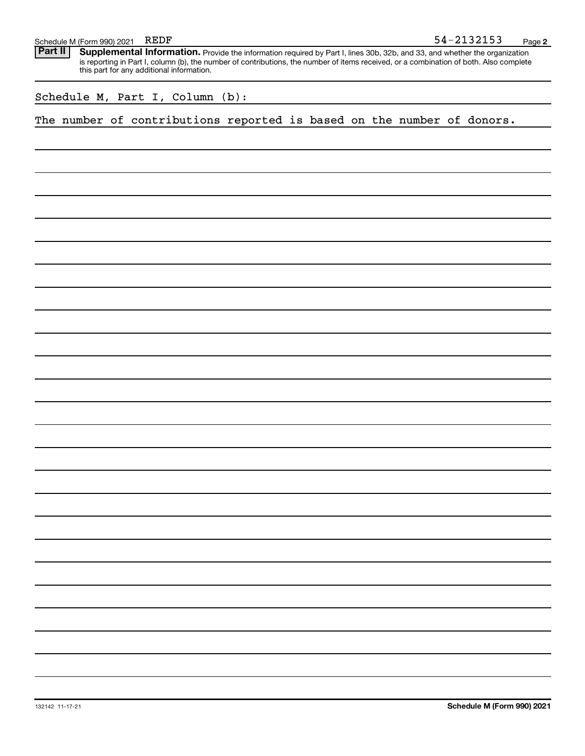| Schedule M (Form 990) 2021 |  | REDF | -2132153<br>$54-$ | Page |  |
|----------------------------|--|------|-------------------|------|--|
|----------------------------|--|------|-------------------|------|--|

Provide the information required by Part I, lines 30b, 32b, and 33, and whether the organization is reporting in Part I, column (b), the number of contributions, the number of items received, or a combination of both. Also complete this part for any additional information. **Part II Supplemental Information.** 

Schedule M, Part I, Column (b):

The number of contributions reported is based on the number of donors.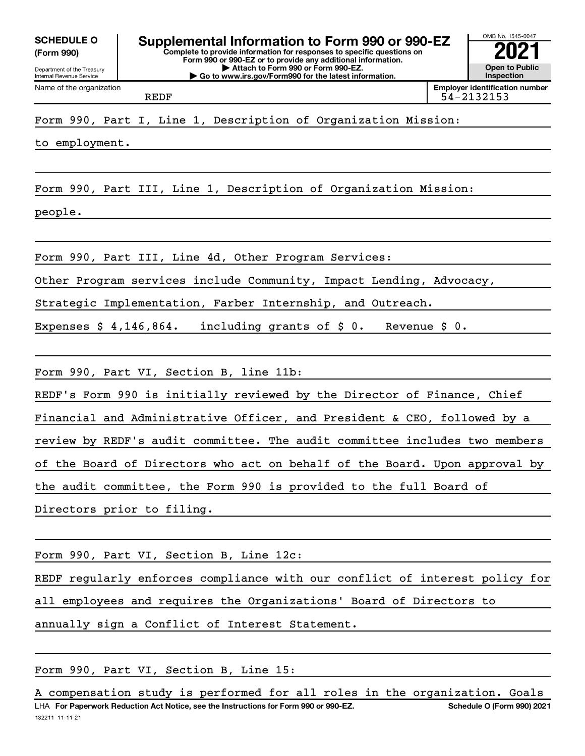**(Form 990)**



REDF 54-2132153

to employment.

Form 990, Part III, Line 1, Description of Organization Mission:

people.

Form 990, Part III, Line 4d, Other Program Services:

Other Program services include Community, Impact Lending, Advocacy,

Strategic Implementation, Farber Internship, and Outreach.

Expenses \$ 4,146,864. including grants of \$ 0. Revenue \$ 0.

Form 990, Part VI, Section B, line 11b:

REDF's Form 990 is initially reviewed by the Director of Finance, Chief

Financial and Administrative Officer, and President & CEO, followed by a

review by REDF's audit committee. The audit committee includes two members

of the Board of Directors who act on behalf of the Board. Upon approval by

the audit committee, the Form 990 is provided to the full Board of

Directors prior to filing.

Form 990, Part VI, Section B, Line 12c:

REDF regularly enforces compliance with our conflict of interest policy for all employees and requires the Organizations' Board of Directors to annually sign a Conflict of Interest Statement.

Form 990, Part VI, Section B, Line 15:

132211 11-11-21 LHA For Paperwork Reduction Act Notice, see the Instructions for Form 990 or 990-EZ. Schedule O (Form 990) 2021 A compensation study is performed for all roles in the organization. Goals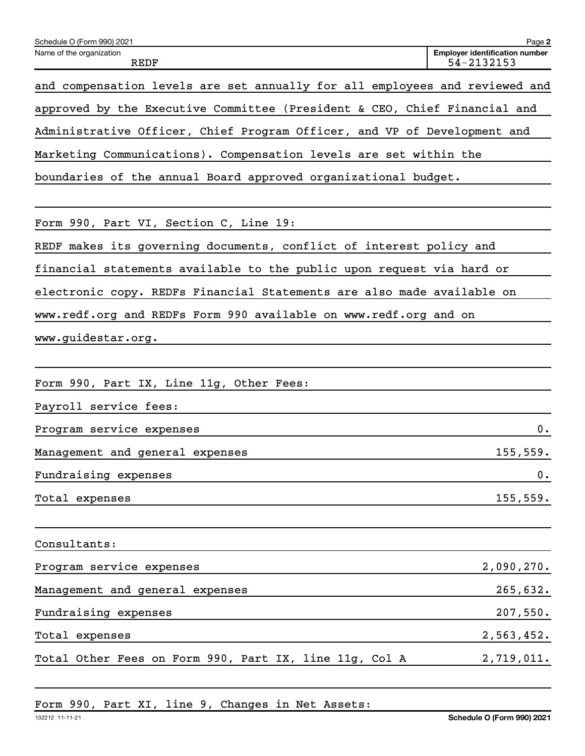| Schedule O (Form 990) 2021                                                  | Page 2                                              |
|-----------------------------------------------------------------------------|-----------------------------------------------------|
| Name of the organization<br>REDF                                            | <b>Employer identification number</b><br>54-2132153 |
| and compensation levels are set annually for all employees and reviewed and |                                                     |
| approved by the Executive Committee (President & CEO, Chief Financial and   |                                                     |
| Administrative Officer, Chief Program Officer, and VP of Development and    |                                                     |
| Marketing Communications). Compensation levels are set within the           |                                                     |
| boundaries of the annual Board approved organizational budget.              |                                                     |
|                                                                             |                                                     |
| Form 990, Part VI, Section C, Line 19:                                      |                                                     |
| REDF makes its governing documents, conflict of interest policy and         |                                                     |
| financial statements available to the public upon request via hard or       |                                                     |
| electronic copy. REDFs Financial Statements are also made available on      |                                                     |
| www.redf.org and REDFs Form 990 available on www.redf.org and on            |                                                     |
| www.guidestar.org.                                                          |                                                     |
|                                                                             |                                                     |
| Form 990, Part IX, Line 11g, Other Fees:                                    |                                                     |
| Payroll service fees:                                                       |                                                     |
| Program service expenses                                                    | $0$ .                                               |
| Management and general expenses                                             | 155, 559.                                           |
| Fundraising expenses                                                        | 0.                                                  |
| Total expenses                                                              | 155, 559.                                           |
|                                                                             |                                                     |
| Consultants:                                                                |                                                     |
| Program service expenses                                                    | 2,090,270.                                          |
| Management and general expenses                                             | 265,632.                                            |
| Fundraising expenses                                                        | 207,550.                                            |
| Total expenses                                                              | 2,563,452.                                          |
| Total Other Fees on Form 990, Part IX, line 11g, Col A                      | 2,719,011.                                          |
|                                                                             |                                                     |

Form 990, Part XI, line 9, Changes in Net Assets: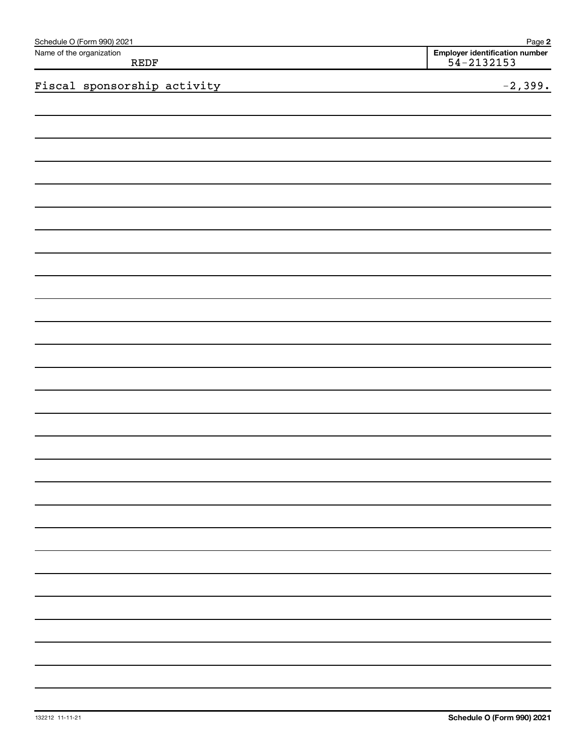| Schedule O (Form 990) 2021       | Page 2                                           |
|----------------------------------|--------------------------------------------------|
| Name of the organization<br>REDF | Employer identification number<br>$54 - 2132153$ |
| Fiscal sponsorship activity      | $-2,399.$                                        |
|                                  |                                                  |
|                                  |                                                  |
|                                  |                                                  |
|                                  |                                                  |
|                                  |                                                  |
|                                  |                                                  |
|                                  |                                                  |
|                                  |                                                  |
|                                  |                                                  |
|                                  |                                                  |
|                                  |                                                  |
|                                  |                                                  |
|                                  |                                                  |
|                                  |                                                  |
|                                  |                                                  |
|                                  |                                                  |
|                                  |                                                  |
|                                  |                                                  |
|                                  |                                                  |
|                                  |                                                  |
|                                  |                                                  |
|                                  |                                                  |
|                                  |                                                  |
|                                  |                                                  |
|                                  |                                                  |
|                                  |                                                  |
|                                  |                                                  |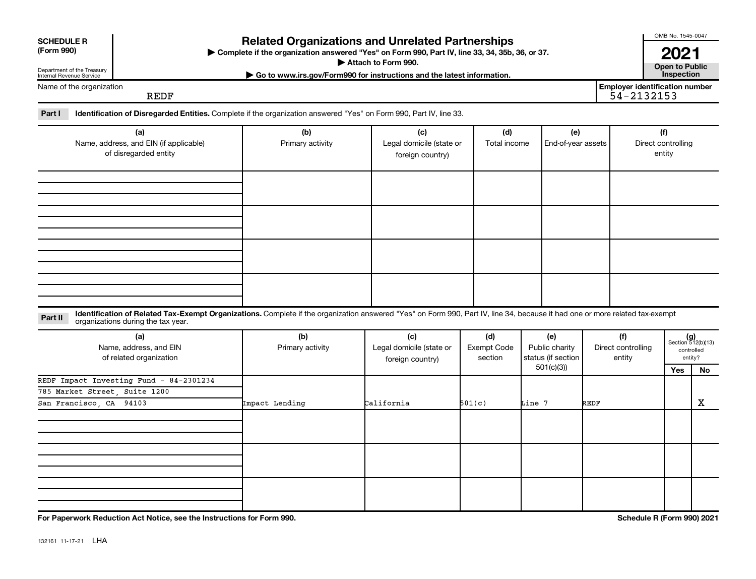| <b>Related Organizations and Unrelated Partnerships</b><br><b>SCHEDULE R</b><br>(Form 990)<br>Complete if the organization answered "Yes" on Form 990, Part IV, line 33, 34, 35b, 36, or 37.<br>Attach to Form 990.<br>Department of the Treasury<br>Internal Revenue Service<br>Go to www.irs.gov/Form990 for instructions and the latest information. |                                                                                                                                                                                                                    |                                                                                |                                                     |                                                                                           |                           |      |                                                     |                                     |                                                      |
|---------------------------------------------------------------------------------------------------------------------------------------------------------------------------------------------------------------------------------------------------------------------------------------------------------------------------------------------------------|--------------------------------------------------------------------------------------------------------------------------------------------------------------------------------------------------------------------|--------------------------------------------------------------------------------|-----------------------------------------------------|-------------------------------------------------------------------------------------------|---------------------------|------|-----------------------------------------------------|-------------------------------------|------------------------------------------------------|
| Name of the organization                                                                                                                                                                                                                                                                                                                                | <b>REDF</b>                                                                                                                                                                                                        |                                                                                |                                                     |                                                                                           |                           |      | <b>Employer identification number</b><br>54-2132153 |                                     |                                                      |
| Part I                                                                                                                                                                                                                                                                                                                                                  | Identification of Disregarded Entities. Complete if the organization answered "Yes" on Form 990, Part IV, line 33.                                                                                                 |                                                                                |                                                     |                                                                                           |                           |      |                                                     |                                     |                                                      |
|                                                                                                                                                                                                                                                                                                                                                         | (a)<br>Name, address, and EIN (if applicable)<br>of disregarded entity                                                                                                                                             | (b)<br>(c)<br>Legal domicile (state or<br>Primary activity<br>foreign country) |                                                     | (d)<br>Total income                                                                       | (e)<br>End-of-year assets |      |                                                     | (f)<br>Direct controlling<br>entity |                                                      |
|                                                                                                                                                                                                                                                                                                                                                         |                                                                                                                                                                                                                    |                                                                                |                                                     |                                                                                           |                           |      |                                                     |                                     |                                                      |
|                                                                                                                                                                                                                                                                                                                                                         |                                                                                                                                                                                                                    |                                                                                |                                                     |                                                                                           |                           |      |                                                     |                                     |                                                      |
| Part II                                                                                                                                                                                                                                                                                                                                                 | Identification of Related Tax-Exempt Organizations. Complete if the organization answered "Yes" on Form 990, Part IV, line 34, because it had one or more related tax-exempt<br>organizations during the tax year. |                                                                                |                                                     |                                                                                           |                           |      |                                                     |                                     |                                                      |
|                                                                                                                                                                                                                                                                                                                                                         | (a)<br>Name, address, and EIN<br>of related organization                                                                                                                                                           | (b)<br>Primary activity                                                        | (c)<br>Legal domicile (state or<br>foreign country) | (d)<br>(e)<br>Exempt Code<br>Public charity<br>status (if section<br>section<br>501(c)(3) |                           |      | (f)<br>Direct controlling<br>entity                 |                                     | $(g)$<br>Section 512(b)(13)<br>controlled<br>entity? |
| San Francisco, CA 94103                                                                                                                                                                                                                                                                                                                                 | REDF Impact Investing Fund - 84-2301234<br>785 Market Street, Suite 1200                                                                                                                                           | Impact Lending                                                                 | California                                          | 501(c)                                                                                    | Line 7                    | REDF |                                                     | Yes                                 | No<br>$\mathbf X$                                    |
|                                                                                                                                                                                                                                                                                                                                                         |                                                                                                                                                                                                                    |                                                                                |                                                     |                                                                                           |                           |      |                                                     |                                     |                                                      |
|                                                                                                                                                                                                                                                                                                                                                         |                                                                                                                                                                                                                    |                                                                                |                                                     |                                                                                           |                           |      |                                                     |                                     |                                                      |
|                                                                                                                                                                                                                                                                                                                                                         | For Paperwork Reduction Act Notice, see the Instructions for Form 990.                                                                                                                                             |                                                                                |                                                     |                                                                                           |                           |      | Schedule R (Form 990) 2021                          |                                     |                                                      |

132161 11-17-21 LHA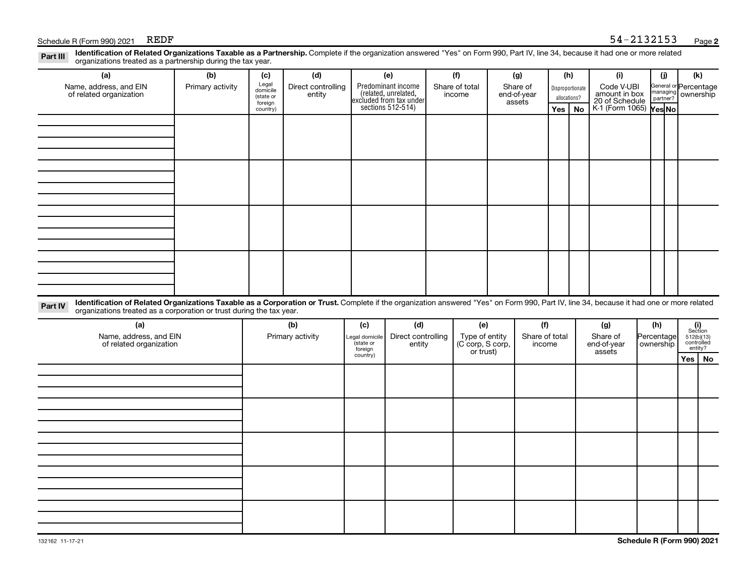### Schedule R (Form 990) 2021 REDF

| Identification of Related Organizations Taxable as a Partnership. Complete if the organization answered "Yes" on Form 990, Part IV, line 34, because it had one or more related<br>Part III<br>organizations treated as a partnership during the tax year.                  |                         |                                       |                                     |                                    |                                                   |                              |                                 |                                           |                                 |     |                                         |                                          |                                                      |                                                                                                                          |    |
|-----------------------------------------------------------------------------------------------------------------------------------------------------------------------------------------------------------------------------------------------------------------------------|-------------------------|---------------------------------------|-------------------------------------|------------------------------------|---------------------------------------------------|------------------------------|---------------------------------|-------------------------------------------|---------------------------------|-----|-----------------------------------------|------------------------------------------|------------------------------------------------------|--------------------------------------------------------------------------------------------------------------------------|----|
| (a)<br>Name, address, and EIN<br>of related organization                                                                                                                                                                                                                    | (b)<br>Primary activity | (c)<br>Legal<br>domicile<br>(state or | (d)<br>Direct controlling<br>entity |                                    | (e)<br>Predominant income<br>(related, unrelated, |                              | (f)<br>Share of total<br>income |                                           | (g)<br>Share of<br>end-of-year  |     | (h)<br>Disproportionate<br>allocations? | (i)<br>Code V-UBI<br>amount in box       | (j)<br>General or Percentage<br>managing<br>partner? | (k)<br>ownership                                                                                                         |    |
|                                                                                                                                                                                                                                                                             |                         | foreign<br>country)                   |                                     |                                    | excluded from tax under<br>sections 512-514)      |                              |                                 |                                           | assets                          | Yes | No                                      | 20 of Schedule<br>K-1 (Form 1065) Yes No |                                                      |                                                                                                                          |    |
|                                                                                                                                                                                                                                                                             |                         |                                       |                                     |                                    |                                                   |                              |                                 |                                           |                                 |     |                                         |                                          |                                                      |                                                                                                                          |    |
|                                                                                                                                                                                                                                                                             |                         |                                       |                                     |                                    |                                                   |                              |                                 |                                           |                                 |     |                                         |                                          |                                                      |                                                                                                                          |    |
|                                                                                                                                                                                                                                                                             |                         |                                       |                                     |                                    |                                                   |                              |                                 |                                           |                                 |     |                                         |                                          |                                                      |                                                                                                                          |    |
|                                                                                                                                                                                                                                                                             |                         |                                       |                                     |                                    |                                                   |                              |                                 |                                           |                                 |     |                                         |                                          |                                                      |                                                                                                                          |    |
| Identification of Related Organizations Taxable as a Corporation or Trust. Complete if the organization answered "Yes" on Form 990, Part IV, line 34, because it had one or more related<br>Part IV<br>organizations treated as a corporation or trust during the tax year. |                         |                                       |                                     |                                    |                                                   |                              |                                 |                                           |                                 |     |                                         |                                          |                                                      |                                                                                                                          |    |
| (a)<br>Name, address, and EIN<br>of related organization                                                                                                                                                                                                                    |                         | (b)<br>Primary activity               |                                     | (c)<br>Legal domicile<br>(state or | (d)                                               | Direct controlling<br>entity |                                 | (e)<br>Type of entity<br>(C corp, S corp, | (f)<br>Share of total<br>income |     |                                         | (g)<br>Share of<br>end-of-year           | (h)<br>Percentage<br>ownership                       | $\begin{array}{c} \textbf{(i)}\\ \text{Section}\\ 512 \text{(b)} \text{(13)}\\ \text{controlled} \end{array}$<br>entity? |    |
|                                                                                                                                                                                                                                                                             |                         |                                       |                                     | foreign<br>country)                |                                                   |                              | or trust)                       |                                           |                                 |     |                                         | assets                                   |                                                      | Yes l                                                                                                                    | No |
|                                                                                                                                                                                                                                                                             |                         |                                       |                                     |                                    |                                                   |                              |                                 |                                           |                                 |     |                                         |                                          |                                                      |                                                                                                                          |    |
|                                                                                                                                                                                                                                                                             |                         |                                       |                                     |                                    |                                                   |                              |                                 |                                           |                                 |     |                                         |                                          |                                                      |                                                                                                                          |    |
|                                                                                                                                                                                                                                                                             |                         |                                       |                                     |                                    |                                                   |                              |                                 |                                           |                                 |     |                                         |                                          |                                                      |                                                                                                                          |    |
|                                                                                                                                                                                                                                                                             |                         |                                       |                                     |                                    |                                                   |                              |                                 |                                           |                                 |     |                                         |                                          |                                                      |                                                                                                                          |    |
|                                                                                                                                                                                                                                                                             |                         |                                       |                                     |                                    |                                                   |                              |                                 |                                           |                                 |     |                                         |                                          |                                                      |                                                                                                                          |    |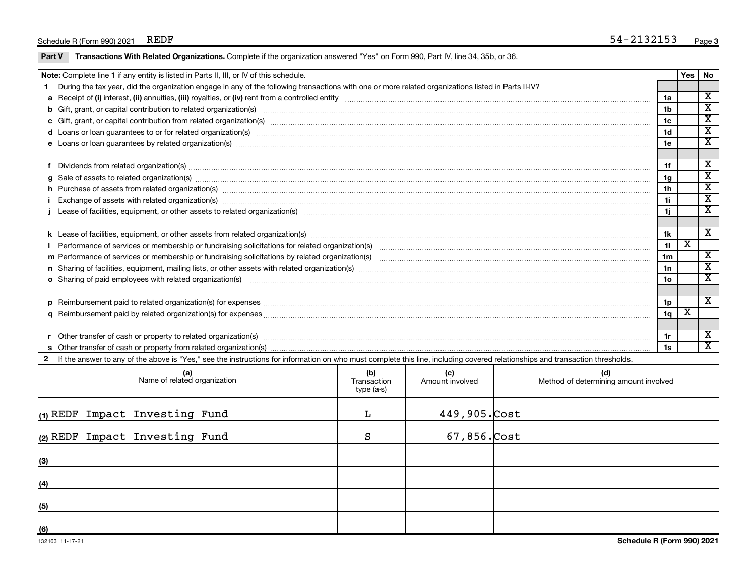### Schedule R (Form 990) 2021 REDF

|  |  | Part V Transactions With Related Organizations. Complete if the organization answered "Yes" on Form 990, Part IV, line 34, 35b, or 36. |
|--|--|----------------------------------------------------------------------------------------------------------------------------------------|
|  |  |                                                                                                                                        |

|   | Note: Complete line 1 if any entity is listed in Parts II, III, or IV of this schedule.                                                                                                                                        |                 |                         | Yes   No                    |
|---|--------------------------------------------------------------------------------------------------------------------------------------------------------------------------------------------------------------------------------|-----------------|-------------------------|-----------------------------|
|   | During the tax year, did the organization engage in any of the following transactions with one or more related organizations listed in Parts II-IV?                                                                            |                 |                         |                             |
|   |                                                                                                                                                                                                                                | 1a              |                         | $\overline{\textnormal{x}}$ |
|   |                                                                                                                                                                                                                                | 1b              |                         | $\mathbf{x}$                |
|   | c Gift, grant, or capital contribution from related organization(s) manufaction contains and content and contribution from related organization(s) manufaction contains and contribution from related organization(s) manufact | 1 <sub>c</sub>  |                         | $\overline{\textnormal{x}}$ |
|   | d Loans or loan guarantees to or for related organization(s) mature content to the content of the content of the content of the content of the content of the content of the content of the content of the content of the cont | 1 <sub>d</sub>  |                         | $\overline{\textnormal{x}}$ |
|   |                                                                                                                                                                                                                                | 1e              |                         | $\overline{\textbf{x}}$     |
|   |                                                                                                                                                                                                                                |                 |                         |                             |
|   | Dividends from related organization(s) machinesis and contract and contract and contract and contract and contract and contract and contract and contract and contract and contract and contract and contract and contract and | 1f              |                         | х                           |
| a | Sale of assets to related organization(s) www.communicallycommunicallycommunicallycommunicallycommunicallycommunicallycommunicallycommunicallycommunicallycommunicallycommunicallycommunicallycommunicallycommunicallycommunic | 1g              |                         | $\overline{\mathbf{x}}$     |
|   | h Purchase of assets from related organization(s) manufactured content to content the content of the content of the content of the content of the content of the content of the content of the content of the content of the c | 1 <sub>h</sub>  |                         | х                           |
|   | Exchange of assets with related organization(s) macrocommutation control and account of the control of the control of the control of the control of the control of the control of the control of the control of the control of | 1i.             |                         | $\overline{\mathbf{x}}$     |
|   |                                                                                                                                                                                                                                | 1i              |                         | $\overline{\textnormal{x}}$ |
|   |                                                                                                                                                                                                                                |                 |                         |                             |
|   |                                                                                                                                                                                                                                | 1k              |                         | х                           |
|   |                                                                                                                                                                                                                                | 11              | $\overline{\text{x}}$   |                             |
|   |                                                                                                                                                                                                                                | 1 <sub>m</sub>  |                         | $\mathbf{x}$                |
|   | n Sharing of facilities, equipment, mailing lists, or other assets with related organization(s) marror manufactured material contents and the state of facilities, equipment, mailing lists, or other assets with related orga | 1n              |                         | $\mathbf{x}$                |
|   | <b>o</b> Sharing of paid employees with related organization(s)                                                                                                                                                                | 10 <sub>o</sub> |                         | $\mathbf{x}$                |
|   |                                                                                                                                                                                                                                |                 |                         |                             |
|   |                                                                                                                                                                                                                                | 1p              |                         | X                           |
|   |                                                                                                                                                                                                                                | 1q              | $\overline{\textbf{x}}$ |                             |
|   |                                                                                                                                                                                                                                |                 |                         |                             |
|   | Other transfer of cash or property to related organization(s) CONCORRECT DESCRIPTION CONTENTS OF DETAILS AND RE                                                                                                                | 1r              |                         | х                           |
|   |                                                                                                                                                                                                                                | 1s              |                         | X                           |
|   | 2 If the answer to any of the above is "Yes," see the instructions for information on who must complete this line, including covered relationships and transaction thresholds.                                                 |                 |                         |                             |

| (a)<br>Name of related organization | (b)<br>Transaction<br>type (a-s) | (c)<br>Amount involved | (d)<br>Method of determining amount involved |
|-------------------------------------|----------------------------------|------------------------|----------------------------------------------|
| (1) REDF Impact Investing Fund      | L.                               | $449,905$ . Cost       |                                              |
| (2) REDF Impact Investing Fund      | S                                | $67,856$ . Cost        |                                              |
| (3)                                 |                                  |                        |                                              |
| (4)                                 |                                  |                        |                                              |
| (5)                                 |                                  |                        |                                              |
| (6)                                 |                                  |                        |                                              |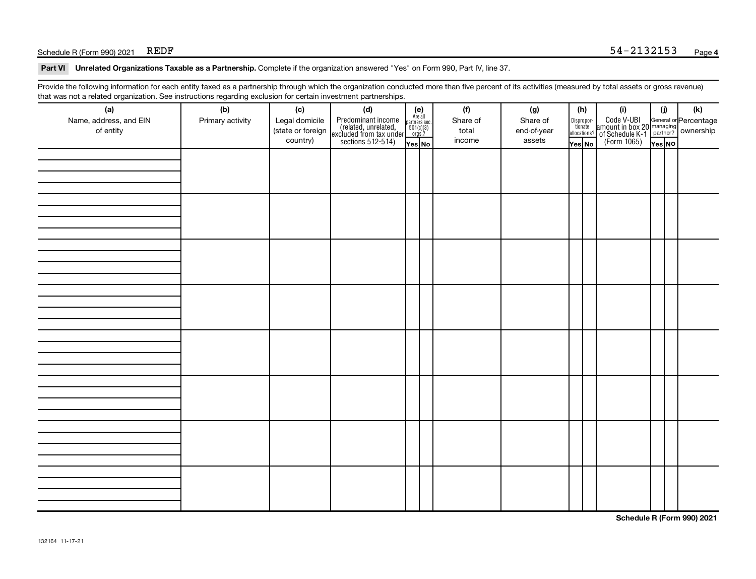### $S$ chedule R (Form 990) 2021 REDF

Part VI Unrelated Organizations Taxable as a Partnership. Complete if the organization answered "Yes" on Form 990, Part IV, line 37.

Provide the following information for each entity taxed as a partnership through which the organization conducted more than five percent of its activities (measured by total assets or gross revenue) that was not a related organization. See instructions regarding exclusion for certain investment partnerships.

| $\sim$<br>(a)<br>Name, address, and EIN<br>of entity | - ت<br>(b)<br>Primary activity | (c)<br>Legal domicile<br>(state or foreign<br>country) | - - - - <sub>1</sub> - - 1<br>(d)<br>Predominant income<br>(related, unrelated,<br>excluded from tax under<br>sections 512-514) | (e)<br>Are all<br>partners sec.<br>$\frac{501(c)(3)}{0rgs?}$<br>Yes No | (f)<br>Share of<br>total<br>income | (g)<br>Share of<br>end-of-year<br>assets | Yes No | (h)<br>Dispropor-<br>tionate<br>allocations? | (i)<br>Code V-UBI<br>  amount in box 20<br>! of Schedule K-1<br>  (Form 1065) | (i)<br>Yes NO | (k)<br>General or Percentage<br>managing<br>partner? Ownership |
|------------------------------------------------------|--------------------------------|--------------------------------------------------------|---------------------------------------------------------------------------------------------------------------------------------|------------------------------------------------------------------------|------------------------------------|------------------------------------------|--------|----------------------------------------------|-------------------------------------------------------------------------------|---------------|----------------------------------------------------------------|
|                                                      |                                |                                                        |                                                                                                                                 |                                                                        |                                    |                                          |        |                                              |                                                                               |               |                                                                |
|                                                      |                                |                                                        |                                                                                                                                 |                                                                        |                                    |                                          |        |                                              |                                                                               |               |                                                                |
|                                                      |                                |                                                        |                                                                                                                                 |                                                                        |                                    |                                          |        |                                              |                                                                               |               |                                                                |
|                                                      |                                |                                                        |                                                                                                                                 |                                                                        |                                    |                                          |        |                                              |                                                                               |               |                                                                |
|                                                      |                                |                                                        |                                                                                                                                 |                                                                        |                                    |                                          |        |                                              |                                                                               |               |                                                                |
|                                                      |                                |                                                        |                                                                                                                                 |                                                                        |                                    |                                          |        |                                              |                                                                               |               |                                                                |
|                                                      |                                |                                                        |                                                                                                                                 |                                                                        |                                    |                                          |        |                                              |                                                                               |               |                                                                |
|                                                      |                                |                                                        |                                                                                                                                 |                                                                        |                                    |                                          |        |                                              |                                                                               |               |                                                                |

**Schedule R (Form 990) 2021**